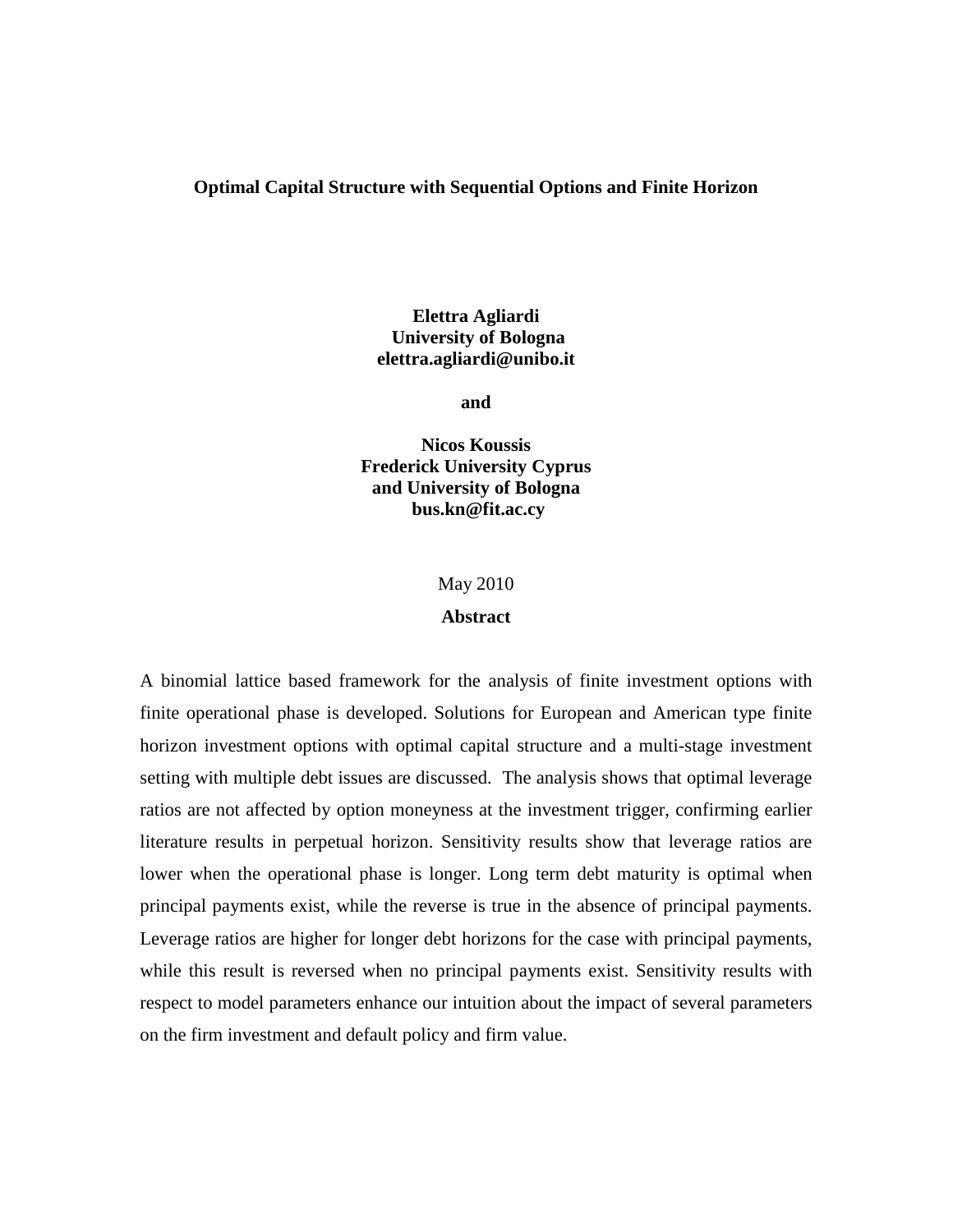#### **Optimal Capital Structure with Sequential Options and Finite Horizon**

# **Elettra Agliardi University of Bologna elettra.agliardi@unibo.it**

**and** 

**Nicos Koussis Frederick University Cyprus and University of Bologna bus.kn@fit.ac.cy** 

#### May 2010

#### **Abstract**

A binomial lattice based framework for the analysis of finite investment options with finite operational phase is developed. Solutions for European and American type finite horizon investment options with optimal capital structure and a multi-stage investment setting with multiple debt issues are discussed. The analysis shows that optimal leverage ratios are not affected by option moneyness at the investment trigger, confirming earlier literature results in perpetual horizon. Sensitivity results show that leverage ratios are lower when the operational phase is longer. Long term debt maturity is optimal when principal payments exist, while the reverse is true in the absence of principal payments. Leverage ratios are higher for longer debt horizons for the case with principal payments, while this result is reversed when no principal payments exist. Sensitivity results with respect to model parameters enhance our intuition about the impact of several parameters on the firm investment and default policy and firm value.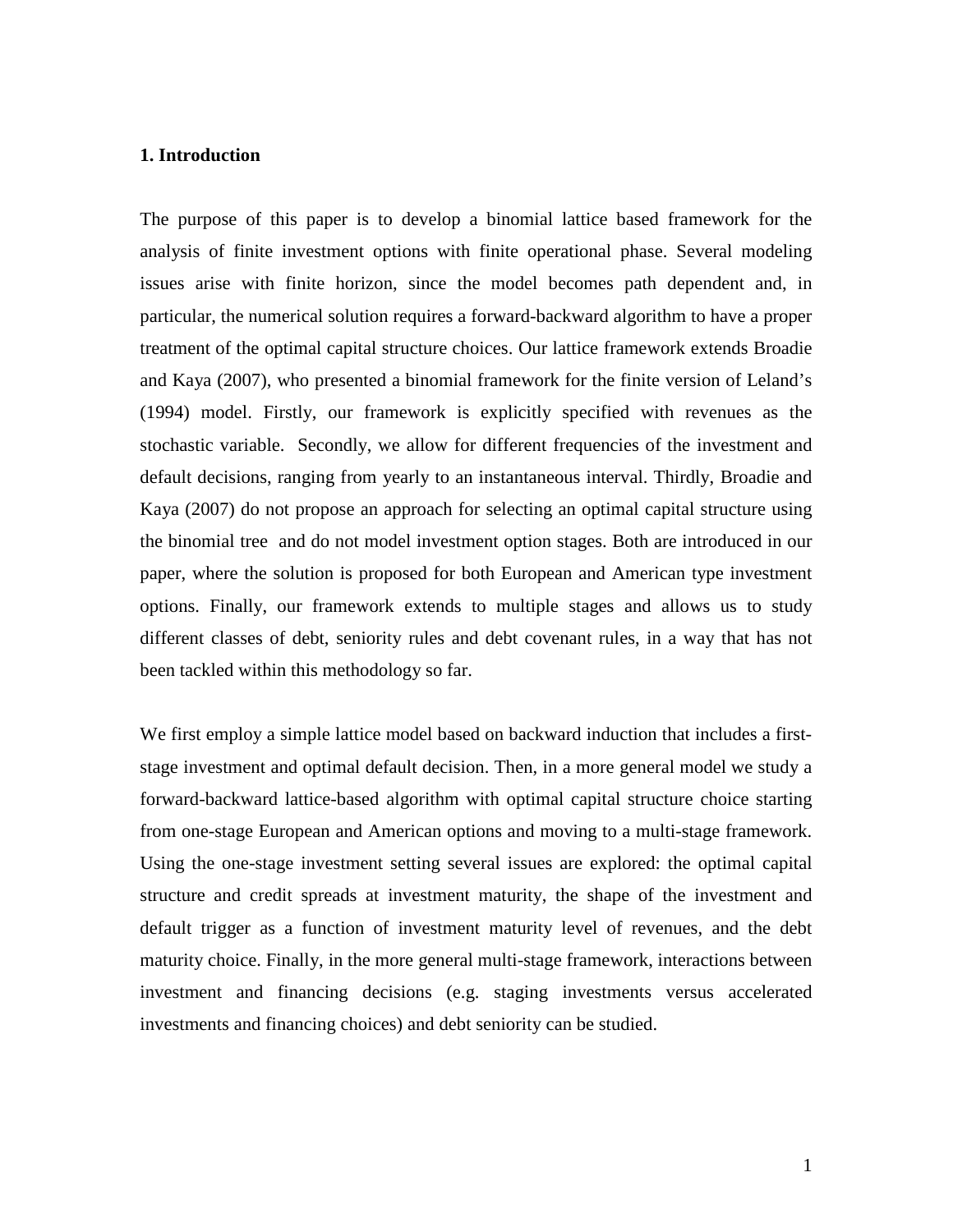### **1. Introduction**

The purpose of this paper is to develop a binomial lattice based framework for the analysis of finite investment options with finite operational phase. Several modeling issues arise with finite horizon, since the model becomes path dependent and, in particular, the numerical solution requires a forward-backward algorithm to have a proper treatment of the optimal capital structure choices. Our lattice framework extends Broadie and Kaya (2007), who presented a binomial framework for the finite version of Leland's (1994) model. Firstly, our framework is explicitly specified with revenues as the stochastic variable. Secondly, we allow for different frequencies of the investment and default decisions, ranging from yearly to an instantaneous interval. Thirdly, Broadie and Kaya (2007) do not propose an approach for selecting an optimal capital structure using the binomial tree and do not model investment option stages. Both are introduced in our paper, where the solution is proposed for both European and American type investment options. Finally, our framework extends to multiple stages and allows us to study different classes of debt, seniority rules and debt covenant rules, in a way that has not been tackled within this methodology so far.

We first employ a simple lattice model based on backward induction that includes a firststage investment and optimal default decision. Then, in a more general model we study a forward-backward lattice-based algorithm with optimal capital structure choice starting from one-stage European and American options and moving to a multi-stage framework. Using the one-stage investment setting several issues are explored: the optimal capital structure and credit spreads at investment maturity, the shape of the investment and default trigger as a function of investment maturity level of revenues, and the debt maturity choice. Finally, in the more general multi-stage framework, interactions between investment and financing decisions (e.g. staging investments versus accelerated investments and financing choices) and debt seniority can be studied.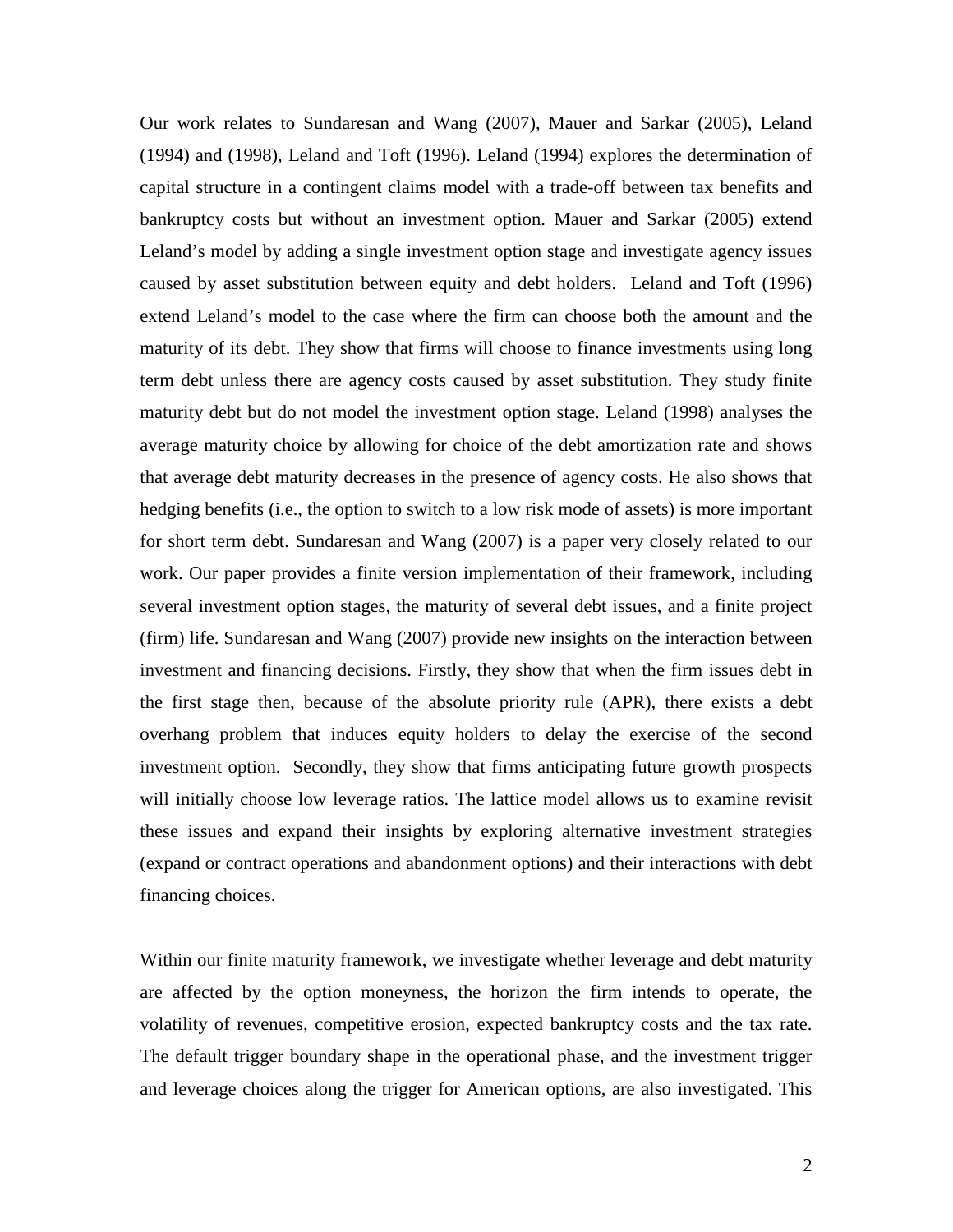Our work relates to Sundaresan and Wang (2007), Mauer and Sarkar (2005), Leland (1994) and (1998), Leland and Toft (1996). Leland (1994) explores the determination of capital structure in a contingent claims model with a trade-off between tax benefits and bankruptcy costs but without an investment option. Mauer and Sarkar (2005) extend Leland's model by adding a single investment option stage and investigate agency issues caused by asset substitution between equity and debt holders. Leland and Toft (1996) extend Leland's model to the case where the firm can choose both the amount and the maturity of its debt. They show that firms will choose to finance investments using long term debt unless there are agency costs caused by asset substitution. They study finite maturity debt but do not model the investment option stage. Leland (1998) analyses the average maturity choice by allowing for choice of the debt amortization rate and shows that average debt maturity decreases in the presence of agency costs. He also shows that hedging benefits (i.e., the option to switch to a low risk mode of assets) is more important for short term debt. Sundaresan and Wang (2007) is a paper very closely related to our work. Our paper provides a finite version implementation of their framework, including several investment option stages, the maturity of several debt issues, and a finite project (firm) life. Sundaresan and Wang (2007) provide new insights on the interaction between investment and financing decisions. Firstly, they show that when the firm issues debt in the first stage then, because of the absolute priority rule (APR), there exists a debt overhang problem that induces equity holders to delay the exercise of the second investment option. Secondly, they show that firms anticipating future growth prospects will initially choose low leverage ratios. The lattice model allows us to examine revisit these issues and expand their insights by exploring alternative investment strategies (expand or contract operations and abandonment options) and their interactions with debt financing choices.

Within our finite maturity framework, we investigate whether leverage and debt maturity are affected by the option moneyness, the horizon the firm intends to operate, the volatility of revenues, competitive erosion, expected bankruptcy costs and the tax rate. The default trigger boundary shape in the operational phase, and the investment trigger and leverage choices along the trigger for American options, are also investigated. This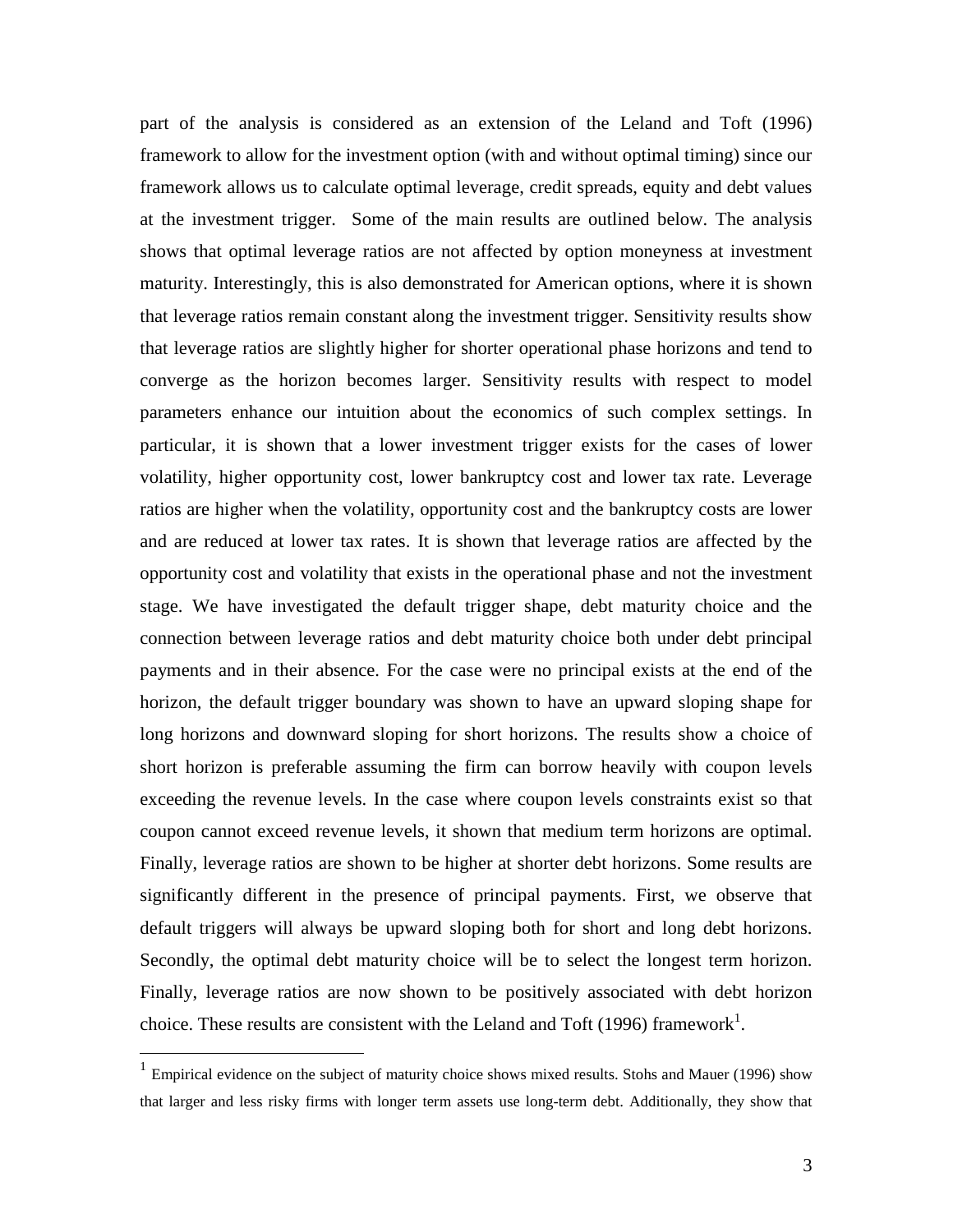part of the analysis is considered as an extension of the Leland and Toft (1996) framework to allow for the investment option (with and without optimal timing) since our framework allows us to calculate optimal leverage, credit spreads, equity and debt values at the investment trigger. Some of the main results are outlined below. The analysis shows that optimal leverage ratios are not affected by option moneyness at investment maturity. Interestingly, this is also demonstrated for American options, where it is shown that leverage ratios remain constant along the investment trigger. Sensitivity results show that leverage ratios are slightly higher for shorter operational phase horizons and tend to converge as the horizon becomes larger. Sensitivity results with respect to model parameters enhance our intuition about the economics of such complex settings. In particular, it is shown that a lower investment trigger exists for the cases of lower volatility, higher opportunity cost, lower bankruptcy cost and lower tax rate. Leverage ratios are higher when the volatility, opportunity cost and the bankruptcy costs are lower and are reduced at lower tax rates. It is shown that leverage ratios are affected by the opportunity cost and volatility that exists in the operational phase and not the investment stage. We have investigated the default trigger shape, debt maturity choice and the connection between leverage ratios and debt maturity choice both under debt principal payments and in their absence. For the case were no principal exists at the end of the horizon, the default trigger boundary was shown to have an upward sloping shape for long horizons and downward sloping for short horizons. The results show a choice of short horizon is preferable assuming the firm can borrow heavily with coupon levels exceeding the revenue levels. In the case where coupon levels constraints exist so that coupon cannot exceed revenue levels, it shown that medium term horizons are optimal. Finally, leverage ratios are shown to be higher at shorter debt horizons. Some results are significantly different in the presence of principal payments. First, we observe that default triggers will always be upward sloping both for short and long debt horizons. Secondly, the optimal debt maturity choice will be to select the longest term horizon. Finally, leverage ratios are now shown to be positively associated with debt horizon choice. These results are consistent with the Leland and Toft (1996) framework<sup>1</sup>.

<u>.</u>

<sup>&</sup>lt;sup>1</sup> Empirical evidence on the subject of maturity choice shows mixed results. Stohs and Mauer (1996) show that larger and less risky firms with longer term assets use long-term debt. Additionally, they show that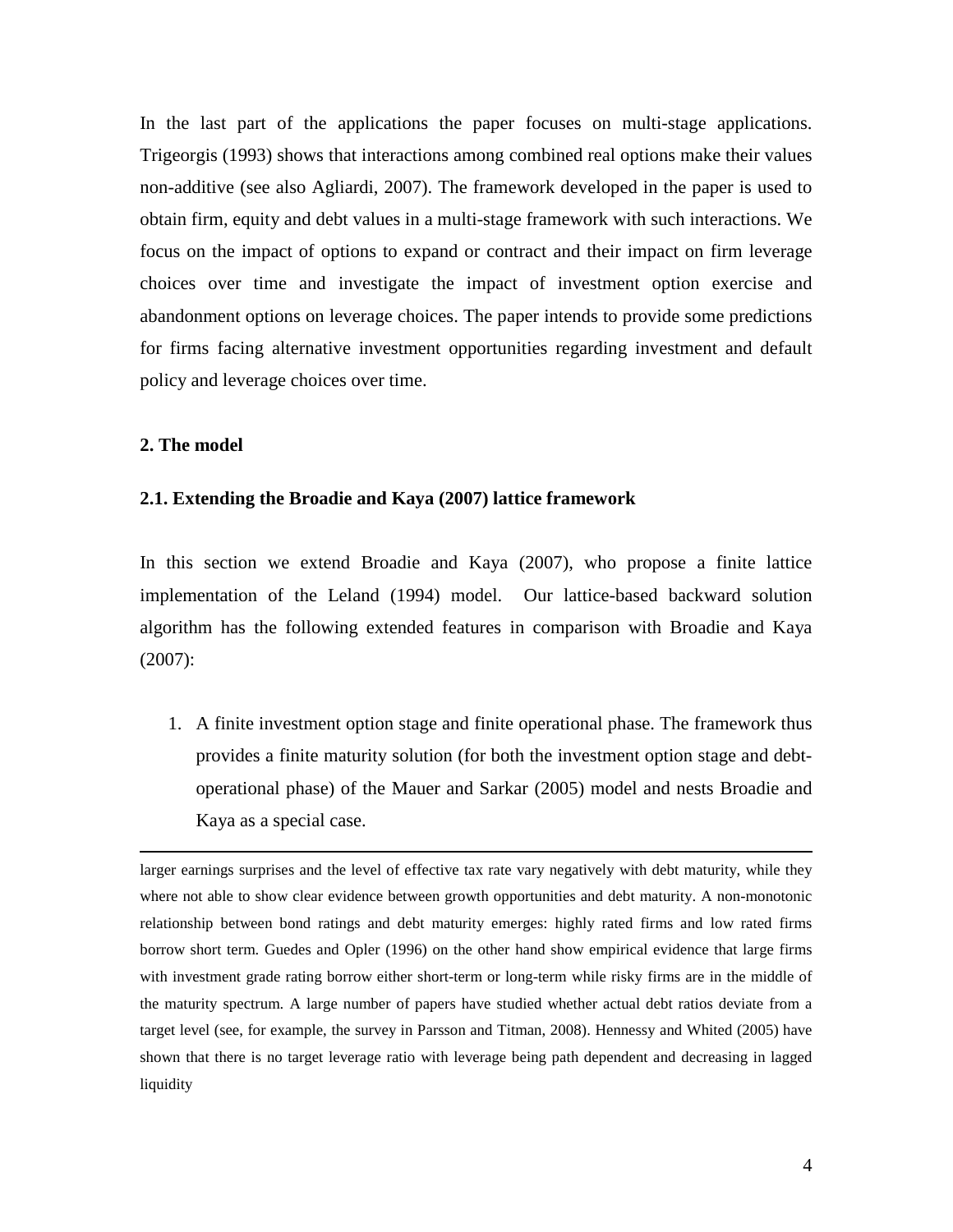In the last part of the applications the paper focuses on multi-stage applications. Trigeorgis (1993) shows that interactions among combined real options make their values non-additive (see also Agliardi, 2007). The framework developed in the paper is used to obtain firm, equity and debt values in a multi-stage framework with such interactions. We focus on the impact of options to expand or contract and their impact on firm leverage choices over time and investigate the impact of investment option exercise and abandonment options on leverage choices. The paper intends to provide some predictions for firms facing alternative investment opportunities regarding investment and default policy and leverage choices over time.

# **2. The model**

<u>.</u>

#### **2.1. Extending the Broadie and Kaya (2007) lattice framework**

In this section we extend Broadie and Kaya (2007), who propose a finite lattice implementation of the Leland (1994) model. Our lattice-based backward solution algorithm has the following extended features in comparison with Broadie and Kaya (2007):

1. A finite investment option stage and finite operational phase. The framework thus provides a finite maturity solution (for both the investment option stage and debtoperational phase) of the Mauer and Sarkar (2005) model and nests Broadie and Kaya as a special case.

larger earnings surprises and the level of effective tax rate vary negatively with debt maturity, while they where not able to show clear evidence between growth opportunities and debt maturity. A non-monotonic relationship between bond ratings and debt maturity emerges: highly rated firms and low rated firms borrow short term. Guedes and Opler (1996) on the other hand show empirical evidence that large firms with investment grade rating borrow either short-term or long-term while risky firms are in the middle of the maturity spectrum. A large number of papers have studied whether actual debt ratios deviate from a target level (see, for example, the survey in Parsson and Titman, 2008). Hennessy and Whited (2005) have shown that there is no target leverage ratio with leverage being path dependent and decreasing in lagged liquidity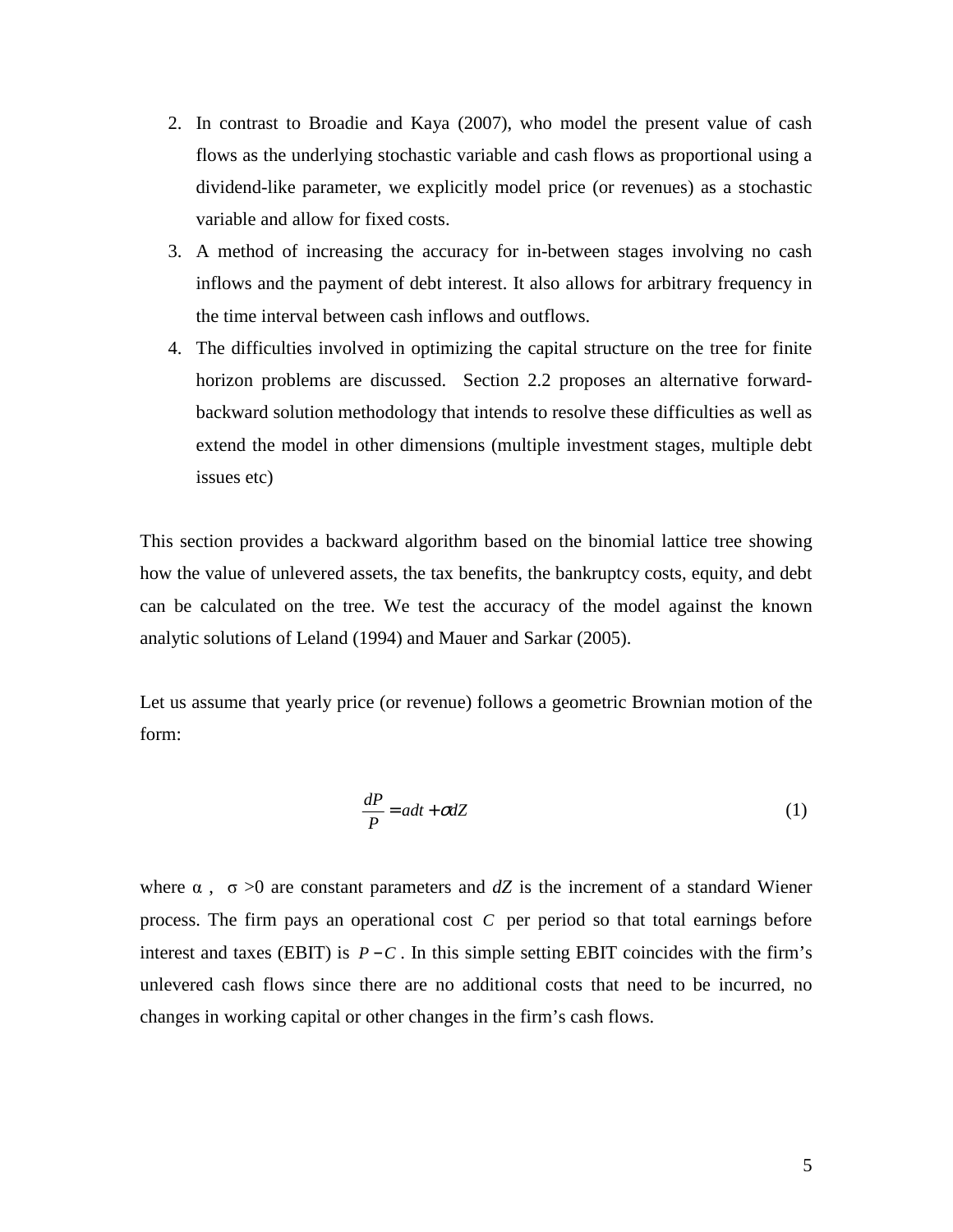- 2. In contrast to Broadie and Kaya (2007), who model the present value of cash flows as the underlying stochastic variable and cash flows as proportional using a dividend-like parameter, we explicitly model price (or revenues) as a stochastic variable and allow for fixed costs.
- 3. A method of increasing the accuracy for in-between stages involving no cash inflows and the payment of debt interest. It also allows for arbitrary frequency in the time interval between cash inflows and outflows.
- 4. The difficulties involved in optimizing the capital structure on the tree for finite horizon problems are discussed. Section 2.2 proposes an alternative forwardbackward solution methodology that intends to resolve these difficulties as well as extend the model in other dimensions (multiple investment stages, multiple debt issues etc)

This section provides a backward algorithm based on the binomial lattice tree showing how the value of unlevered assets, the tax benefits, the bankruptcy costs, equity, and debt can be calculated on the tree. We test the accuracy of the model against the known analytic solutions of Leland (1994) and Mauer and Sarkar (2005).

Let us assume that yearly price (or revenue) follows a geometric Brownian motion of the form:

$$
\frac{dP}{P} = adt + \sigma dZ\tag{1}
$$

where  $\alpha$ ,  $\sigma > 0$  are constant parameters and *dZ* is the increment of a standard Wiener process. The firm pays an operational cost *C* per period so that total earnings before interest and taxes (EBIT) is  $P - C$ . In this simple setting EBIT coincides with the firm's unlevered cash flows since there are no additional costs that need to be incurred, no changes in working capital or other changes in the firm's cash flows.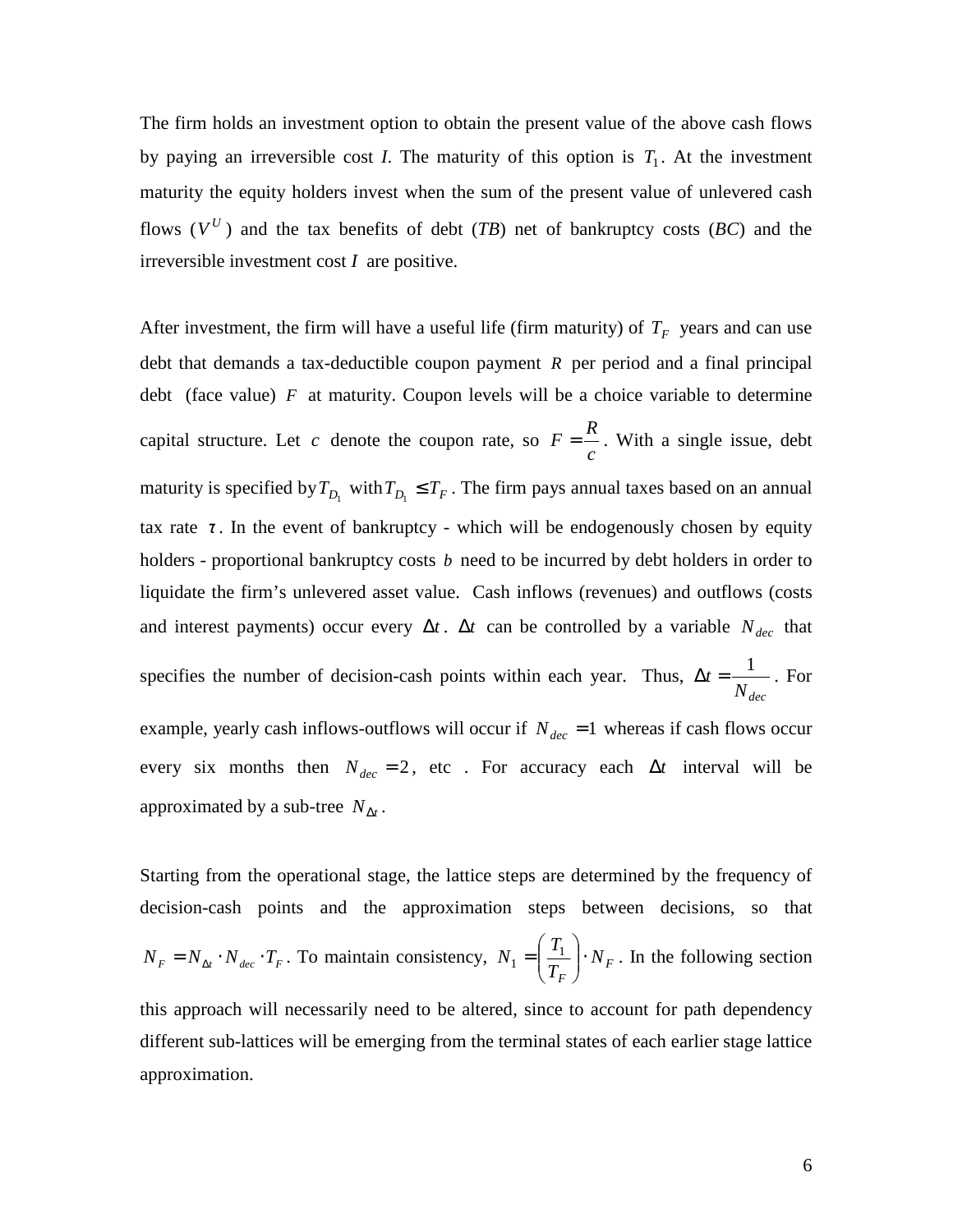The firm holds an investment option to obtain the present value of the above cash flows by paying an irreversible cost *I*. The maturity of this option is  $T_1$ . At the investment maturity the equity holders invest when the sum of the present value of unlevered cash flows  $(V^U)$  and the tax benefits of debt (*TB*) net of bankruptcy costs (*BC*) and the irreversible investment cost *I* are positive.

After investment, the firm will have a useful life (firm maturity) of  $T_F$  years and can use debt that demands a tax-deductible coupon payment *R* per period and a final principal debt (face value) *F* at maturity. Coupon levels will be a choice variable to determine capital structure. Let  $c$  denote the coupon rate, so *c*  $F = \frac{R}{r}$ . With a single issue, debt maturity is specified by  $T_{D_1}$  with  $T_{D_1} \leq T_F$ . The firm pays annual taxes based on an annual tax rate  $\tau$ . In the event of bankruptcy - which will be endogenously chosen by equity holders - proportional bankruptcy costs *b* need to be incurred by debt holders in order to liquidate the firm's unlevered asset value. Cash inflows (revenues) and outflows (costs and interest payments) occur every  $\Delta t$ .  $\Delta t$  can be controlled by a variable  $N_{dec}$  that specifies the number of decision-cash points within each year. Thus, *Ndec*  $\Delta t = \frac{1}{\Delta t}$ . For example, yearly cash inflows-outflows will occur if  $N_{dec} = 1$  whereas if cash flows occur every six months then  $N_{dec} = 2$ , etc . For accuracy each  $\Delta t$  interval will be approximated by a sub-tree  $N_{\Delta t}$ .

Starting from the operational stage, the lattice steps are determined by the frequency of decision-cash points and the approximation steps between decisions, so that  $N_F = N_{\Delta t} \cdot N_{dec} \cdot T_F$ . To maintain consistency,  $N_1 = \frac{T_1}{T_1} \cdot N_F$ *F N T*  $N_1 = \left(\frac{T_1}{T}\right)$ . J  $\backslash$  $\overline{\phantom{a}}$ l ſ  $\sum_{i=1}^{L}$   $\frac{1}{T}$   $\cdot N_F$ . In the following section this approach will necessarily need to be altered, since to account for path dependency different sub-lattices will be emerging from the terminal states of each earlier stage lattice approximation.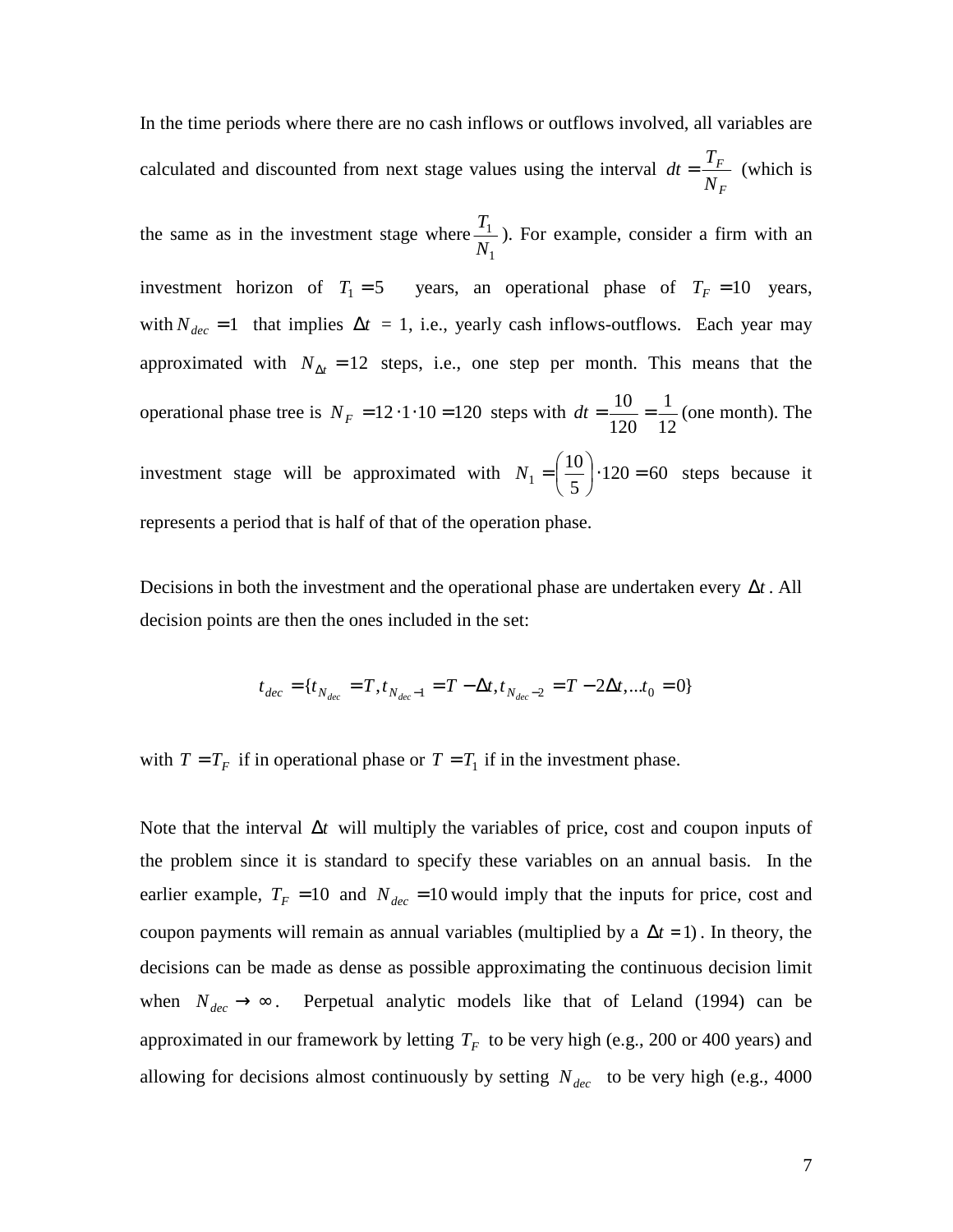In the time periods where there are no cash inflows or outflows involved, all variables are calculated and discounted from next stage values using the interval *F F N*  $dt = \frac{T_F}{V}$  (which is

the same as in the investment stage where 1 1 *N*  $\frac{T_1}{T_1}$ ). For example, consider a firm with an investment horizon of  $T_1 = 5$  years, an operational phase of  $T_F = 10$  years, with  $N_{dec} = 1$  that implies  $\Delta t = 1$ , i.e., yearly cash inflows-outflows. Each year may approximated with  $N_{\Delta t} = 12$  steps, i.e., one step per month. This means that the operational phase tree is  $N_F = 12 \cdot 1 \cdot 10 = 120$  steps with  $dt = \frac{10}{120} = \frac{1}{12}$ 1 120  $dt = \frac{10}{100} = \frac{1}{100}$  (one month). The investment stage will be approximated with  $N_1 = \frac{16}{5} \cdot 120 = 60$ 5  $I_1 = \left(\frac{10}{5}\right) \cdot 120 =$  $\left(\frac{10}{1}\right)$ l ſ  $N_1 = \frac{16}{5} \cdot 120 = 60$  steps because it represents a period that is half of that of the operation phase.

Decisions in both the investment and the operational phase are undertaken every ∆*t* . All decision points are then the ones included in the set:

$$
t_{dec} = \{t_{N_{dec}} = T, t_{N_{dec}-1} = T - \Delta t, t_{N_{dec}-2} = T - 2\Delta t, ... t_0 = 0\}
$$

with  $T = T_F$  if in operational phase or  $T = T_1$  if in the investment phase.

Note that the interval ∆*t* will multiply the variables of price, cost and coupon inputs of the problem since it is standard to specify these variables on an annual basis. In the earlier example,  $T_F = 10$  and  $N_{dec} = 10$  would imply that the inputs for price, cost and coupon payments will remain as annual variables (multiplied by a  $\Delta t = 1$ ). In theory, the decisions can be made as dense as possible approximating the continuous decision limit when  $N_{dec} \rightarrow \infty$ . Perpetual analytic models like that of Leland (1994) can be approximated in our framework by letting  $T_F$  to be very high (e.g., 200 or 400 years) and allowing for decisions almost continuously by setting  $N_{dec}$  to be very high (e.g., 4000)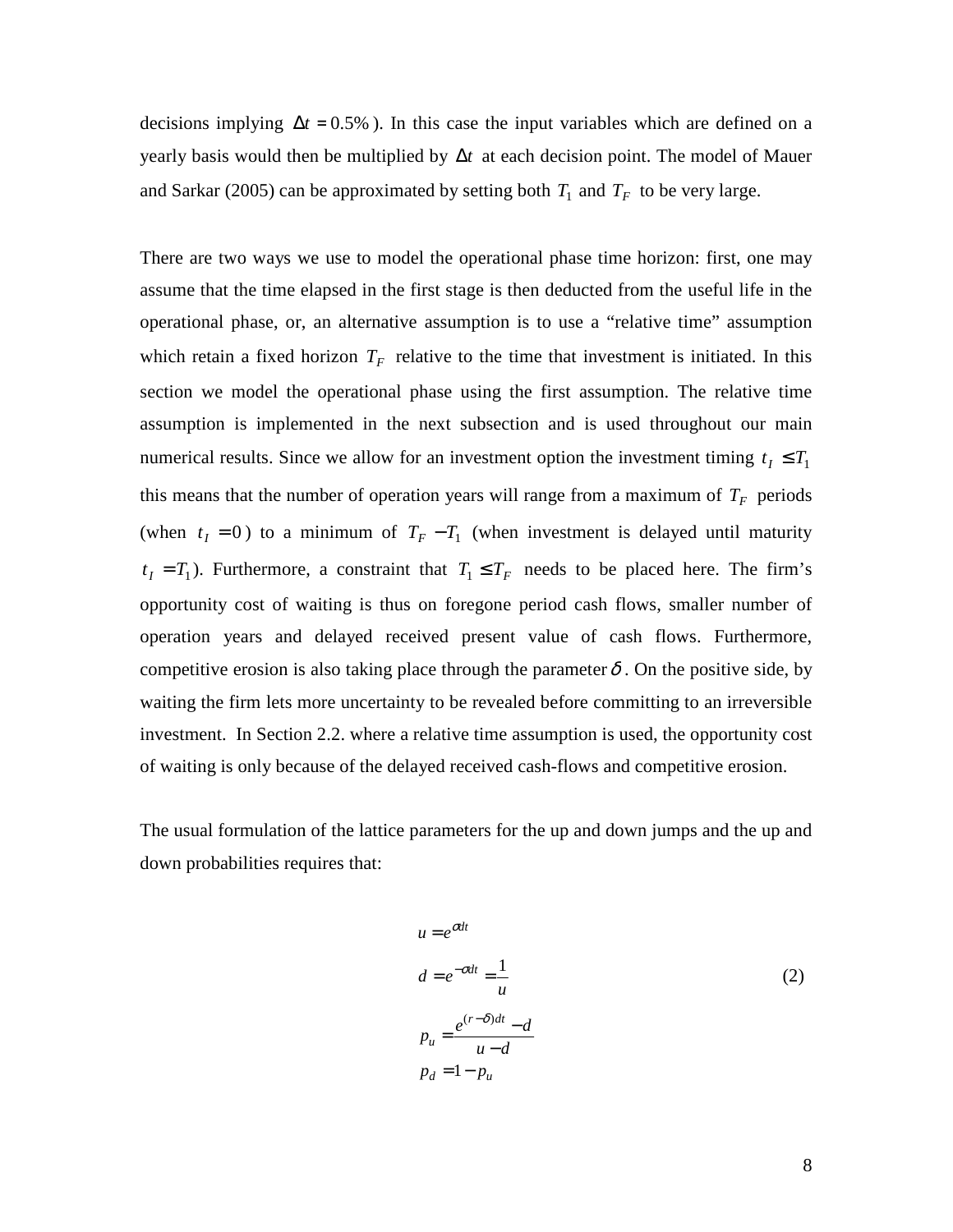decisions implying  $\Delta t = 0.5\%$ ). In this case the input variables which are defined on a yearly basis would then be multiplied by ∆*t* at each decision point. The model of Mauer and Sarkar (2005) can be approximated by setting both  $T_1$  and  $T_F$  to be very large.

There are two ways we use to model the operational phase time horizon: first, one may assume that the time elapsed in the first stage is then deducted from the useful life in the operational phase, or, an alternative assumption is to use a "relative time" assumption which retain a fixed horizon  $T_F$  relative to the time that investment is initiated. In this section we model the operational phase using the first assumption. The relative time assumption is implemented in the next subsection and is used throughout our main numerical results. Since we allow for an investment option the investment timing  $t_1 \leq T_1$ this means that the number of operation years will range from a maximum of  $T_F$  periods (when  $t_1 = 0$ ) to a minimum of  $T_F - T_1$  (when investment is delayed until maturity  $t_I = T_1$ ). Furthermore, a constraint that  $T_1 \leq T_F$  needs to be placed here. The firm's opportunity cost of waiting is thus on foregone period cash flows, smaller number of operation years and delayed received present value of cash flows. Furthermore, competitive erosion is also taking place through the parameter  $\delta$ . On the positive side, by waiting the firm lets more uncertainty to be revealed before committing to an irreversible investment. In Section 2.2. where a relative time assumption is used, the opportunity cost of waiting is only because of the delayed received cash-flows and competitive erosion.

The usual formulation of the lattice parameters for the up and down jumps and the up and down probabilities requires that:

$$
u = e^{\sigma dt}
$$
  
\n
$$
d = e^{-\sigma dt} = \frac{1}{u}
$$
  
\n
$$
p_u = \frac{e^{(r-\delta)dt} - d}{u - d}
$$
  
\n
$$
p_d = 1 - p_u
$$
\n(2)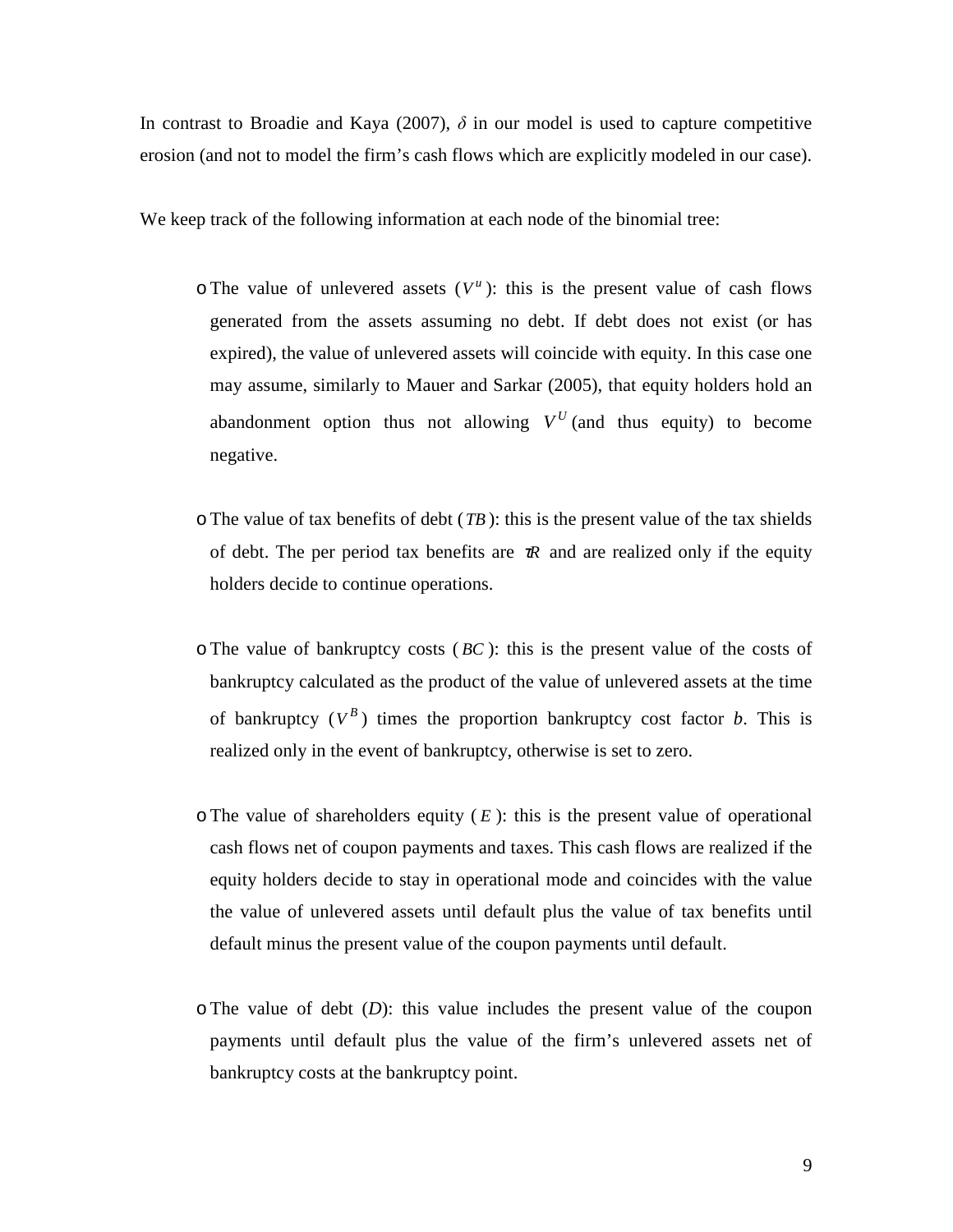In contrast to Broadie and Kaya (2007),  $\delta$  in our model is used to capture competitive erosion (and not to model the firm's cash flows which are explicitly modeled in our case).

We keep track of the following information at each node of the binomial tree:

- $\circ$  The value of unlevered assets ( $V^u$ ): this is the present value of cash flows generated from the assets assuming no debt. If debt does not exist (or has expired), the value of unlevered assets will coincide with equity. In this case one may assume, similarly to Mauer and Sarkar (2005), that equity holders hold an abandonment option thus not allowing  $V^U$  (and thus equity) to become negative.
- $\circ$ The value of tax benefits of debt (*TB*): this is the present value of the tax shields of debt. The per period tax benefits are  $\pi R$  and are realized only if the equity holders decide to continue operations.
- oThe value of bankruptcy costs ( *BC* ): this is the present value of the costs of bankruptcy calculated as the product of the value of unlevered assets at the time of bankruptcy  $(V^B)$  times the proportion bankruptcy cost factor *b*. This is realized only in the event of bankruptcy, otherwise is set to zero.
- $\circ$ The value of shareholders equity ( $E$ ): this is the present value of operational cash flows net of coupon payments and taxes. This cash flows are realized if the equity holders decide to stay in operational mode and coincides with the value the value of unlevered assets until default plus the value of tax benefits until default minus the present value of the coupon payments until default.
- oThe value of debt (*D*): this value includes the present value of the coupon payments until default plus the value of the firm's unlevered assets net of bankruptcy costs at the bankruptcy point.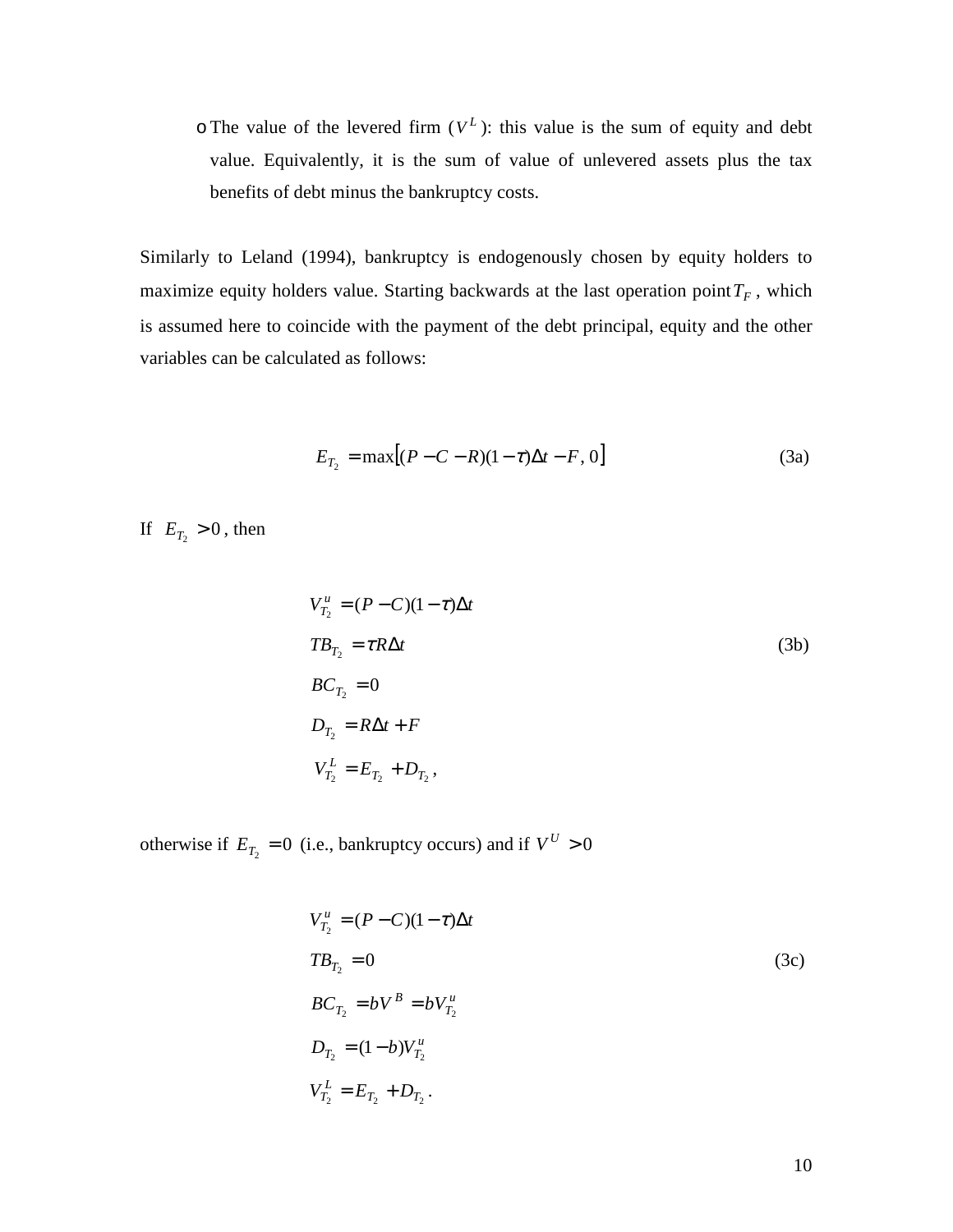$\circ$  The value of the levered firm  $(V^L)$ : this value is the sum of equity and debt value. Equivalently, it is the sum of value of unlevered assets plus the tax benefits of debt minus the bankruptcy costs.

Similarly to Leland (1994), bankruptcy is endogenously chosen by equity holders to maximize equity holders value. Starting backwards at the last operation point  $T_F$ , which is assumed here to coincide with the payment of the debt principal, equity and the other variables can be calculated as follows:

$$
E_{T_2} = \max[(P - C - R)(1 - \tau)\Delta t - F, 0]
$$
 (3a)

If  $E_{T_2} > 0$ , then

$$
V_{T_2}^{\mu} = (P - C)(1 - \tau)\Delta t
$$
  
\n
$$
TB_{T_2} = \tau R \Delta t
$$
  
\n
$$
BC_{T_2} = 0
$$
  
\n
$$
D_{T_2} = R\Delta t + F
$$
  
\n
$$
V_{T_2}^L = E_{T_2} + D_{T_2},
$$
  
\n(3b)

otherwise if  $E_{T_2} = 0$  (i.e., bankruptcy occurs) and if  $V^U > 0$ 

$$
V_{T_2}^u = (P - C)(1 - \tau)\Delta t
$$
  
\n
$$
TB_{T_2} = 0
$$
  
\n
$$
BC_{T_2} = bV^B = bV_{T_2}^u
$$
  
\n
$$
D_{T_2} = (1 - b)V_{T_2}^u
$$
  
\n
$$
V_{T_2}^L = E_{T_2} + D_{T_2}.
$$
  
\n(3c)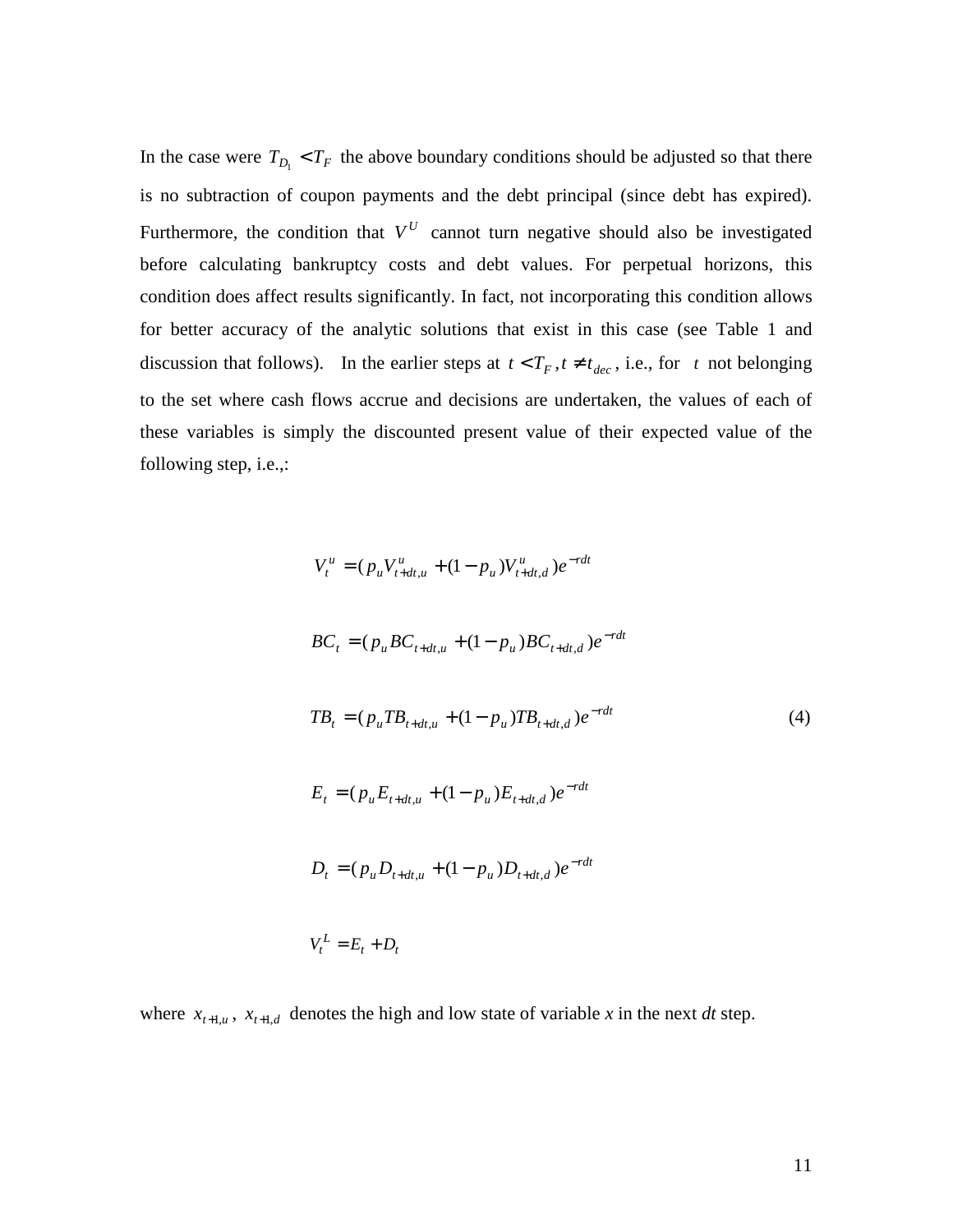In the case were  $T_{D_1} < T_F$  the above boundary conditions should be adjusted so that there is no subtraction of coupon payments and the debt principal (since debt has expired). Furthermore, the condition that  $V^U$  cannot turn negative should also be investigated before calculating bankruptcy costs and debt values. For perpetual horizons, this condition does affect results significantly. In fact, not incorporating this condition allows for better accuracy of the analytic solutions that exist in this case (see Table 1 and discussion that follows). In the earlier steps at  $t < T_F$ ,  $t \neq t_{dec}$ , i.e., for  $t$  not belonging to the set where cash flows accrue and decisions are undertaken, the values of each of these variables is simply the discounted present value of their expected value of the following step, i.e.,:

$$
V_t^u = (p_u V_{t+dt,u}^u + (1 - p_u) V_{t+dt,d}^u) e^{-rdt}
$$
  
\n
$$
BC_t = (p_u BC_{t+dt,u} + (1 - p_u) BC_{t+dt,d}) e^{-rdt}
$$
  
\n
$$
TB_t = (p_u TB_{t+dt,u} + (1 - p_u) TB_{t+dt,d}) e^{-rdt}
$$
  
\n
$$
E_t = (p_u E_{t+dt,u} + (1 - p_u) E_{t+dt,d}) e^{-rdt}
$$
  
\n
$$
D_t = (p_u D_{t+dt,u} + (1 - p_u) D_{t+dt,d}) e^{-rdt}
$$
  
\n
$$
V_t^L = E_t + D_t
$$

where  $x_{t+1,u}$ ,  $x_{t+1,d}$  denotes the high and low state of variable *x* in the next *dt* step.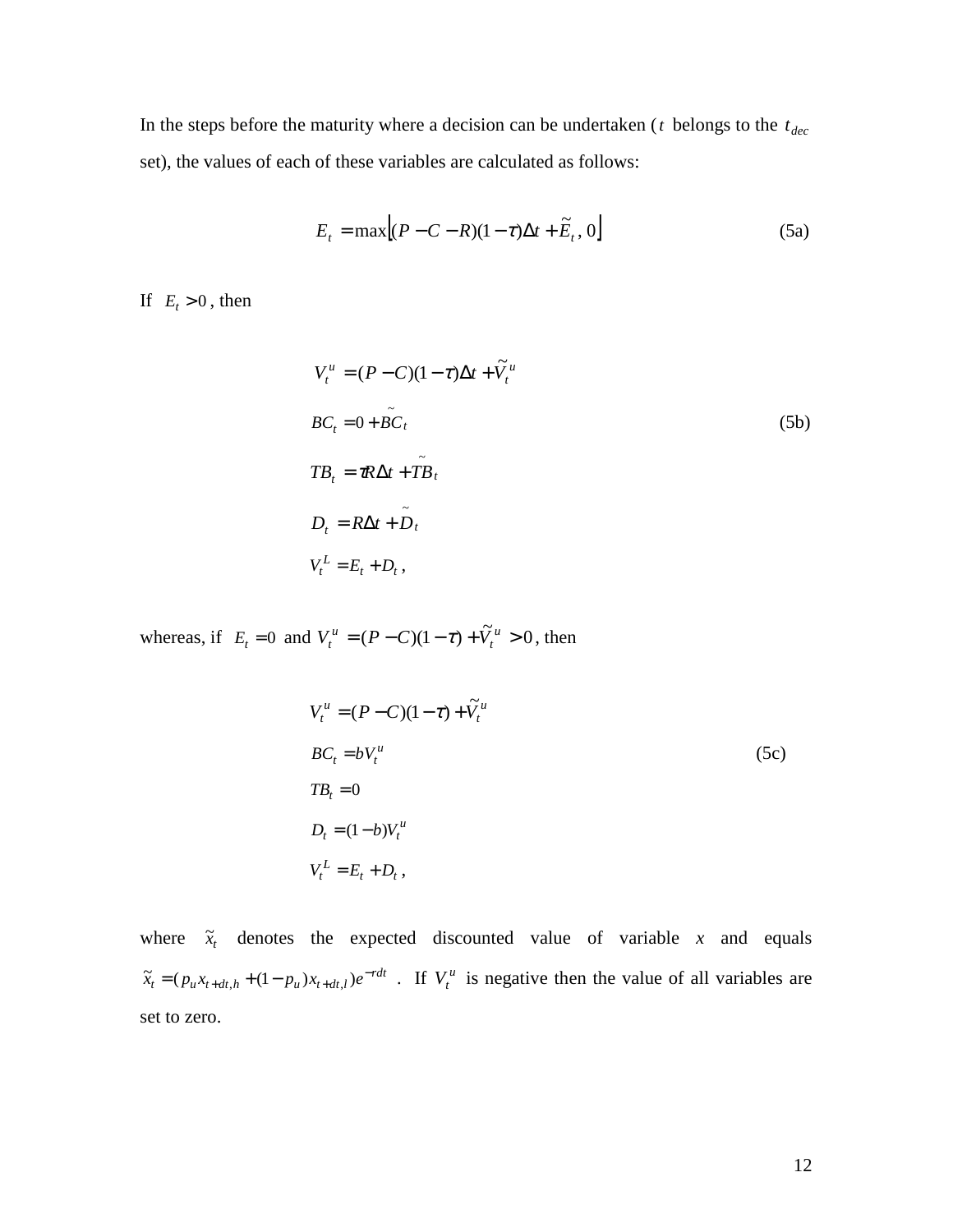In the steps before the maturity where a decision can be undertaken ( $t$  belongs to the  $t_{dec}$ set), the values of each of these variables are calculated as follows:

$$
E_t = \max[(P - C - R)(1 - \tau)\Delta t + \widetilde{E}_t, 0]
$$
\n(5a)

If  $E_t > 0$ , then

$$
V_t^u = (P - C)(1 - \tau)\Delta t + \tilde{V}_t^u
$$
  
\n
$$
BC_t = 0 + \tilde{BC}_t
$$
  
\n
$$
TB_t = \tau R \Delta t + \tilde{TB}_t
$$
  
\n
$$
D_t = R \Delta t + \tilde{D}_t
$$
  
\n
$$
V_t^L = E_t + D_t,
$$
 (5b)

whereas, if  $E_t = 0$  and  $V_t^u = (P - C)(1 - \tau) + \tilde{V}_t^u > 0$  $V_t^u = (P - C)(1 - \tau) + \tilde{V}_t^u > 0$ , then

$$
V_t^u = (P - C)(1 - \tau) + \widetilde{V}_t^u
$$
  
\n
$$
BC_t = bV_t^u
$$
  
\n
$$
TB_t = 0
$$
  
\n
$$
D_t = (1 - b)V_t^u
$$
  
\n
$$
V_t^L = E_t + D_t,
$$
 (5c)

where  $\tilde{x}_t$  denotes the expected discounted value of variable *x* and equals  $\tilde{x}_t = (p_u x_{t+dt,h} + (1-p_u)x_{t+dt,l})e^{-rdt}$ . If  $V_t^u$  is negative then the value of all variables are set to zero.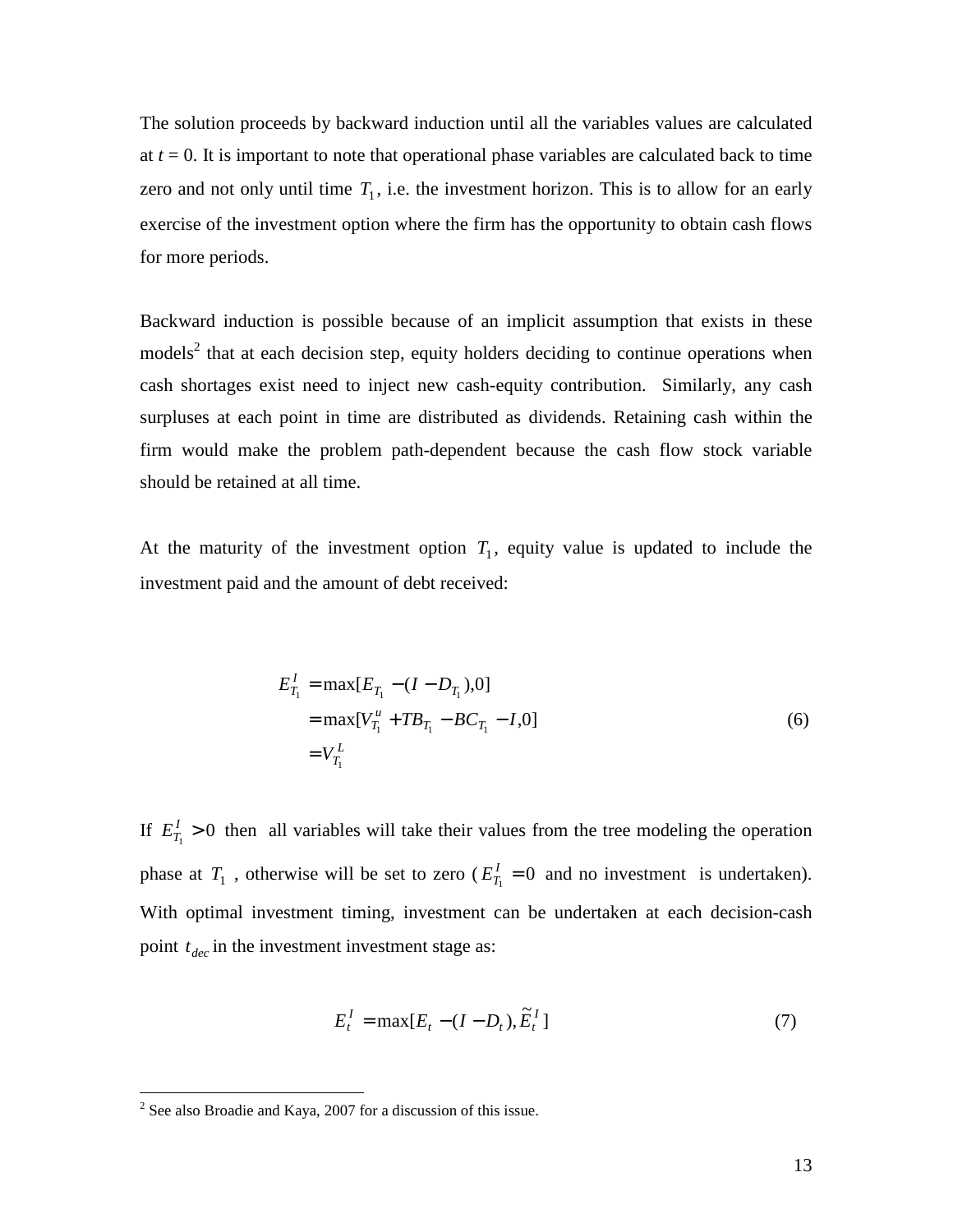The solution proceeds by backward induction until all the variables values are calculated at  $t = 0$ . It is important to note that operational phase variables are calculated back to time zero and not only until time  $T_1$ , i.e. the investment horizon. This is to allow for an early exercise of the investment option where the firm has the opportunity to obtain cash flows for more periods.

Backward induction is possible because of an implicit assumption that exists in these models<sup>2</sup> that at each decision step, equity holders deciding to continue operations when cash shortages exist need to inject new cash-equity contribution. Similarly, any cash surpluses at each point in time are distributed as dividends. Retaining cash within the firm would make the problem path-dependent because the cash flow stock variable should be retained at all time.

At the maturity of the investment option  $T_1$ , equity value is updated to include the investment paid and the amount of debt received:

$$
E_{T_1}^I = \max[E_{T_1} - (I - D_{T_1}), 0]
$$
  
= 
$$
\max[V_{T_1}^u + TB_{T_1} - BC_{T_1} - I, 0]
$$
  
= 
$$
V_{T_1}^L
$$
 (6)

If  $E_{T_1}^{\prime} > 0$  then all variables will take their values from the tree modeling the operation phase at  $T_1$ , otherwise will be set to zero ( $E_{T_1}^I = 0$  and no investment is undertaken). With optimal investment timing, investment can be undertaken at each decision-cash point  $t_{dec}$  in the investment investment stage as:

$$
E_t^I = \max[E_t - (I - D_t), \tilde{E}_t^I]
$$
\n<sup>(7)</sup>

<sup>&</sup>lt;sup>2</sup> See also Broadie and Kaya, 2007 for a discussion of this issue.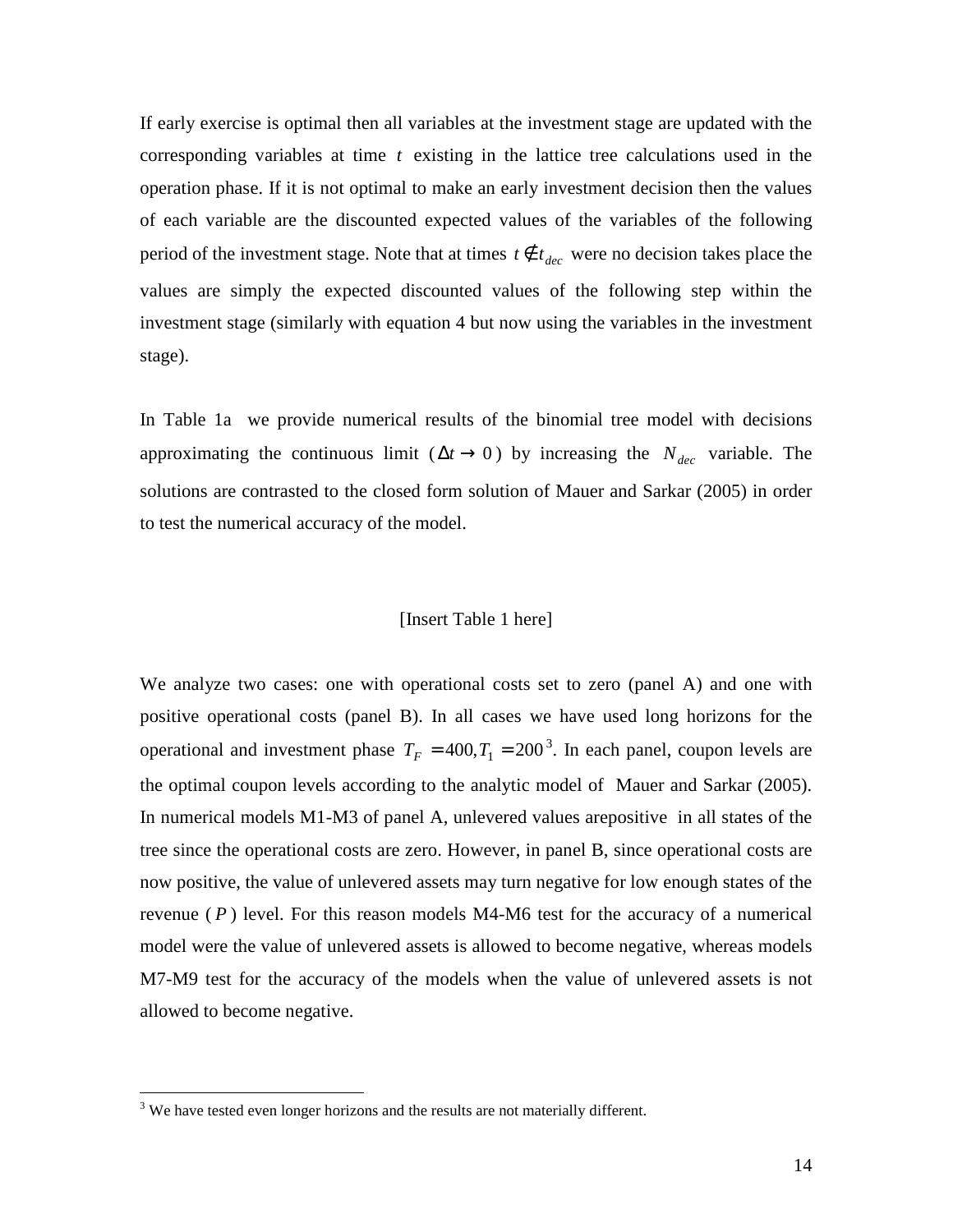If early exercise is optimal then all variables at the investment stage are updated with the corresponding variables at time *t* existing in the lattice tree calculations used in the operation phase. If it is not optimal to make an early investment decision then the values of each variable are the discounted expected values of the variables of the following period of the investment stage. Note that at times  $t \notin t_{dec}$  were no decision takes place the values are simply the expected discounted values of the following step within the investment stage (similarly with equation 4 but now using the variables in the investment stage).

In Table 1a we provide numerical results of the binomial tree model with decisions approximating the continuous limit ( $\Delta t \rightarrow 0$ ) by increasing the *N*<sub>dec</sub> variable. The solutions are contrasted to the closed form solution of Mauer and Sarkar (2005) in order to test the numerical accuracy of the model.

### [Insert Table 1 here]

We analyze two cases: one with operational costs set to zero (panel A) and one with positive operational costs (panel B). In all cases we have used long horizons for the operational and investment phase  $T_F = 400, T_1 = 200^3$ . In each panel, coupon levels are the optimal coupon levels according to the analytic model of Mauer and Sarkar (2005). In numerical models M1-M3 of panel A, unlevered values arepositive in all states of the tree since the operational costs are zero. However, in panel B, since operational costs are now positive, the value of unlevered assets may turn negative for low enough states of the revenue  $(P)$  level. For this reason models M4-M6 test for the accuracy of a numerical model were the value of unlevered assets is allowed to become negative, whereas models M7-M9 test for the accuracy of the models when the value of unlevered assets is not allowed to become negative.

<u>.</u>

 $3$  We have tested even longer horizons and the results are not materially different.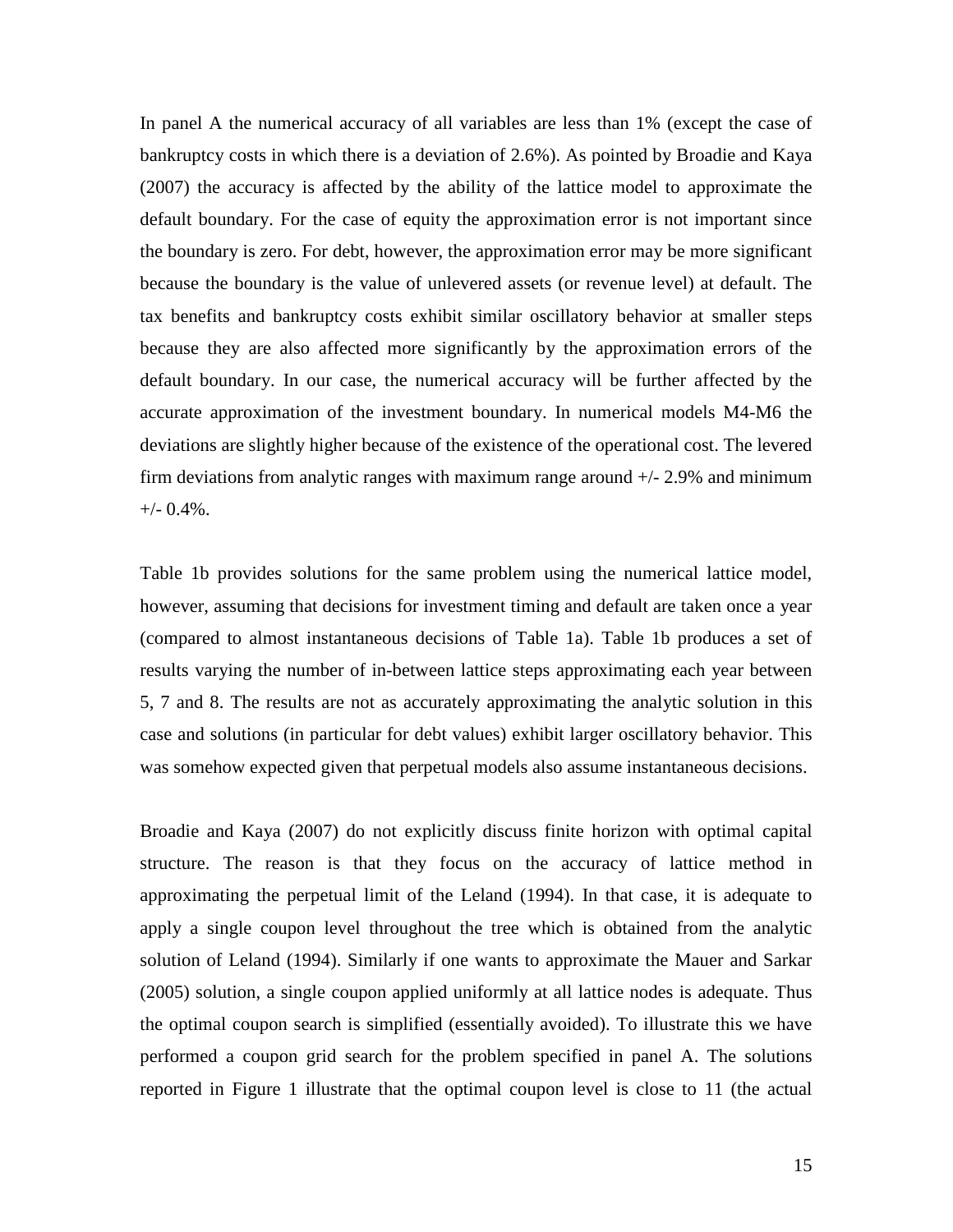In panel A the numerical accuracy of all variables are less than 1% (except the case of bankruptcy costs in which there is a deviation of 2.6%). As pointed by Broadie and Kaya (2007) the accuracy is affected by the ability of the lattice model to approximate the default boundary. For the case of equity the approximation error is not important since the boundary is zero. For debt, however, the approximation error may be more significant because the boundary is the value of unlevered assets (or revenue level) at default. The tax benefits and bankruptcy costs exhibit similar oscillatory behavior at smaller steps because they are also affected more significantly by the approximation errors of the default boundary. In our case, the numerical accuracy will be further affected by the accurate approximation of the investment boundary. In numerical models M4-M6 the deviations are slightly higher because of the existence of the operational cost. The levered firm deviations from analytic ranges with maximum range around +/- 2.9% and minimum  $+/-$  0.4%.

Table 1b provides solutions for the same problem using the numerical lattice model, however, assuming that decisions for investment timing and default are taken once a year (compared to almost instantaneous decisions of Table 1a). Table 1b produces a set of results varying the number of in-between lattice steps approximating each year between 5, 7 and 8. The results are not as accurately approximating the analytic solution in this case and solutions (in particular for debt values) exhibit larger oscillatory behavior. This was somehow expected given that perpetual models also assume instantaneous decisions.

Broadie and Kaya (2007) do not explicitly discuss finite horizon with optimal capital structure. The reason is that they focus on the accuracy of lattice method in approximating the perpetual limit of the Leland (1994). In that case, it is adequate to apply a single coupon level throughout the tree which is obtained from the analytic solution of Leland (1994). Similarly if one wants to approximate the Mauer and Sarkar (2005) solution, a single coupon applied uniformly at all lattice nodes is adequate. Thus the optimal coupon search is simplified (essentially avoided). To illustrate this we have performed a coupon grid search for the problem specified in panel A. The solutions reported in Figure 1 illustrate that the optimal coupon level is close to 11 (the actual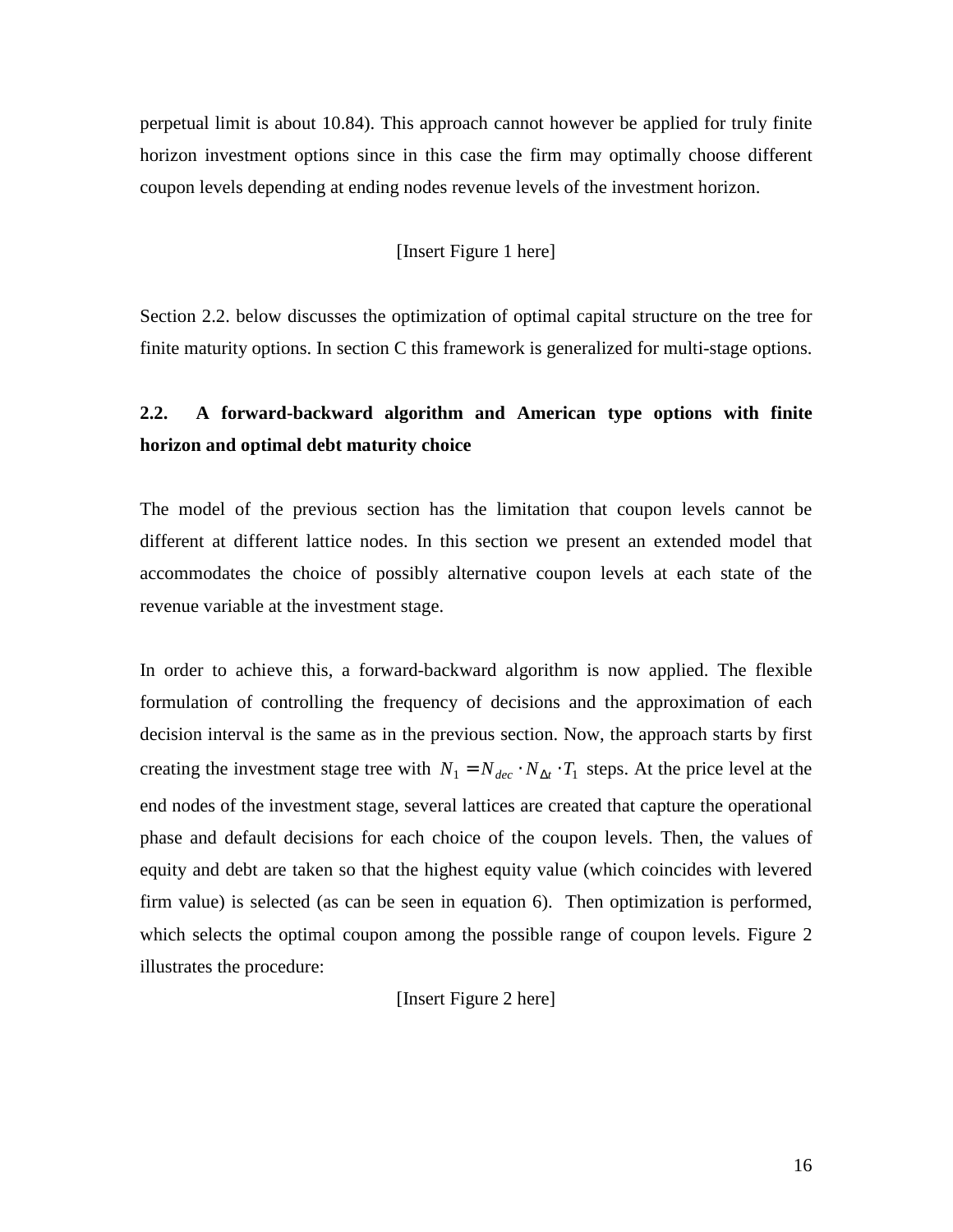perpetual limit is about 10.84). This approach cannot however be applied for truly finite horizon investment options since in this case the firm may optimally choose different coupon levels depending at ending nodes revenue levels of the investment horizon.

## [Insert Figure 1 here]

Section 2.2. below discusses the optimization of optimal capital structure on the tree for finite maturity options. In section C this framework is generalized for multi-stage options.

# **2.2. A forward-backward algorithm and American type options with finite horizon and optimal debt maturity choice**

The model of the previous section has the limitation that coupon levels cannot be different at different lattice nodes. In this section we present an extended model that accommodates the choice of possibly alternative coupon levels at each state of the revenue variable at the investment stage.

In order to achieve this, a forward-backward algorithm is now applied. The flexible formulation of controlling the frequency of decisions and the approximation of each decision interval is the same as in the previous section. Now, the approach starts by first creating the investment stage tree with  $N_1 = N_{dec} \cdot N_{\Delta t} \cdot T_1$  steps. At the price level at the end nodes of the investment stage, several lattices are created that capture the operational phase and default decisions for each choice of the coupon levels. Then, the values of equity and debt are taken so that the highest equity value (which coincides with levered firm value) is selected (as can be seen in equation 6). Then optimization is performed, which selects the optimal coupon among the possible range of coupon levels. Figure 2 illustrates the procedure:

#### [Insert Figure 2 here]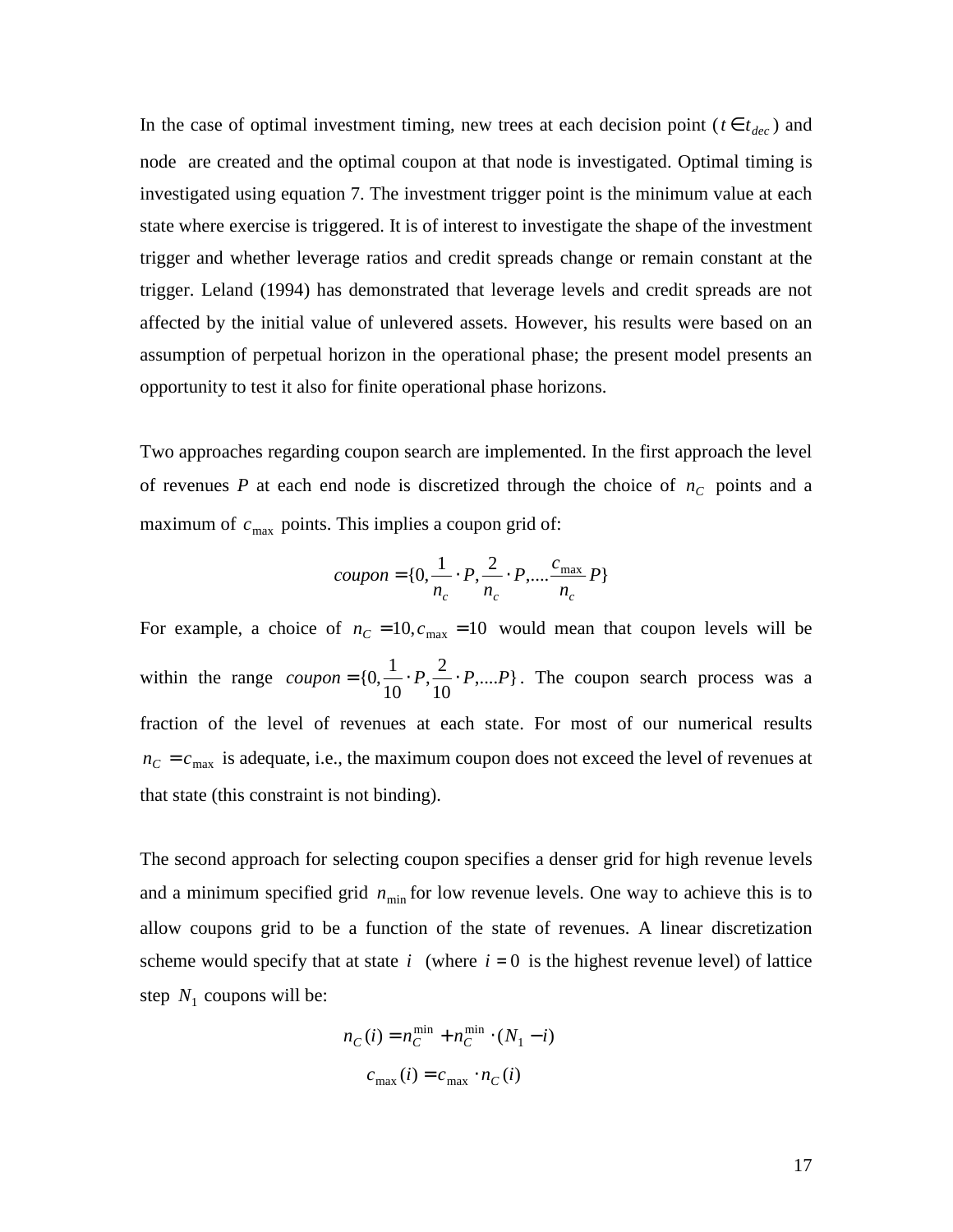In the case of optimal investment timing, new trees at each decision point ( $t \in t_{dec}$ ) and node are created and the optimal coupon at that node is investigated. Optimal timing is investigated using equation 7. The investment trigger point is the minimum value at each state where exercise is triggered. It is of interest to investigate the shape of the investment trigger and whether leverage ratios and credit spreads change or remain constant at the trigger. Leland (1994) has demonstrated that leverage levels and credit spreads are not affected by the initial value of unlevered assets. However, his results were based on an assumption of perpetual horizon in the operational phase; the present model presents an opportunity to test it also for finite operational phase horizons.

Two approaches regarding coupon search are implemented. In the first approach the level of revenues *P* at each end node is discretized through the choice of  $n_c$  points and a maximum of  $c_{\text{max}}$  points. This implies a coupon grid of:

$$
coupon = \{0, \frac{1}{n_c} \cdot P, \frac{2}{n_c} \cdot P, \dots, \frac{c_{\text{max}}}{n_c} P\}
$$

For example, a choice of  $n_C = 10$ ,  $c_{\text{max}} = 10$  would mean that coupon levels will be within the range  $coupon = \{0, \frac{1}{10}, P, \frac{2}{10}, P, \ldots\}$ 10  $\frac{2}{16}$ 10  $coupon = \{0, \frac{1}{10}, P, \frac{2}{10}, P, \dots, P\}$ . The coupon search process was a fraction of the level of revenues at each state. For most of our numerical results  $n_c = c_{\text{max}}$  is adequate, i.e., the maximum coupon does not exceed the level of revenues at that state (this constraint is not binding).

The second approach for selecting coupon specifies a denser grid for high revenue levels and a minimum specified grid  $n_{\min}$  for low revenue levels. One way to achieve this is to allow coupons grid to be a function of the state of revenues. A linear discretization scheme would specify that at state  $i$  (where  $i = 0$  is the highest revenue level) of lattice step  $N_1$  coupons will be:

$$
n_C(i) = n_C^{\min} + n_C^{\min} \cdot (N_1 - i)
$$

$$
c_{\max}(i) = c_{\max} \cdot n_C(i)
$$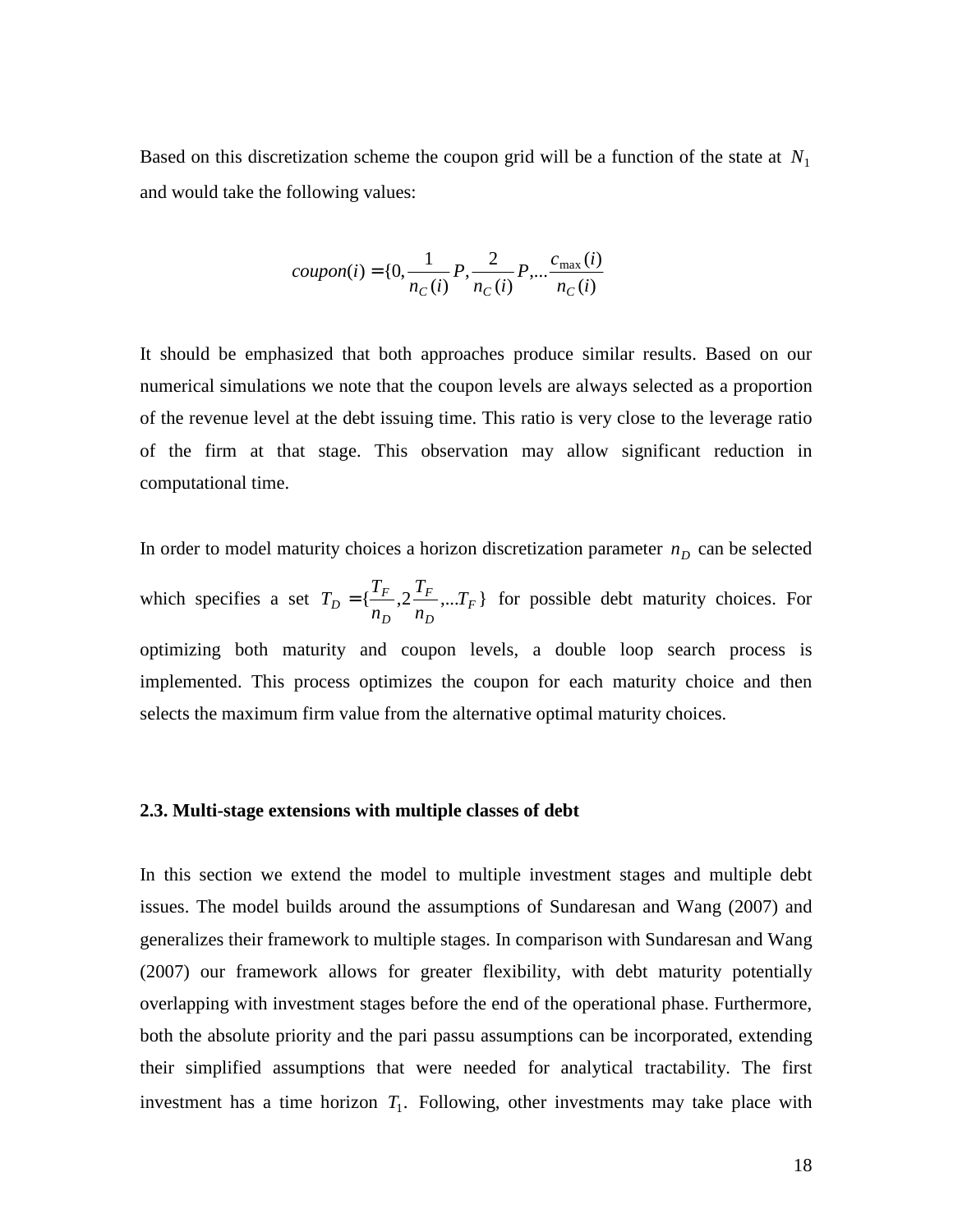Based on this discretization scheme the coupon grid will be a function of the state at *N*<sup>1</sup> and would take the following values:

$$
coupon(i) = \{0, \frac{1}{n_C(i)}P, \frac{2}{n_C(i)}P, \dots \frac{c_{\text{max}}(i)}{n_C(i)}
$$

It should be emphasized that both approaches produce similar results. Based on our numerical simulations we note that the coupon levels are always selected as a proportion of the revenue level at the debt issuing time. This ratio is very close to the leverage ratio of the firm at that stage. This observation may allow significant reduction in computational time.

In order to model maturity choices a horizon discretization parameter  $n<sub>D</sub>$  can be selected which specifies a set  $T_D = \{\frac{T_F}{T}, 2\frac{T_F}{T}, ... T_F\}$ *D F D*  $T_D = \{\frac{I_F}{n_D}, 2\frac{I_F}{n_D}, ... T\}$ *T n*  $T_D = \{ \frac{T_F}{T}, 2 \frac{T_F}{T}, \dots T_F \}$  for possible debt maturity choices. For optimizing both maturity and coupon levels, a double loop search process is implemented. This process optimizes the coupon for each maturity choice and then selects the maximum firm value from the alternative optimal maturity choices.

#### **2.3. Multi-stage extensions with multiple classes of debt**

In this section we extend the model to multiple investment stages and multiple debt issues. The model builds around the assumptions of Sundaresan and Wang (2007) and generalizes their framework to multiple stages. In comparison with Sundaresan and Wang (2007) our framework allows for greater flexibility, with debt maturity potentially overlapping with investment stages before the end of the operational phase. Furthermore, both the absolute priority and the pari passu assumptions can be incorporated, extending their simplified assumptions that were needed for analytical tractability. The first investment has a time horizon  $T_1$ . Following, other investments may take place with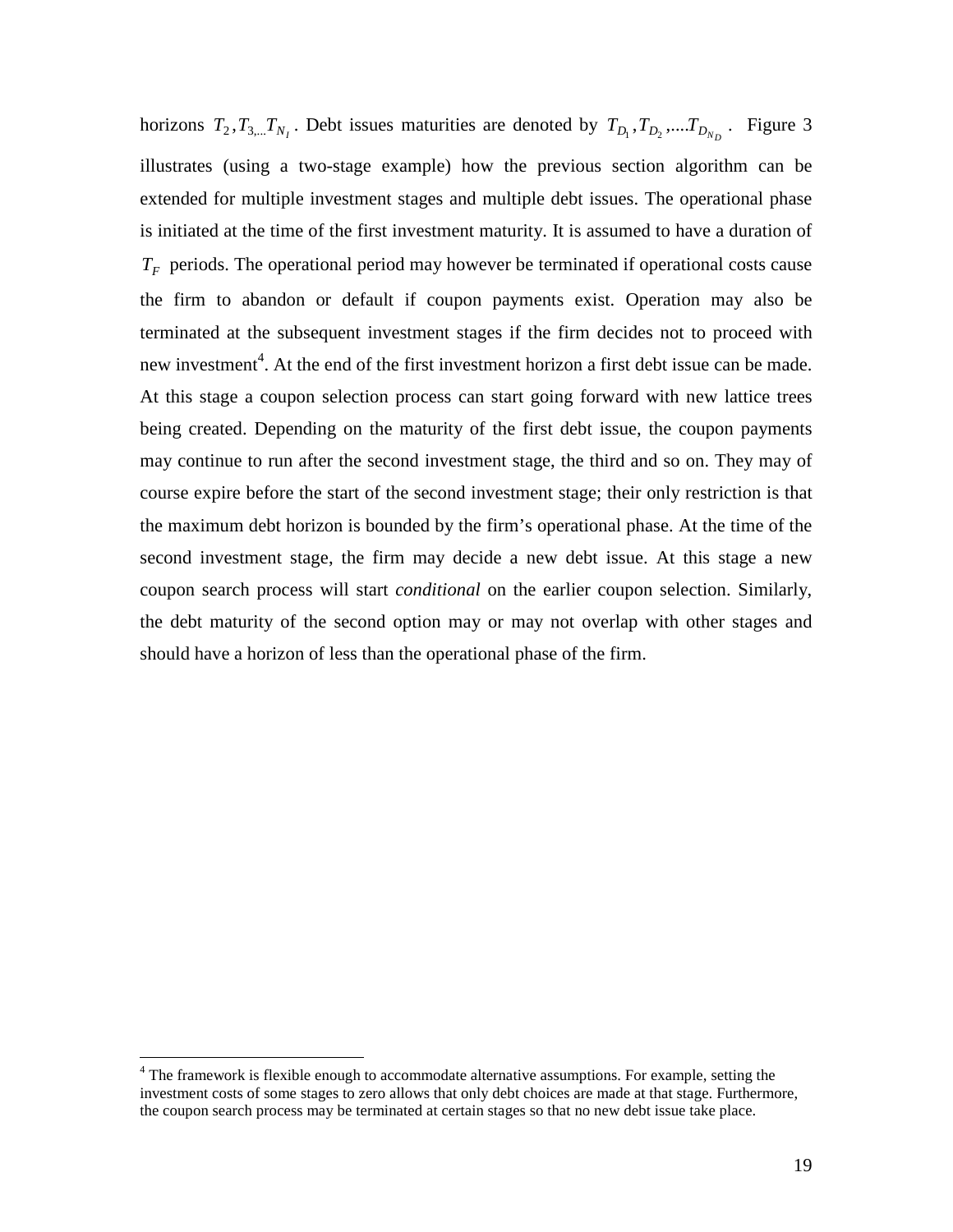horizons  $T_2$ ,  $T_{3,\dots}$   $T_{N_I}$ . Debt issues maturities are denoted by  $T_{D_1}$ ,  $T_{D_2}$ ,  $\ldots$   $T_{D_{N_D}}$ . Figure 3 illustrates (using a two-stage example) how the previous section algorithm can be extended for multiple investment stages and multiple debt issues. The operational phase is initiated at the time of the first investment maturity. It is assumed to have a duration of *TF* periods. The operational period may however be terminated if operational costs cause the firm to abandon or default if coupon payments exist. Operation may also be terminated at the subsequent investment stages if the firm decides not to proceed with new investment<sup>4</sup>. At the end of the first investment horizon a first debt issue can be made. At this stage a coupon selection process can start going forward with new lattice trees being created. Depending on the maturity of the first debt issue, the coupon payments may continue to run after the second investment stage, the third and so on. They may of course expire before the start of the second investment stage; their only restriction is that the maximum debt horizon is bounded by the firm's operational phase. At the time of the second investment stage, the firm may decide a new debt issue. At this stage a new coupon search process will start *conditional* on the earlier coupon selection. Similarly, the debt maturity of the second option may or may not overlap with other stages and should have a horizon of less than the operational phase of the firm.

The framework is flexible enough to accommodate alternative assumptions. For example, setting the investment costs of some stages to zero allows that only debt choices are made at that stage. Furthermore, the coupon search process may be terminated at certain stages so that no new debt issue take place.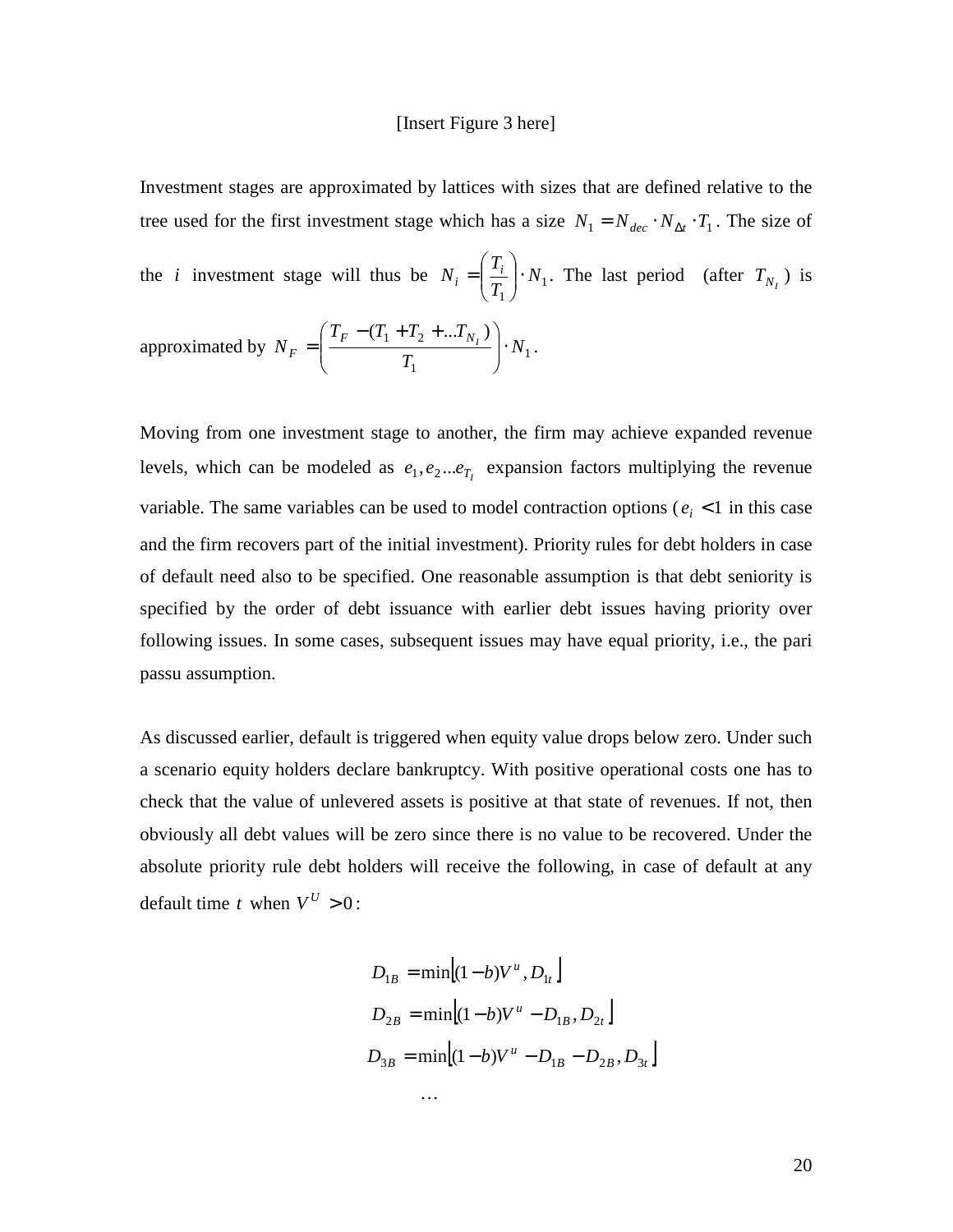#### [Insert Figure 3 here]

Investment stages are approximated by lattices with sizes that are defined relative to the tree used for the first investment stage which has a size  $N_1 = N_{dec} \cdot N_{\Delta t} \cdot T_1$ . The size of the *i* investment stage will thus be  $N_i = \frac{1}{T_i} \cdot N_1$ 1 *N T T*  $N_i = \frac{I_i}{T}$  $\mathbf{r}_i = \left| \frac{\mathbf{r}_i}{T} \right|$ . J  $\backslash$  $\overline{\phantom{a}}$ l ſ  $=$   $\left|\frac{r_i}{T}\right| \cdot N_1$ . The last period (after  $T_{N_I}$ ) is approximated by  $N_F = \frac{F}{T} \frac{(1 - \frac{E}{L})^2}{T} \cdot N_1$ 1  $(T_1 + T_2 + ... T_{N_l})$ *N T*  $T_F - (T_1 + T_2 + ... T_n)$  $N_F = \frac{I_F - (I_1 + I_2 + ... I_{N_I})}{T}$  $F = \frac{F - (T_1 + T_2 + ... + N_I)}{T}$ . J  $\backslash$  $\overline{\phantom{a}}$  $\setminus$  $T_F - (T_1 + T_2 +$  $=$   $\frac{r(1 - 2) \cdots (N_1)}{T} \cdot N_1$ .

Moving from one investment stage to another, the firm may achieve expanded revenue levels, which can be modeled as  $e_1, e_2...e_{T_I}$  expansion factors multiplying the revenue variable. The same variables can be used to model contraction options ( $e_i$  < 1 in this case and the firm recovers part of the initial investment). Priority rules for debt holders in case of default need also to be specified. One reasonable assumption is that debt seniority is specified by the order of debt issuance with earlier debt issues having priority over following issues. In some cases, subsequent issues may have equal priority, i.e., the pari passu assumption.

As discussed earlier, default is triggered when equity value drops below zero. Under such a scenario equity holders declare bankruptcy. With positive operational costs one has to check that the value of unlevered assets is positive at that state of revenues. If not, then obviously all debt values will be zero since there is no value to be recovered. Under the absolute priority rule debt holders will receive the following, in case of default at any default time *t* when  $V^U > 0$ :

$$
D_{1B} = \min[(1 - b)V^{u}, D_{1t}]
$$
  
\n
$$
D_{2B} = \min[(1 - b)V^{u} - D_{1B}, D_{2t}]
$$
  
\n
$$
D_{3B} = \min[(1 - b)V^{u} - D_{1B} - D_{2B}, D_{3t}]
$$
  
\n...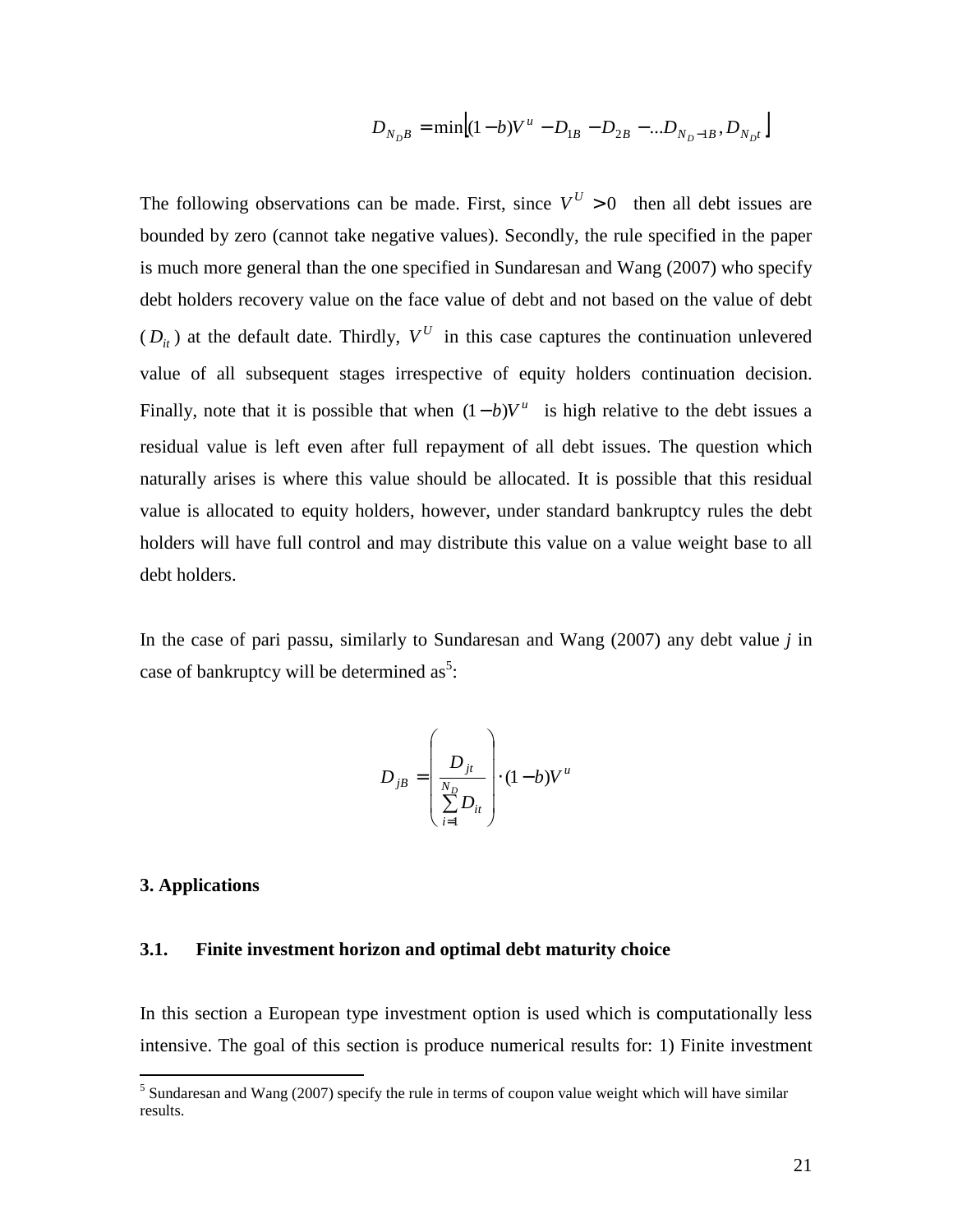$$
D_{N_{D}B} = \min \left[ (1-b)V^{u} - D_{1B} - D_{2B} - ... D_{N_{D}-1B}, D_{N_{D}t} \right]
$$

The following observations can be made. First, since  $V^U > 0$  then all debt issues are bounded by zero (cannot take negative values). Secondly, the rule specified in the paper is much more general than the one specified in Sundaresan and Wang (2007) who specify debt holders recovery value on the face value of debt and not based on the value of debt  $(D_{it})$  at the default date. Thirdly,  $V^U$  in this case captures the continuation unlevered value of all subsequent stages irrespective of equity holders continuation decision. Finally, note that it is possible that when  $(1 - b)V^u$  is high relative to the debt issues a residual value is left even after full repayment of all debt issues. The question which naturally arises is where this value should be allocated. It is possible that this residual value is allocated to equity holders, however, under standard bankruptcy rules the debt holders will have full control and may distribute this value on a value weight base to all debt holders.

In the case of pari passu, similarly to Sundaresan and Wang (2007) any debt value *j* in case of bankruptcy will be determined as<sup>5</sup>:

$$
D_{jB} = \left(\frac{D_{jt}}{\sum_{i=1}^{N_D} D_{it}}\right) \cdot (1 - b)V^{u}
$$

#### **3. Applications**

# **3.1. Finite investment horizon and optimal debt maturity choice**

In this section a European type investment option is used which is computationally less intensive. The goal of this section is produce numerical results for: 1) Finite investment

<sup>&</sup>lt;sup>5</sup> Sundaresan and Wang (2007) specify the rule in terms of coupon value weight which will have similar results.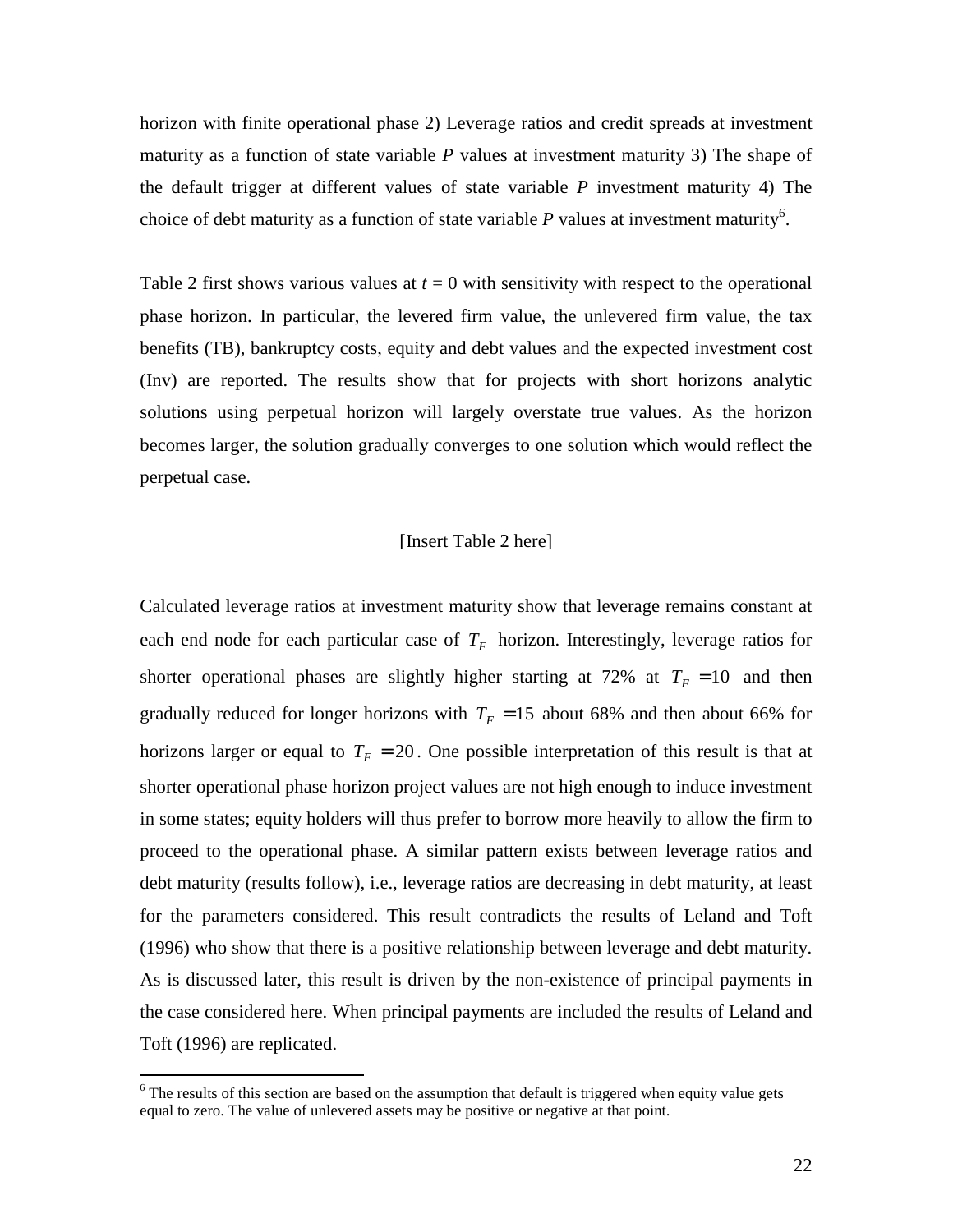horizon with finite operational phase 2) Leverage ratios and credit spreads at investment maturity as a function of state variable *P* values at investment maturity 3) The shape of the default trigger at different values of state variable *P* investment maturity 4) The choice of debt maturity as a function of state variable  $P$  values at investment maturity<sup>6</sup>.

Table 2 first shows various values at  $t = 0$  with sensitivity with respect to the operational phase horizon. In particular, the levered firm value, the unlevered firm value, the tax benefits (TB), bankruptcy costs, equity and debt values and the expected investment cost (Inv) are reported. The results show that for projects with short horizons analytic solutions using perpetual horizon will largely overstate true values. As the horizon becomes larger, the solution gradually converges to one solution which would reflect the perpetual case.

## [Insert Table 2 here]

Calculated leverage ratios at investment maturity show that leverage remains constant at each end node for each particular case of  $T_F$  horizon. Interestingly, leverage ratios for shorter operational phases are slightly higher starting at 72% at  $T_F = 10$  and then gradually reduced for longer horizons with  $T_F = 15$  about 68% and then about 66% for horizons larger or equal to  $T_F = 20$ . One possible interpretation of this result is that at shorter operational phase horizon project values are not high enough to induce investment in some states; equity holders will thus prefer to borrow more heavily to allow the firm to proceed to the operational phase. A similar pattern exists between leverage ratios and debt maturity (results follow), i.e., leverage ratios are decreasing in debt maturity, at least for the parameters considered. This result contradicts the results of Leland and Toft (1996) who show that there is a positive relationship between leverage and debt maturity. As is discussed later, this result is driven by the non-existence of principal payments in the case considered here. When principal payments are included the results of Leland and Toft (1996) are replicated.

The results of this section are based on the assumption that default is triggered when equity value gets equal to zero. The value of unlevered assets may be positive or negative at that point.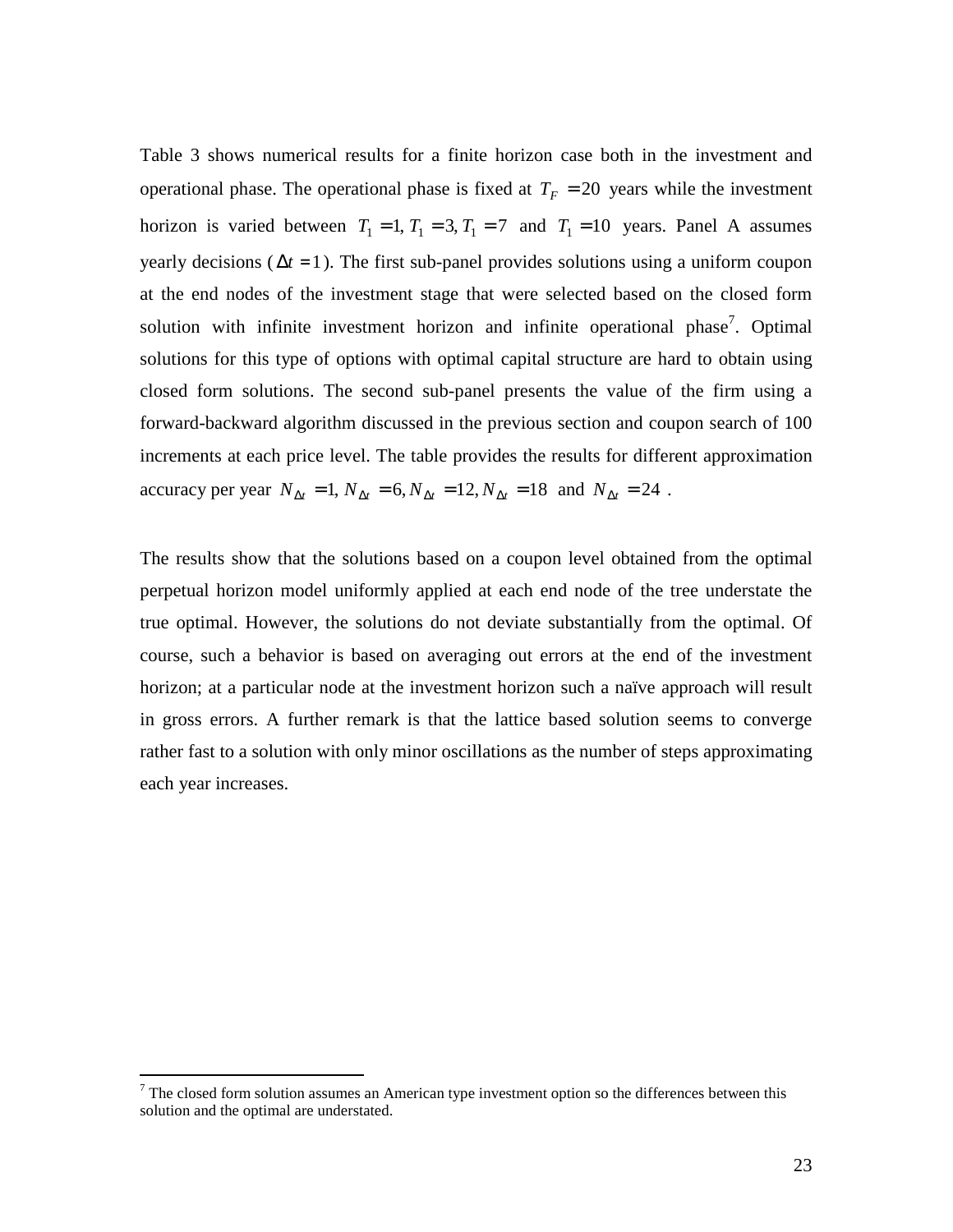Table 3 shows numerical results for a finite horizon case both in the investment and operational phase. The operational phase is fixed at  $T_F = 20$  years while the investment horizon is varied between  $T_1 = 1, T_1 = 3, T_1 = 7$  and  $T_1 = 10$  years. Panel A assumes yearly decisions ( $\Delta t = 1$ ). The first sub-panel provides solutions using a uniform coupon at the end nodes of the investment stage that were selected based on the closed form solution with infinite investment horizon and infinite operational phase<sup>7</sup>. Optimal solutions for this type of options with optimal capital structure are hard to obtain using closed form solutions. The second sub-panel presents the value of the firm using a forward-backward algorithm discussed in the previous section and coupon search of 100 increments at each price level. The table provides the results for different approximation accuracy per year  $N_{\Delta t} = 1$ ,  $N_{\Delta t} = 6$ ,  $N_{\Delta t} = 12$ ,  $N_{\Delta t} = 18$  and  $N_{\Delta t} = 24$ .

The results show that the solutions based on a coupon level obtained from the optimal perpetual horizon model uniformly applied at each end node of the tree understate the true optimal. However, the solutions do not deviate substantially from the optimal. Of course, such a behavior is based on averaging out errors at the end of the investment horizon; at a particular node at the investment horizon such a naïve approach will result in gross errors. A further remark is that the lattice based solution seems to converge rather fast to a solution with only minor oscillations as the number of steps approximating each year increases.

The closed form solution assumes an American type investment option so the differences between this solution and the optimal are understated.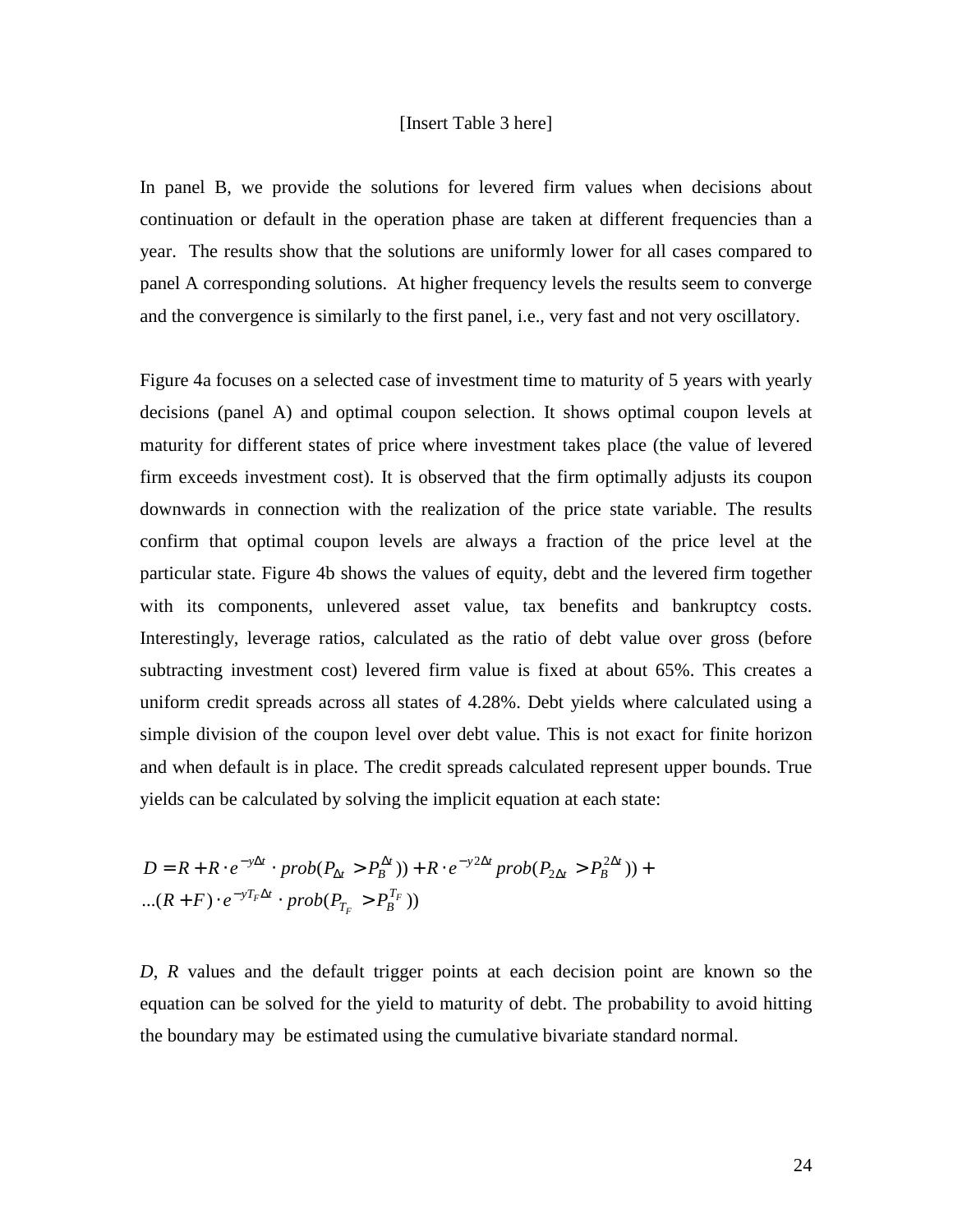### [Insert Table 3 here]

In panel B, we provide the solutions for levered firm values when decisions about continuation or default in the operation phase are taken at different frequencies than a year. The results show that the solutions are uniformly lower for all cases compared to panel A corresponding solutions. At higher frequency levels the results seem to converge and the convergence is similarly to the first panel, i.e., very fast and not very oscillatory.

Figure 4a focuses on a selected case of investment time to maturity of 5 years with yearly decisions (panel A) and optimal coupon selection. It shows optimal coupon levels at maturity for different states of price where investment takes place (the value of levered firm exceeds investment cost). It is observed that the firm optimally adjusts its coupon downwards in connection with the realization of the price state variable. The results confirm that optimal coupon levels are always a fraction of the price level at the particular state. Figure 4b shows the values of equity, debt and the levered firm together with its components, unlevered asset value, tax benefits and bankruptcy costs. Interestingly, leverage ratios, calculated as the ratio of debt value over gross (before subtracting investment cost) levered firm value is fixed at about 65%. This creates a uniform credit spreads across all states of 4.28%. Debt yields where calculated using a simple division of the coupon level over debt value. This is not exact for finite horizon and when default is in place. The credit spreads calculated represent upper bounds. True yields can be calculated by solving the implicit equation at each state:

$$
D = R + R \cdot e^{-y\Delta t} \cdot prob(P_{\Delta t} > P_B^{\Delta t})) + R \cdot e^{-y2\Delta t} prob(P_{2\Delta t} > P_B^{2\Delta t})) + ... (R + F) \cdot e^{-yT_F\Delta t} \cdot prob(P_{T_F} > P_B^{T_F}))
$$

*D*, *R* values and the default trigger points at each decision point are known so the equation can be solved for the yield to maturity of debt. The probability to avoid hitting the boundary may be estimated using the cumulative bivariate standard normal.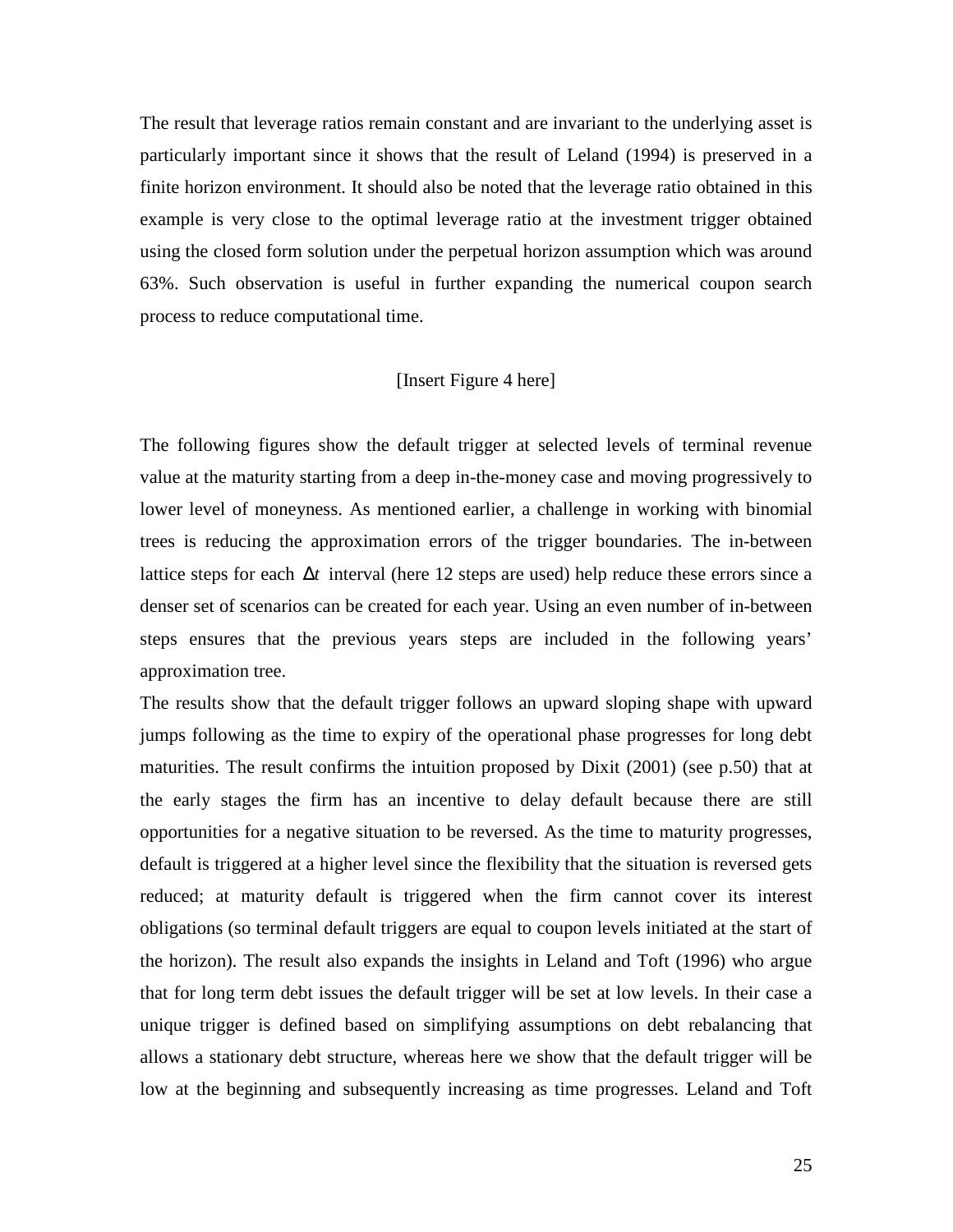The result that leverage ratios remain constant and are invariant to the underlying asset is particularly important since it shows that the result of Leland (1994) is preserved in a finite horizon environment. It should also be noted that the leverage ratio obtained in this example is very close to the optimal leverage ratio at the investment trigger obtained using the closed form solution under the perpetual horizon assumption which was around 63%. Such observation is useful in further expanding the numerical coupon search process to reduce computational time.

### [Insert Figure 4 here]

The following figures show the default trigger at selected levels of terminal revenue value at the maturity starting from a deep in-the-money case and moving progressively to lower level of moneyness. As mentioned earlier, a challenge in working with binomial trees is reducing the approximation errors of the trigger boundaries. The in-between lattice steps for each ∆*t* interval (here 12 steps are used) help reduce these errors since a denser set of scenarios can be created for each year. Using an even number of in-between steps ensures that the previous years steps are included in the following years' approximation tree.

The results show that the default trigger follows an upward sloping shape with upward jumps following as the time to expiry of the operational phase progresses for long debt maturities. The result confirms the intuition proposed by Dixit (2001) (see p.50) that at the early stages the firm has an incentive to delay default because there are still opportunities for a negative situation to be reversed. As the time to maturity progresses, default is triggered at a higher level since the flexibility that the situation is reversed gets reduced; at maturity default is triggered when the firm cannot cover its interest obligations (so terminal default triggers are equal to coupon levels initiated at the start of the horizon). The result also expands the insights in Leland and Toft (1996) who argue that for long term debt issues the default trigger will be set at low levels. In their case a unique trigger is defined based on simplifying assumptions on debt rebalancing that allows a stationary debt structure, whereas here we show that the default trigger will be low at the beginning and subsequently increasing as time progresses. Leland and Toft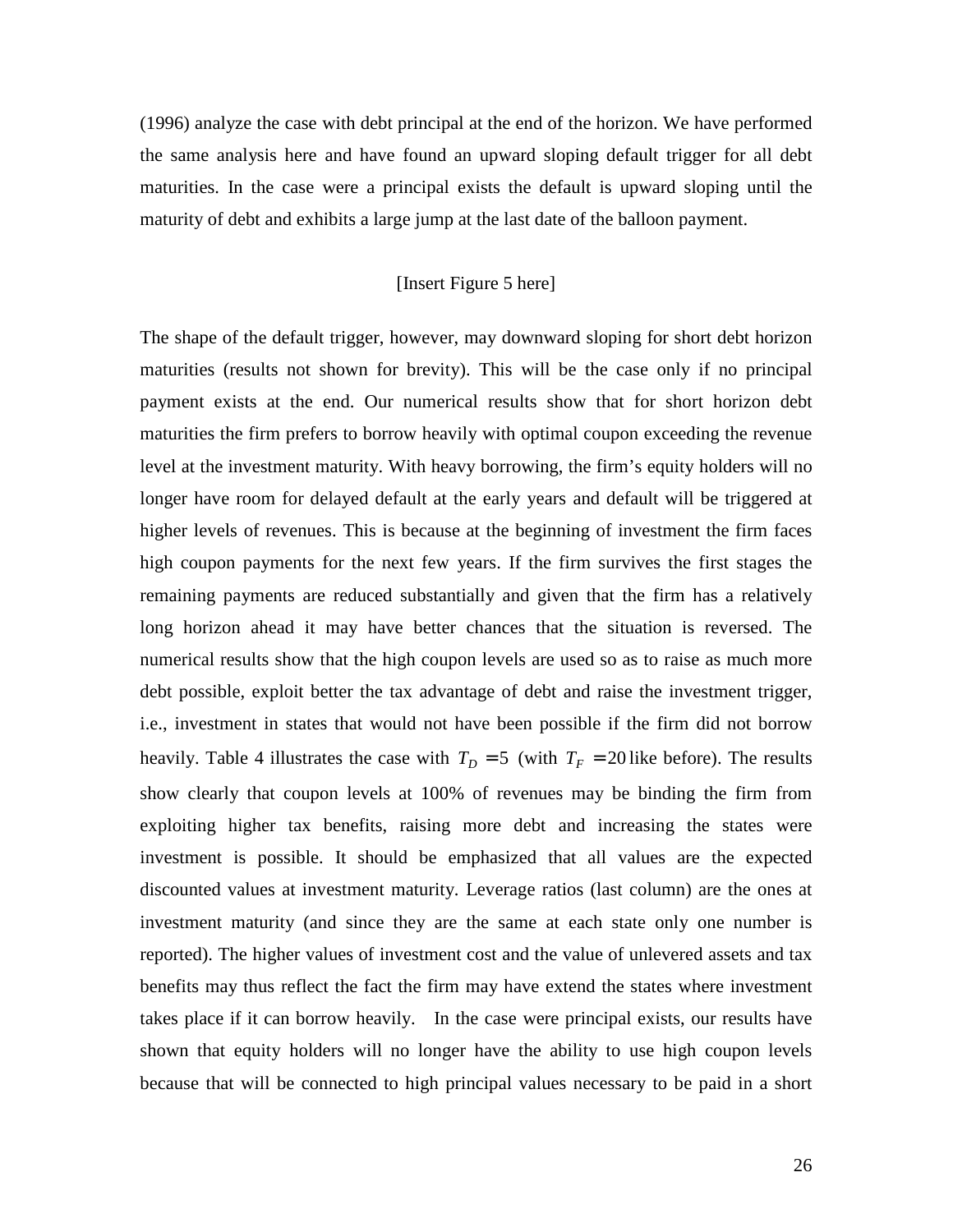(1996) analyze the case with debt principal at the end of the horizon. We have performed the same analysis here and have found an upward sloping default trigger for all debt maturities. In the case were a principal exists the default is upward sloping until the maturity of debt and exhibits a large jump at the last date of the balloon payment.

## [Insert Figure 5 here]

The shape of the default trigger, however, may downward sloping for short debt horizon maturities (results not shown for brevity). This will be the case only if no principal payment exists at the end. Our numerical results show that for short horizon debt maturities the firm prefers to borrow heavily with optimal coupon exceeding the revenue level at the investment maturity. With heavy borrowing, the firm's equity holders will no longer have room for delayed default at the early years and default will be triggered at higher levels of revenues. This is because at the beginning of investment the firm faces high coupon payments for the next few years. If the firm survives the first stages the remaining payments are reduced substantially and given that the firm has a relatively long horizon ahead it may have better chances that the situation is reversed. The numerical results show that the high coupon levels are used so as to raise as much more debt possible, exploit better the tax advantage of debt and raise the investment trigger, i.e., investment in states that would not have been possible if the firm did not borrow heavily. Table 4 illustrates the case with  $T_D = 5$  (with  $T_F = 20$  like before). The results show clearly that coupon levels at 100% of revenues may be binding the firm from exploiting higher tax benefits, raising more debt and increasing the states were investment is possible. It should be emphasized that all values are the expected discounted values at investment maturity. Leverage ratios (last column) are the ones at investment maturity (and since they are the same at each state only one number is reported). The higher values of investment cost and the value of unlevered assets and tax benefits may thus reflect the fact the firm may have extend the states where investment takes place if it can borrow heavily. In the case were principal exists, our results have shown that equity holders will no longer have the ability to use high coupon levels because that will be connected to high principal values necessary to be paid in a short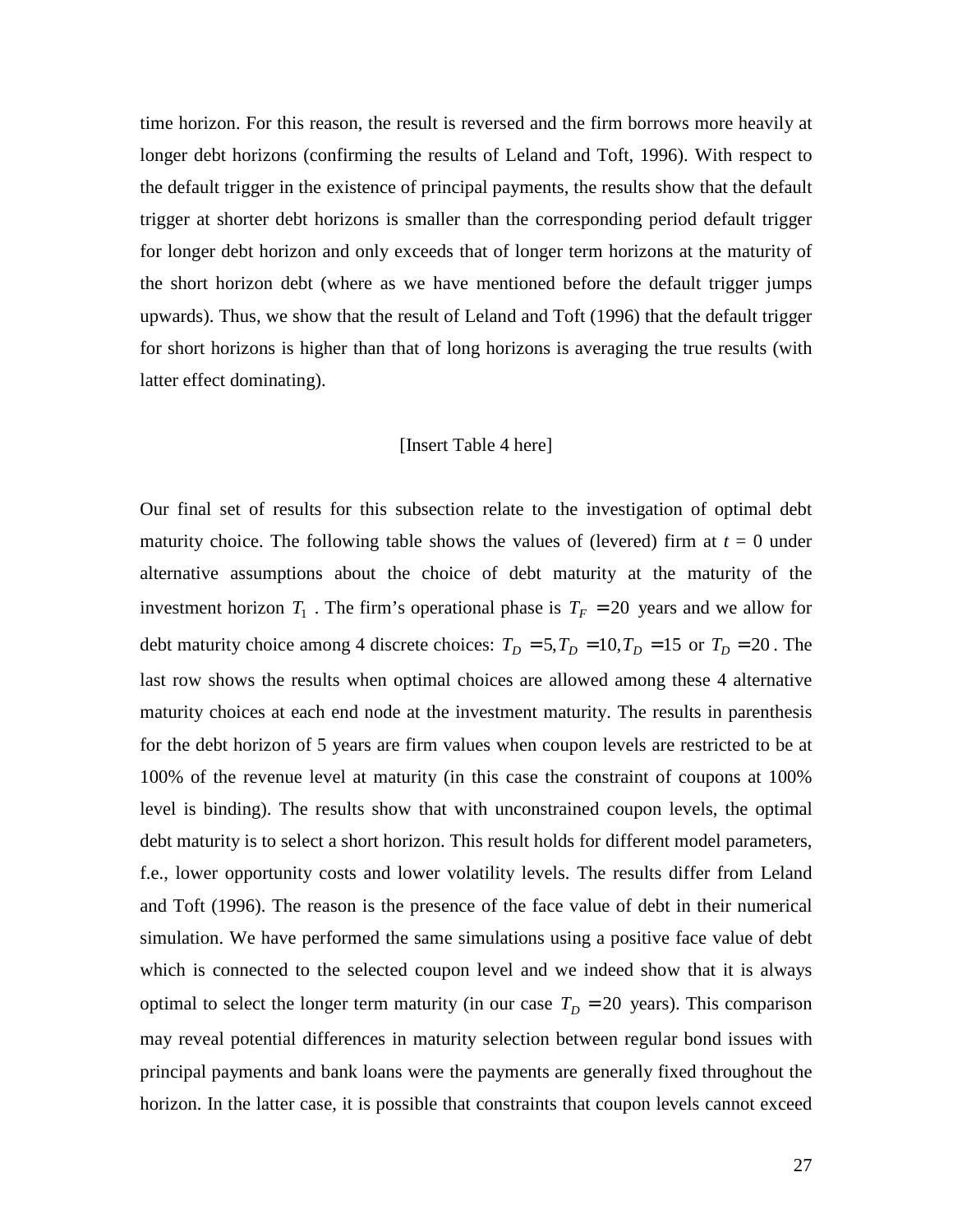time horizon. For this reason, the result is reversed and the firm borrows more heavily at longer debt horizons (confirming the results of Leland and Toft, 1996). With respect to the default trigger in the existence of principal payments, the results show that the default trigger at shorter debt horizons is smaller than the corresponding period default trigger for longer debt horizon and only exceeds that of longer term horizons at the maturity of the short horizon debt (where as we have mentioned before the default trigger jumps upwards). Thus, we show that the result of Leland and Toft (1996) that the default trigger for short horizons is higher than that of long horizons is averaging the true results (with latter effect dominating).

### [Insert Table 4 here]

Our final set of results for this subsection relate to the investigation of optimal debt maturity choice. The following table shows the values of (levered) firm at  $t = 0$  under alternative assumptions about the choice of debt maturity at the maturity of the investment horizon  $T_1$ . The firm's operational phase is  $T_F = 20$  years and we allow for debt maturity choice among 4 discrete choices:  $T_D = 5$ ,  $T_D = 10$ ,  $T_D = 15$  or  $T_D = 20$ . The last row shows the results when optimal choices are allowed among these 4 alternative maturity choices at each end node at the investment maturity. The results in parenthesis for the debt horizon of 5 years are firm values when coupon levels are restricted to be at 100% of the revenue level at maturity (in this case the constraint of coupons at 100% level is binding). The results show that with unconstrained coupon levels, the optimal debt maturity is to select a short horizon. This result holds for different model parameters, f.e., lower opportunity costs and lower volatility levels. The results differ from Leland and Toft (1996). The reason is the presence of the face value of debt in their numerical simulation. We have performed the same simulations using a positive face value of debt which is connected to the selected coupon level and we indeed show that it is always optimal to select the longer term maturity (in our case  $T<sub>D</sub> = 20$  years). This comparison may reveal potential differences in maturity selection between regular bond issues with principal payments and bank loans were the payments are generally fixed throughout the horizon. In the latter case, it is possible that constraints that coupon levels cannot exceed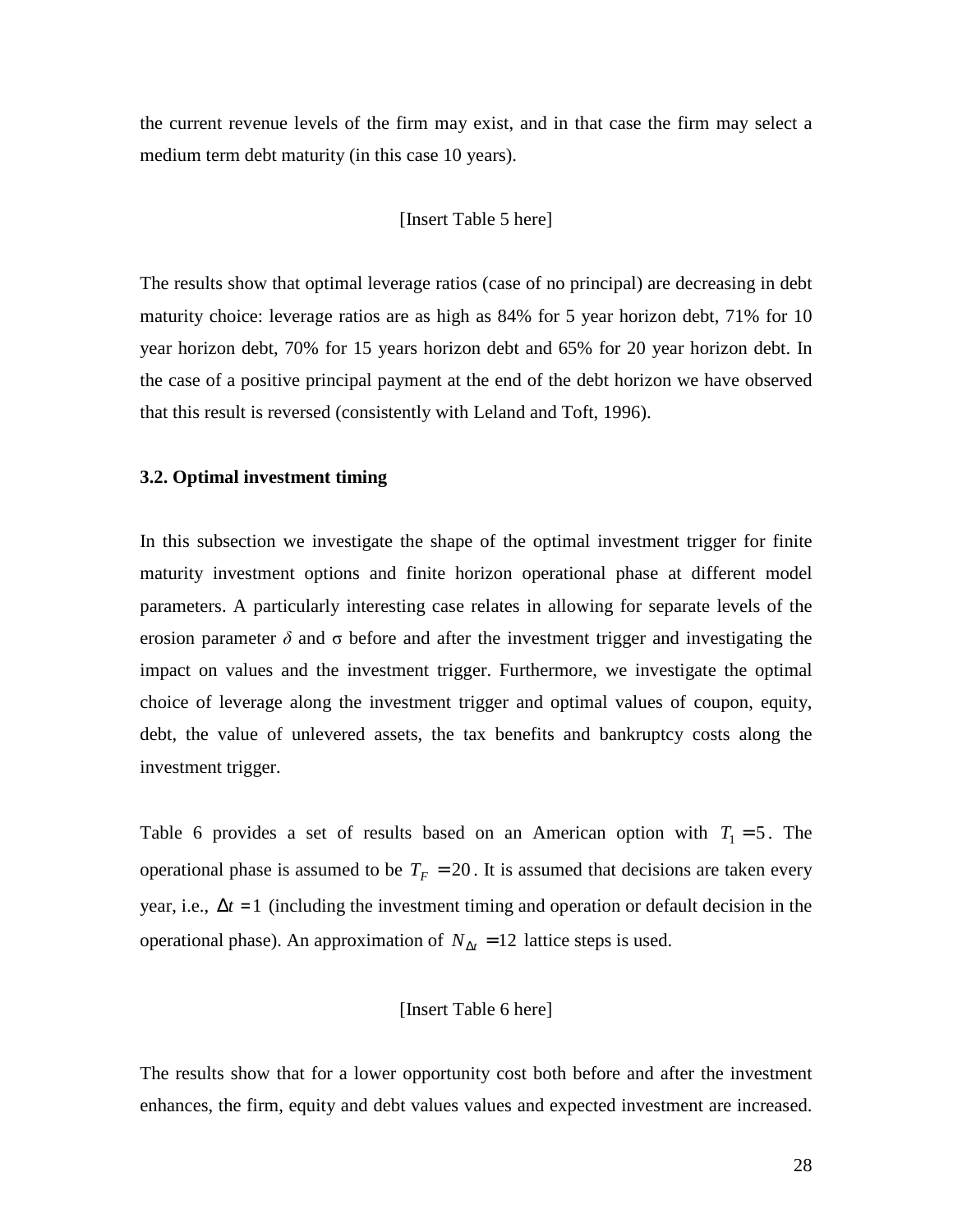the current revenue levels of the firm may exist, and in that case the firm may select a medium term debt maturity (in this case 10 years).

### [Insert Table 5 here]

The results show that optimal leverage ratios (case of no principal) are decreasing in debt maturity choice: leverage ratios are as high as 84% for 5 year horizon debt, 71% for 10 year horizon debt, 70% for 15 years horizon debt and 65% for 20 year horizon debt. In the case of a positive principal payment at the end of the debt horizon we have observed that this result is reversed (consistently with Leland and Toft, 1996).

## **3.2. Optimal investment timing**

In this subsection we investigate the shape of the optimal investment trigger for finite maturity investment options and finite horizon operational phase at different model parameters. A particularly interesting case relates in allowing for separate levels of the erosion parameter  $\delta$  and  $\sigma$  before and after the investment trigger and investigating the impact on values and the investment trigger. Furthermore, we investigate the optimal choice of leverage along the investment trigger and optimal values of coupon, equity, debt, the value of unlevered assets, the tax benefits and bankruptcy costs along the investment trigger.

Table 6 provides a set of results based on an American option with  $T_1 = 5$ . The operational phase is assumed to be  $T_F = 20$ . It is assumed that decisions are taken every year, i.e.,  $\Delta t = 1$  (including the investment timing and operation or default decision in the operational phase). An approximation of  $N_{\Delta t} = 12$  lattice steps is used.

### [Insert Table 6 here]

The results show that for a lower opportunity cost both before and after the investment enhances, the firm, equity and debt values values and expected investment are increased.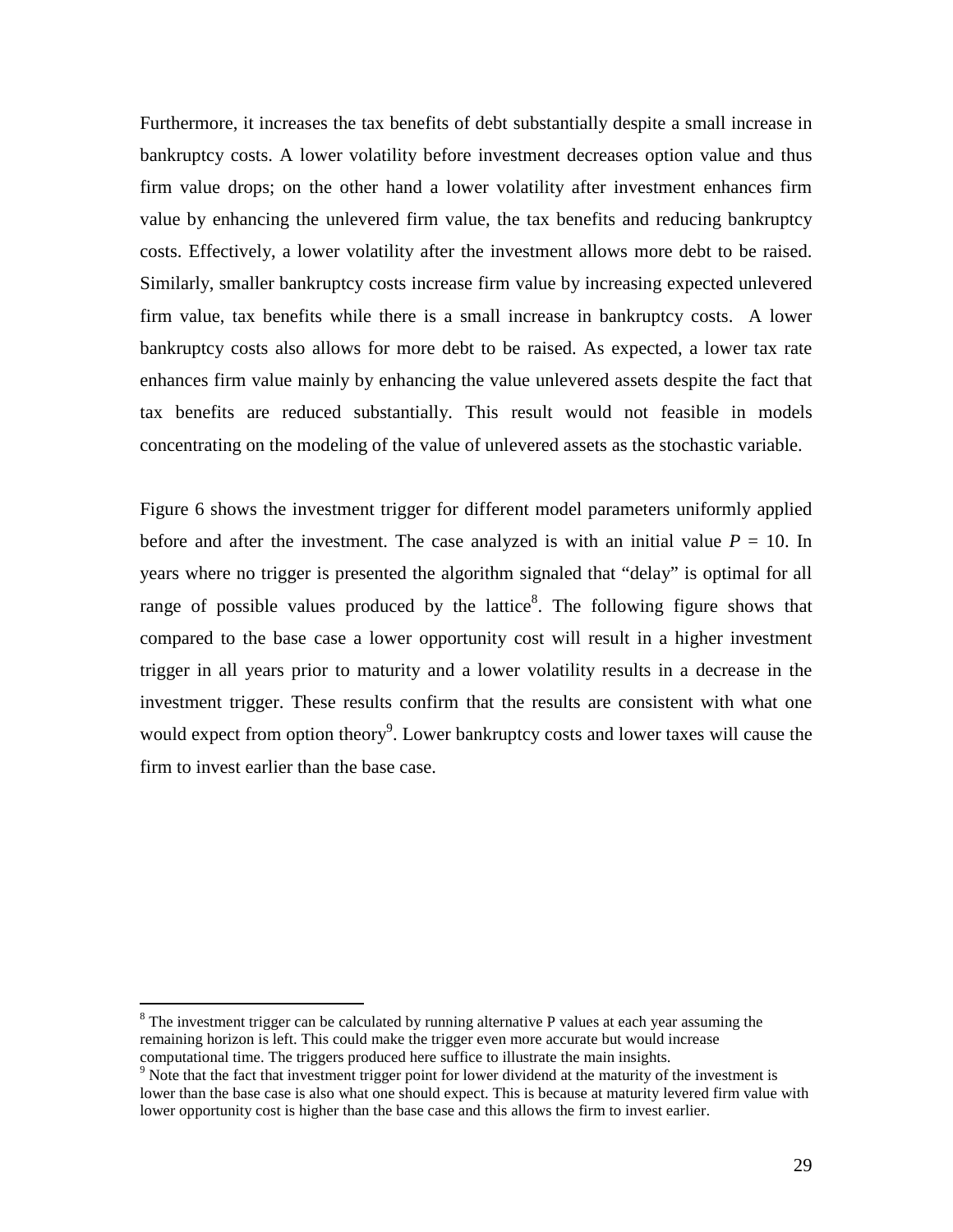Furthermore, it increases the tax benefits of debt substantially despite a small increase in bankruptcy costs. A lower volatility before investment decreases option value and thus firm value drops; on the other hand a lower volatility after investment enhances firm value by enhancing the unlevered firm value, the tax benefits and reducing bankruptcy costs. Effectively, a lower volatility after the investment allows more debt to be raised. Similarly, smaller bankruptcy costs increase firm value by increasing expected unlevered firm value, tax benefits while there is a small increase in bankruptcy costs. A lower bankruptcy costs also allows for more debt to be raised. As expected, a lower tax rate enhances firm value mainly by enhancing the value unlevered assets despite the fact that tax benefits are reduced substantially. This result would not feasible in models concentrating on the modeling of the value of unlevered assets as the stochastic variable.

Figure 6 shows the investment trigger for different model parameters uniformly applied before and after the investment. The case analyzed is with an initial value  $P = 10$ . In years where no trigger is presented the algorithm signaled that "delay" is optimal for all range of possible values produced by the lattice<sup>8</sup>. The following figure shows that compared to the base case a lower opportunity cost will result in a higher investment trigger in all years prior to maturity and a lower volatility results in a decrease in the investment trigger. These results confirm that the results are consistent with what one would expect from option theory<sup>9</sup>. Lower bankruptcy costs and lower taxes will cause the firm to invest earlier than the base case.

 $\ddot{ }$ 

 $8$  The investment trigger can be calculated by running alternative P values at each year assuming the remaining horizon is left. This could make the trigger even more accurate but would increase computational time. The triggers produced here suffice to illustrate the main insights.

<sup>&</sup>lt;sup>9</sup> Note that the fact that investment trigger point for lower dividend at the maturity of the investment is lower than the base case is also what one should expect. This is because at maturity levered firm value with lower opportunity cost is higher than the base case and this allows the firm to invest earlier.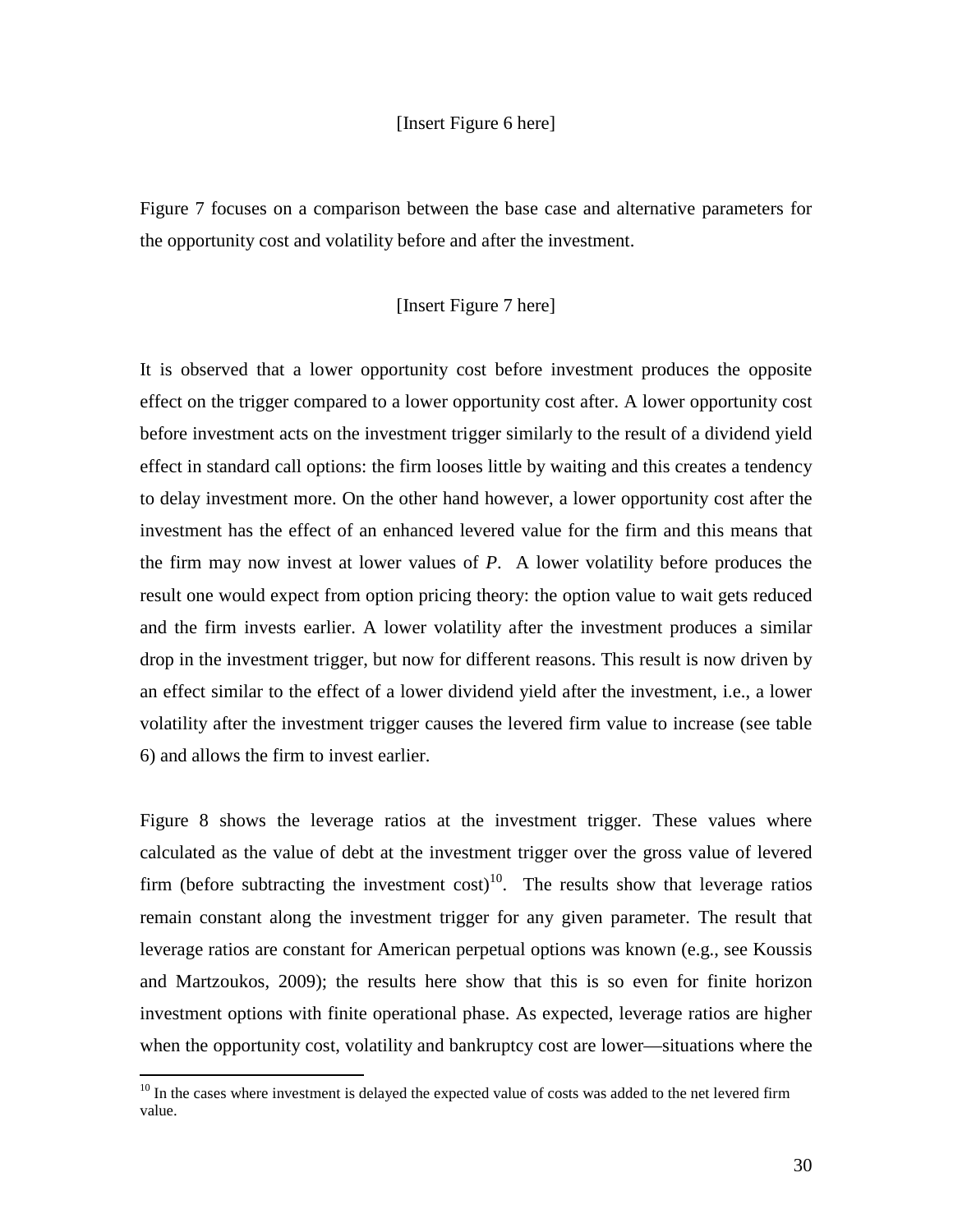### [Insert Figure 6 here]

Figure 7 focuses on a comparison between the base case and alternative parameters for the opportunity cost and volatility before and after the investment.

### [Insert Figure 7 here]

It is observed that a lower opportunity cost before investment produces the opposite effect on the trigger compared to a lower opportunity cost after. A lower opportunity cost before investment acts on the investment trigger similarly to the result of a dividend yield effect in standard call options: the firm looses little by waiting and this creates a tendency to delay investment more. On the other hand however, a lower opportunity cost after the investment has the effect of an enhanced levered value for the firm and this means that the firm may now invest at lower values of *P*. A lower volatility before produces the result one would expect from option pricing theory: the option value to wait gets reduced and the firm invests earlier. A lower volatility after the investment produces a similar drop in the investment trigger, but now for different reasons. This result is now driven by an effect similar to the effect of a lower dividend yield after the investment, i.e., a lower volatility after the investment trigger causes the levered firm value to increase (see table 6) and allows the firm to invest earlier.

Figure 8 shows the leverage ratios at the investment trigger. These values where calculated as the value of debt at the investment trigger over the gross value of levered firm (before subtracting the investment  $cost$ )<sup>10</sup>. The results show that leverage ratios remain constant along the investment trigger for any given parameter. The result that leverage ratios are constant for American perpetual options was known (e.g., see Koussis and Martzoukos, 2009); the results here show that this is so even for finite horizon investment options with finite operational phase. As expected, leverage ratios are higher when the opportunity cost, volatility and bankruptcy cost are lower—situations where the

 $\overline{a}$ 

 $10$  In the cases where investment is delayed the expected value of costs was added to the net levered firm value.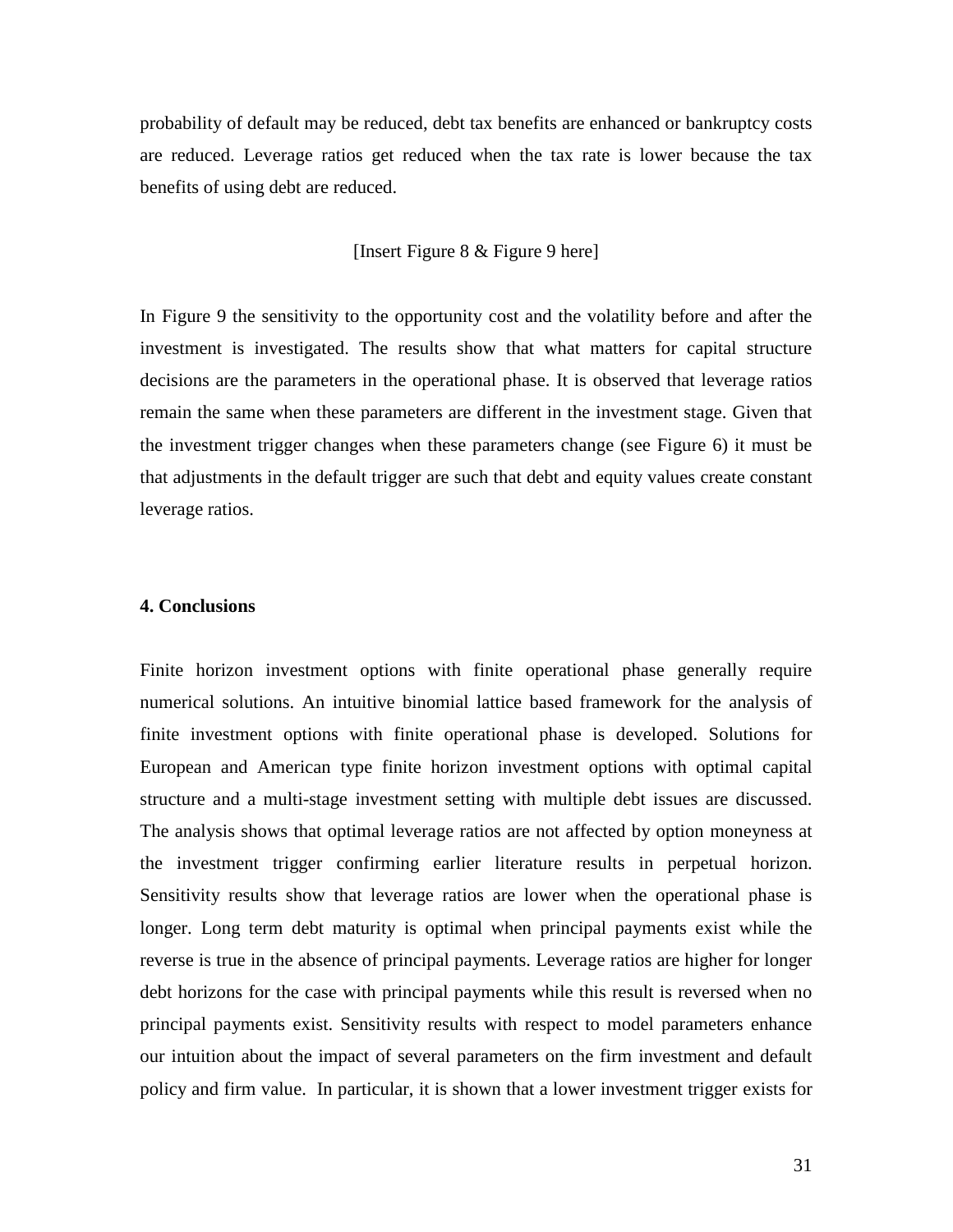probability of default may be reduced, debt tax benefits are enhanced or bankruptcy costs are reduced. Leverage ratios get reduced when the tax rate is lower because the tax benefits of using debt are reduced.

## [Insert Figure 8 & Figure 9 here]

In Figure 9 the sensitivity to the opportunity cost and the volatility before and after the investment is investigated. The results show that what matters for capital structure decisions are the parameters in the operational phase. It is observed that leverage ratios remain the same when these parameters are different in the investment stage. Given that the investment trigger changes when these parameters change (see Figure 6) it must be that adjustments in the default trigger are such that debt and equity values create constant leverage ratios.

#### **4. Conclusions**

Finite horizon investment options with finite operational phase generally require numerical solutions. An intuitive binomial lattice based framework for the analysis of finite investment options with finite operational phase is developed. Solutions for European and American type finite horizon investment options with optimal capital structure and a multi-stage investment setting with multiple debt issues are discussed. The analysis shows that optimal leverage ratios are not affected by option moneyness at the investment trigger confirming earlier literature results in perpetual horizon. Sensitivity results show that leverage ratios are lower when the operational phase is longer. Long term debt maturity is optimal when principal payments exist while the reverse is true in the absence of principal payments. Leverage ratios are higher for longer debt horizons for the case with principal payments while this result is reversed when no principal payments exist. Sensitivity results with respect to model parameters enhance our intuition about the impact of several parameters on the firm investment and default policy and firm value. In particular, it is shown that a lower investment trigger exists for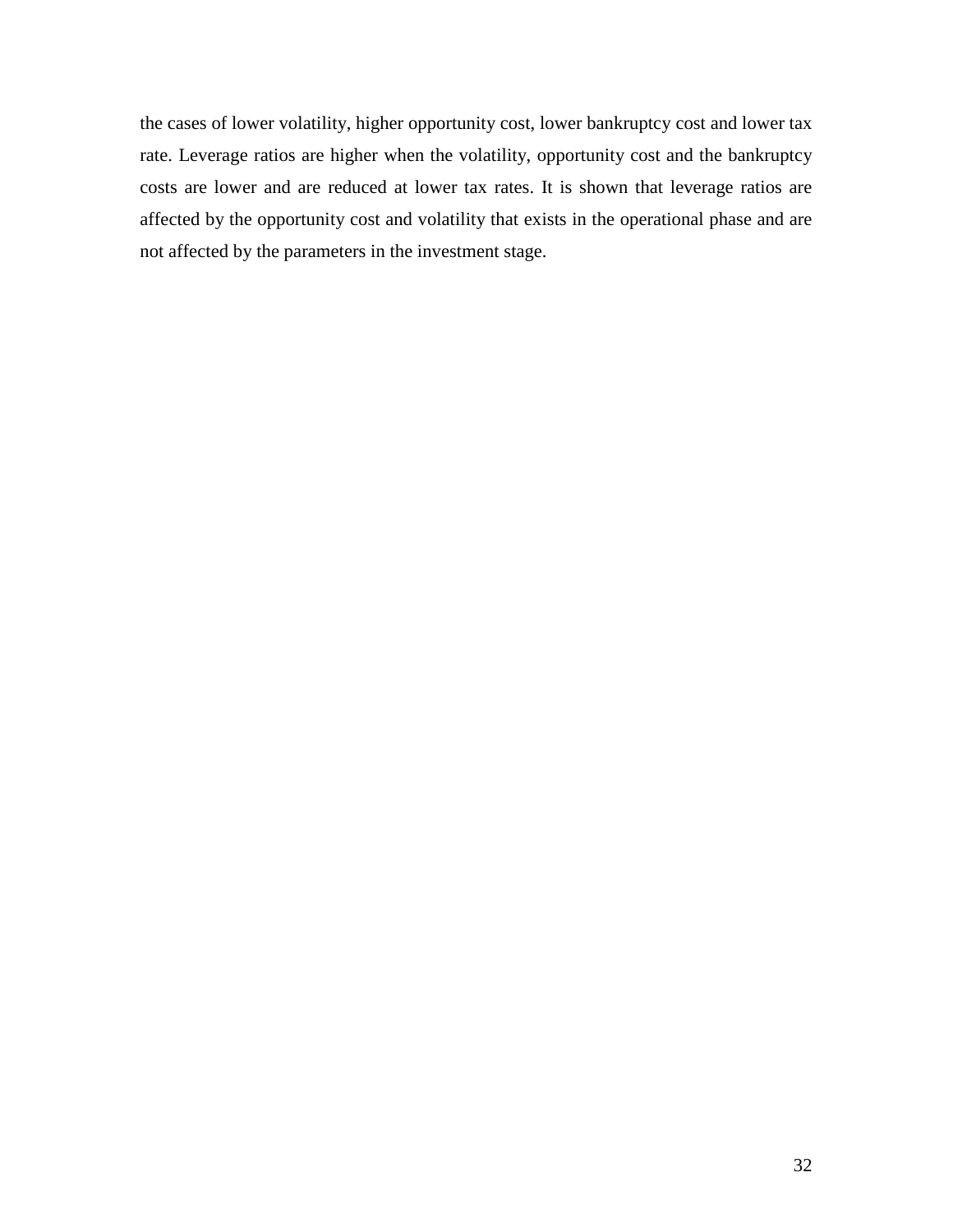the cases of lower volatility, higher opportunity cost, lower bankruptcy cost and lower tax rate. Leverage ratios are higher when the volatility, opportunity cost and the bankruptcy costs are lower and are reduced at lower tax rates. It is shown that leverage ratios are affected by the opportunity cost and volatility that exists in the operational phase and are not affected by the parameters in the investment stage.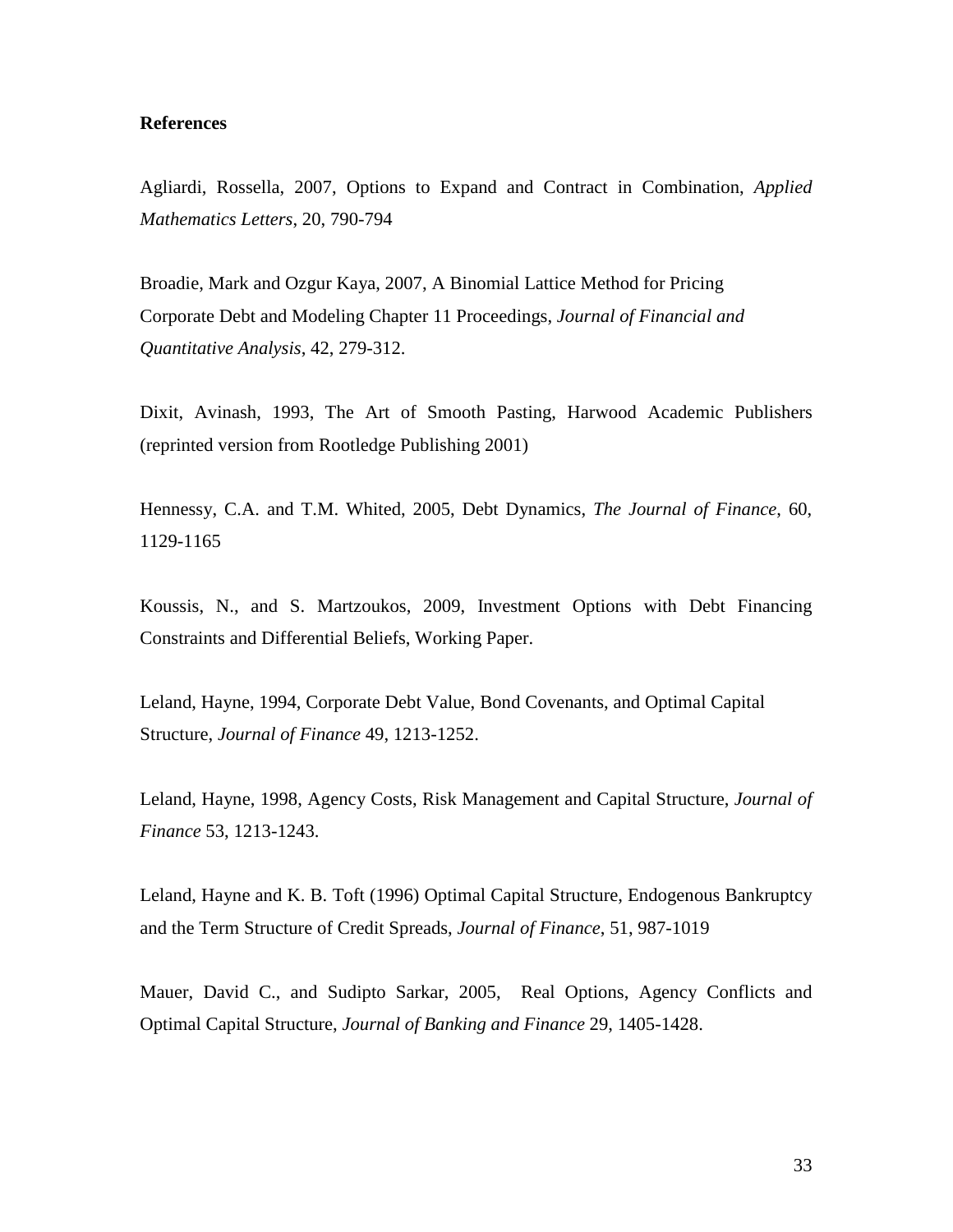## **References**

Agliardi, Rossella, 2007, Options to Expand and Contract in Combination, *Applied Mathematics Letters*, 20, 790-794

Broadie, Mark and Ozgur Kaya, 2007, A Binomial Lattice Method for Pricing Corporate Debt and Modeling Chapter 11 Proceedings, *Journal of Financial and Quantitative Analysis*, 42, 279-312.

Dixit, Avinash, 1993, The Art of Smooth Pasting, Harwood Academic Publishers (reprinted version from Rootledge Publishing 2001)

Hennessy, C.A. and T.M. Whited, 2005, Debt Dynamics, *The Journal of Finance*, 60, 1129-1165

Koussis, N., and S. Martzoukos, 2009, Investment Options with Debt Financing Constraints and Differential Beliefs, Working Paper.

Leland, Hayne, 1994, Corporate Debt Value, Bond Covenants, and Optimal Capital Structure, *Journal of Finance* 49, 1213-1252.

Leland, Hayne, 1998, Agency Costs, Risk Management and Capital Structure, *Journal of Finance* 53, 1213-1243.

Leland, Hayne and K. B. Toft (1996) Optimal Capital Structure, Endogenous Bankruptcy and the Term Structure of Credit Spreads, *Journal of Finance*, 51, 987-1019

Mauer, David C., and Sudipto Sarkar, 2005, Real Options, Agency Conflicts and Optimal Capital Structure, *Journal of Banking and Finance* 29, 1405-1428.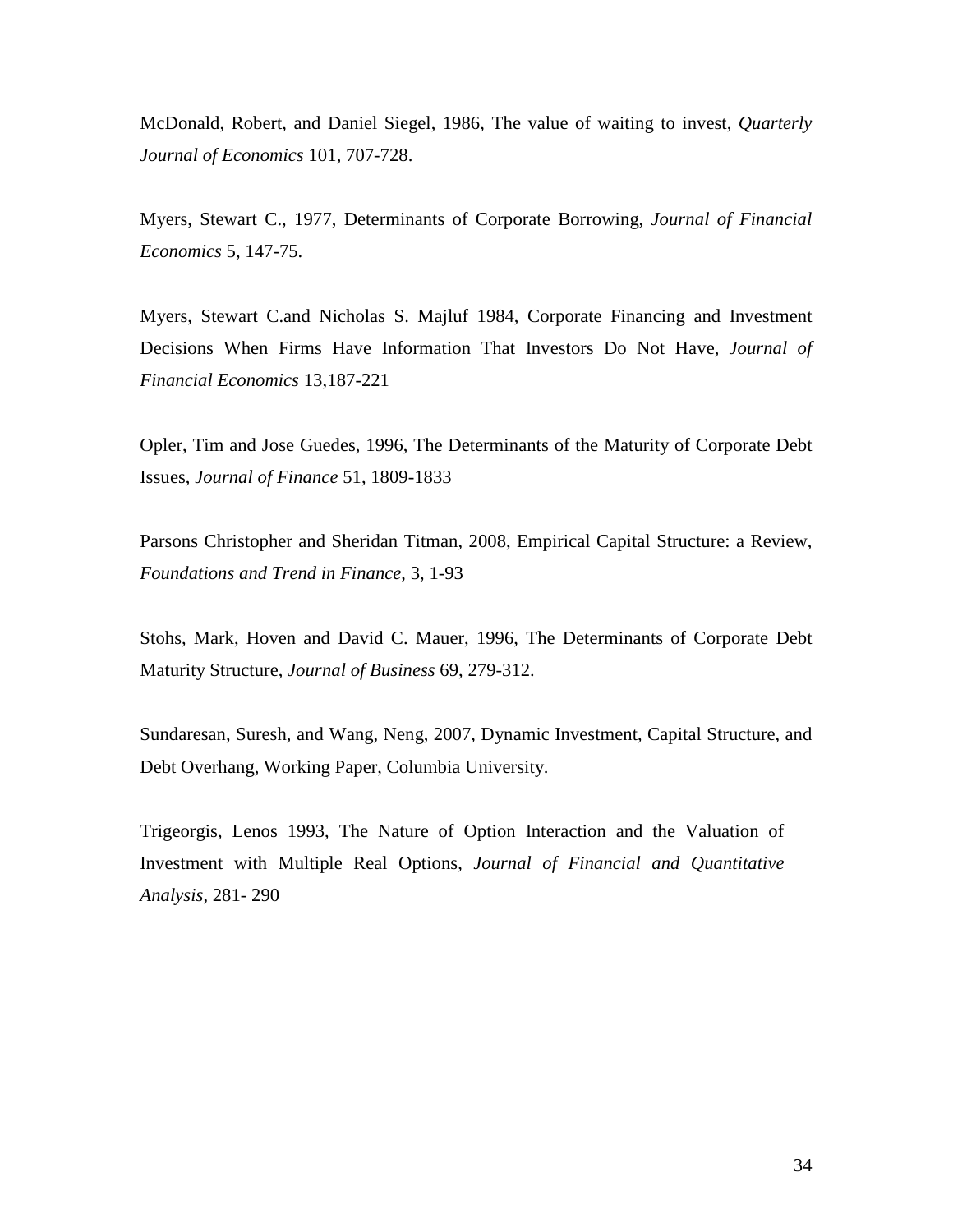McDonald, Robert, and Daniel Siegel, 1986, The value of waiting to invest, *Quarterly Journal of Economics* 101, 707-728.

Myers, Stewart C., 1977, Determinants of Corporate Borrowing, *Journal of Financial Economics* 5, 147-75.

Myers, Stewart C.and Nicholas S. Majluf 1984, Corporate Financing and Investment Decisions When Firms Have Information That Investors Do Not Have, *Journal of Financial Economics* 13,187-221

Opler, Tim and Jose Guedes, 1996, The Determinants of the Maturity of Corporate Debt Issues, *Journal of Finance* 51, 1809-1833

Parsons Christopher and Sheridan Titman, 2008, Empirical Capital Structure: a Review, *Foundations and Trend in Finance*, 3, 1-93

Stohs, Mark, Hoven and David C. Mauer, 1996, The Determinants of Corporate Debt Maturity Structure, *Journal of Business* 69, 279-312.

Sundaresan, Suresh, and Wang, Neng, 2007, Dynamic Investment, Capital Structure, and Debt Overhang, Working Paper, Columbia University.

Trigeorgis, Lenos 1993, The Nature of Option Interaction and the Valuation of Investment with Multiple Real Options, *Journal of Financial and Quantitative Analysis*, 281- 290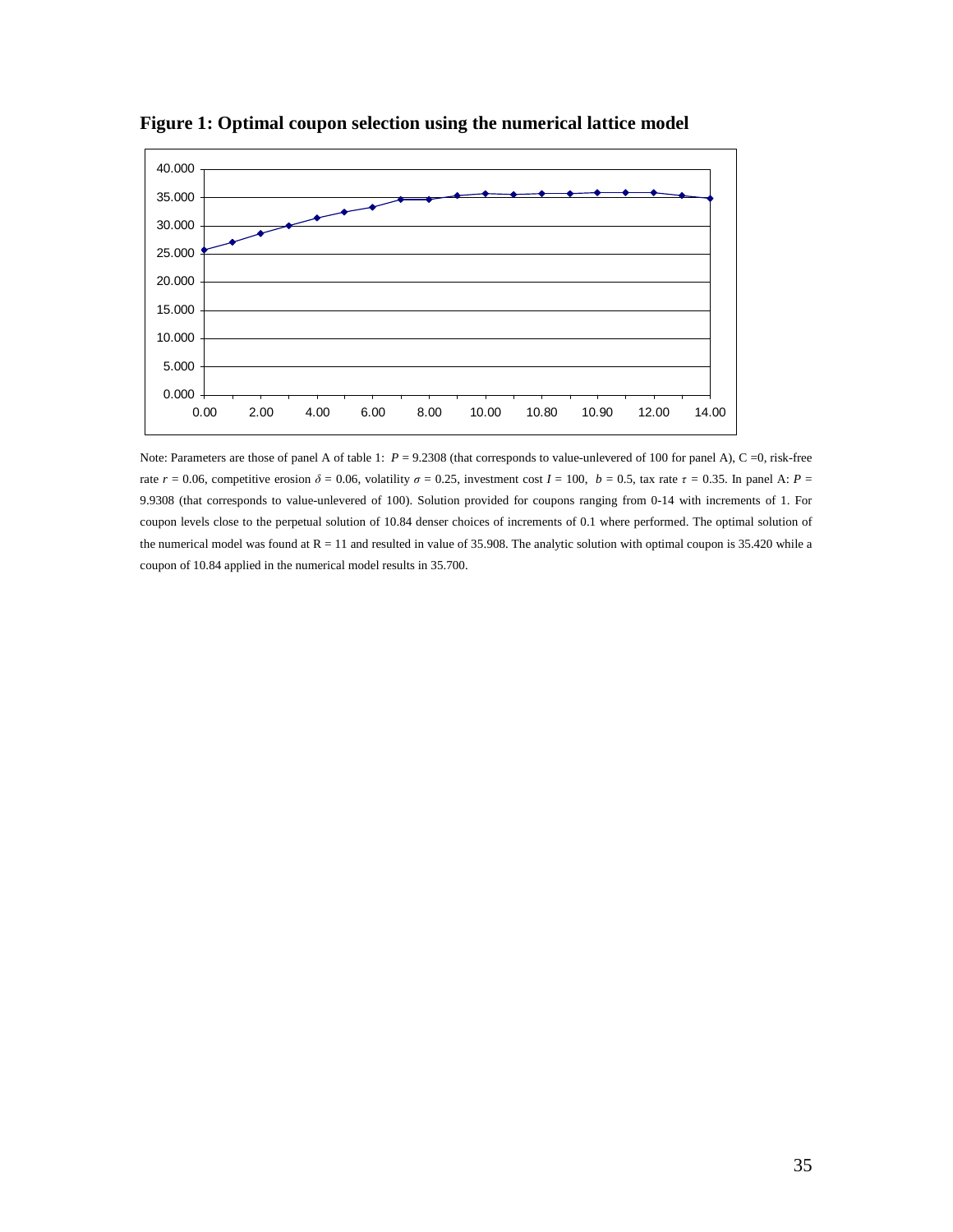

**Figure 1: Optimal coupon selection using the numerical lattice model** 

Note: Parameters are those of panel A of table 1:  $P = 9.2308$  (that corresponds to value-unlevered of 100 for panel A), C =0, risk-free rate  $r = 0.06$ , competitive erosion  $\delta = 0.06$ , volatility  $\sigma = 0.25$ , investment cost  $I = 100$ ,  $b = 0.5$ , tax rate  $\tau = 0.35$ . In panel A:  $P =$ 9.9308 (that corresponds to value-unlevered of 100). Solution provided for coupons ranging from 0-14 with increments of 1. For coupon levels close to the perpetual solution of 10.84 denser choices of increments of 0.1 where performed. The optimal solution of the numerical model was found at  $R = 11$  and resulted in value of 35.908. The analytic solution with optimal coupon is 35.420 while a coupon of 10.84 applied in the numerical model results in 35.700.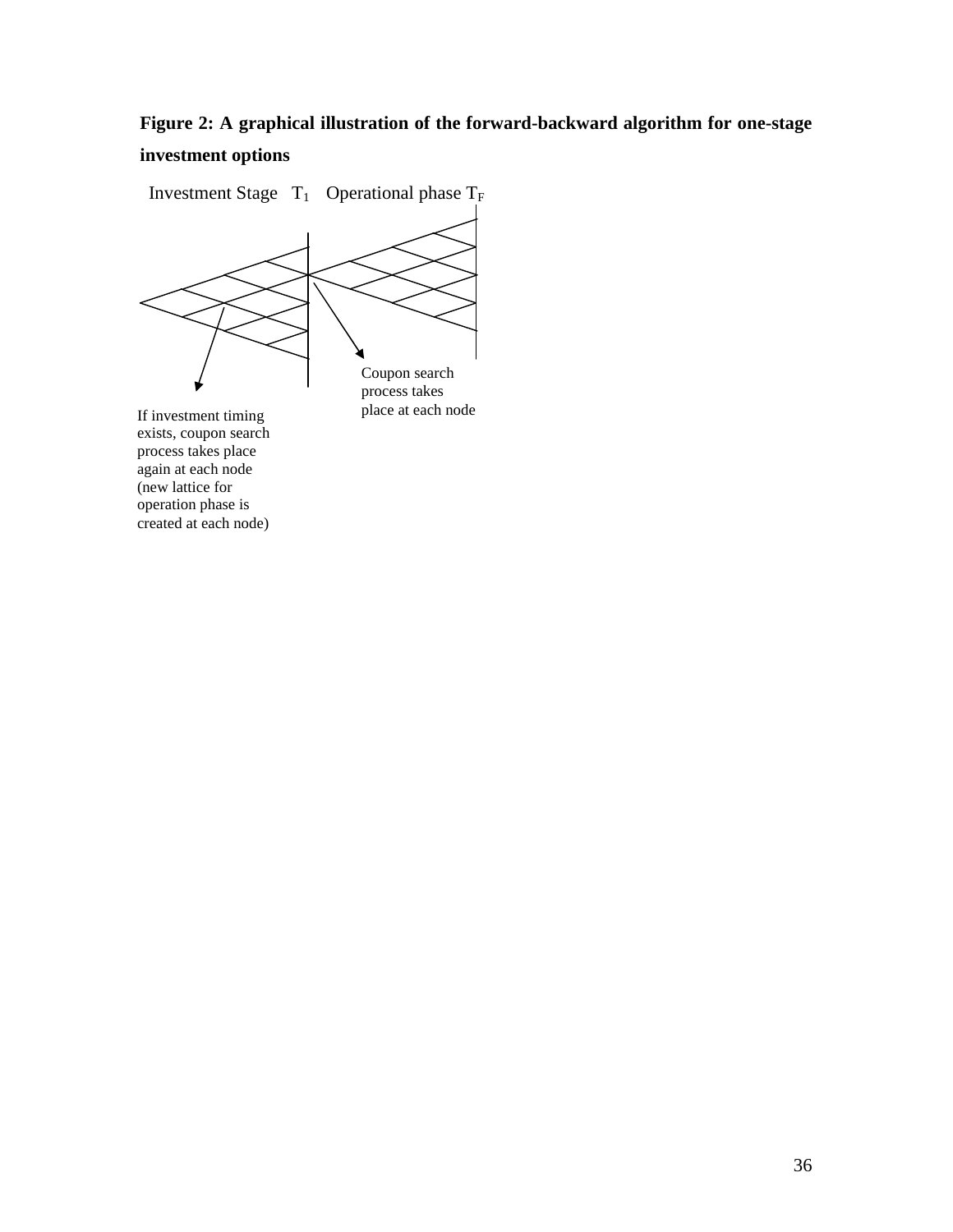# **Figure 2: A graphical illustration of the forward-backward algorithm for one-stage investment options**

Investment Stage  $T_1$  Operational phase  $T_F$ 



exists, coupon search process takes place again at each node (new lattice for operation phase is created at each node)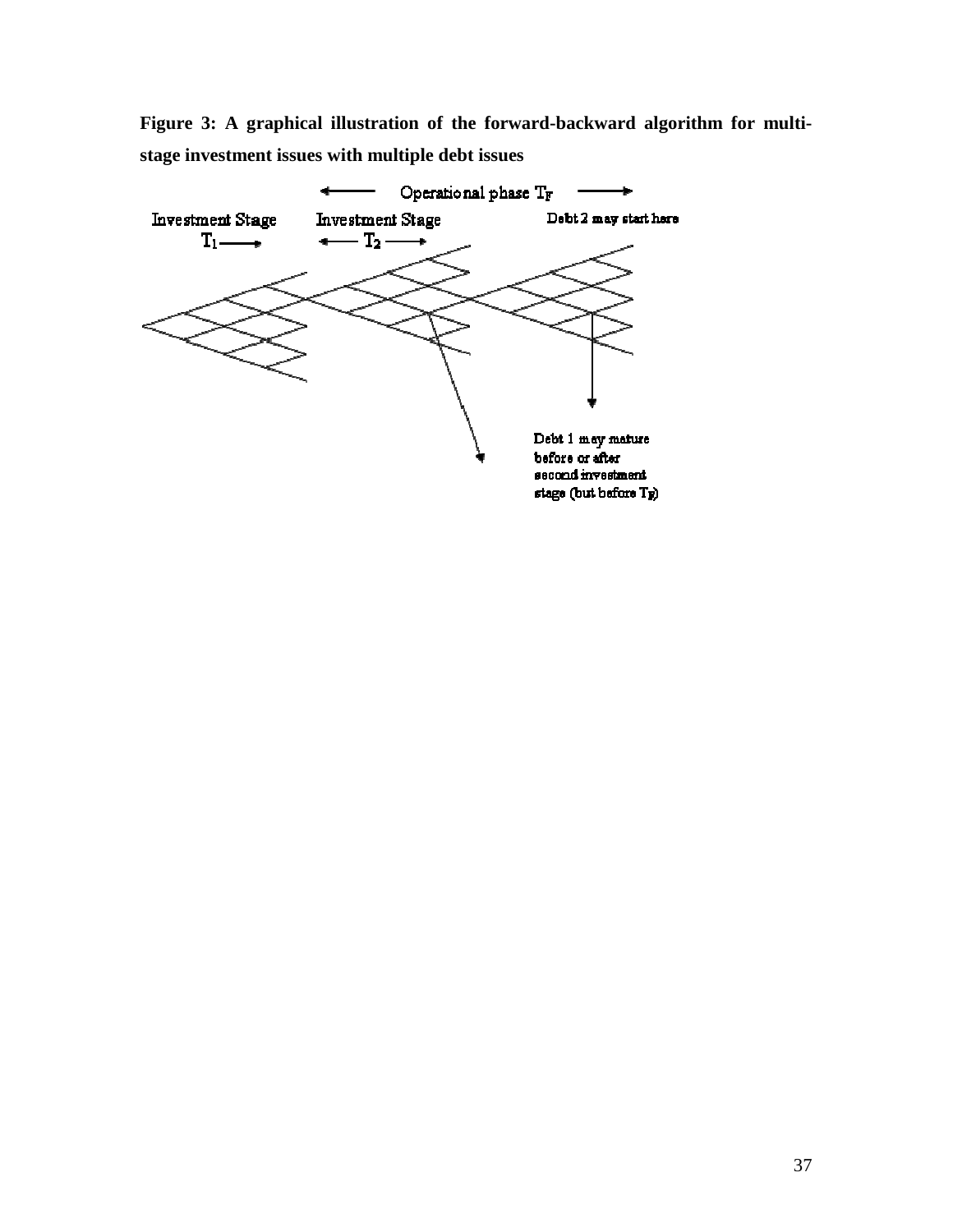**Figure 3: A graphical illustration of the forward-backward algorithm for multistage investment issues with multiple debt issues** 

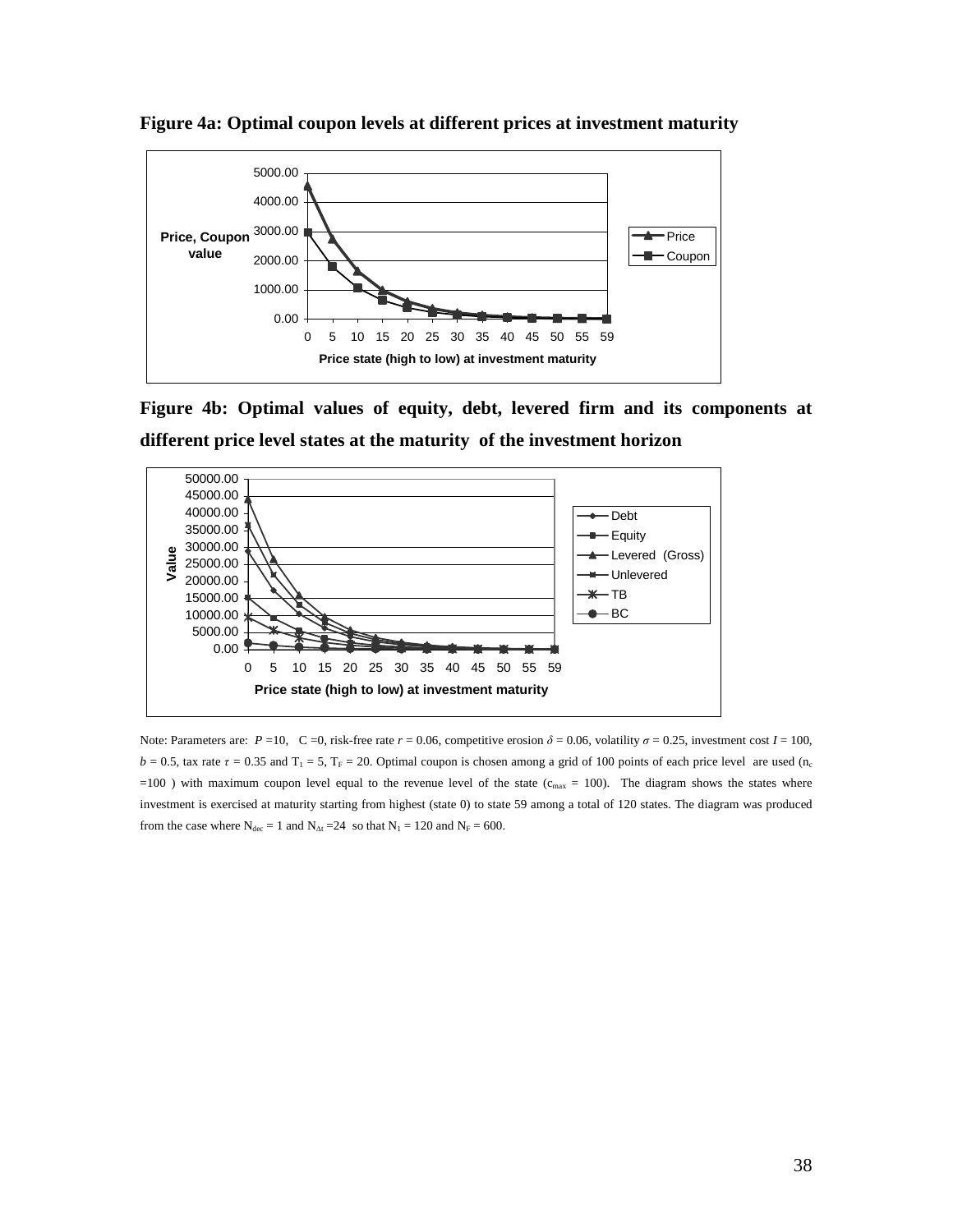

**Figure 4a: Optimal coupon levels at different prices at investment maturity** 

**Figure 4b: Optimal values of equity, debt, levered firm and its components at different price level states at the maturity of the investment horizon** 



Note: Parameters are:  $P = 10$ , C =0, risk-free rate  $r = 0.06$ , competitive erosion  $\delta = 0.06$ , volatility  $\sigma = 0.25$ , investment cost  $I = 100$ ,  $b = 0.5$ , tax rate  $\tau = 0.35$  and  $T_1 = 5$ ,  $T_F = 20$ . Optimal coupon is chosen among a grid of 100 points of each price level are used (n<sub>c</sub>  $=100$  ) with maximum coupon level equal to the revenue level of the state ( $c_{\text{max}} = 100$ ). The diagram shows the states where investment is exercised at maturity starting from highest (state 0) to state 59 among a total of 120 states. The diagram was produced from the case where  $N_{\text{dec}} = 1$  and  $N_{\text{At}} = 24$  so that  $N_1 = 120$  and  $N_F = 600$ .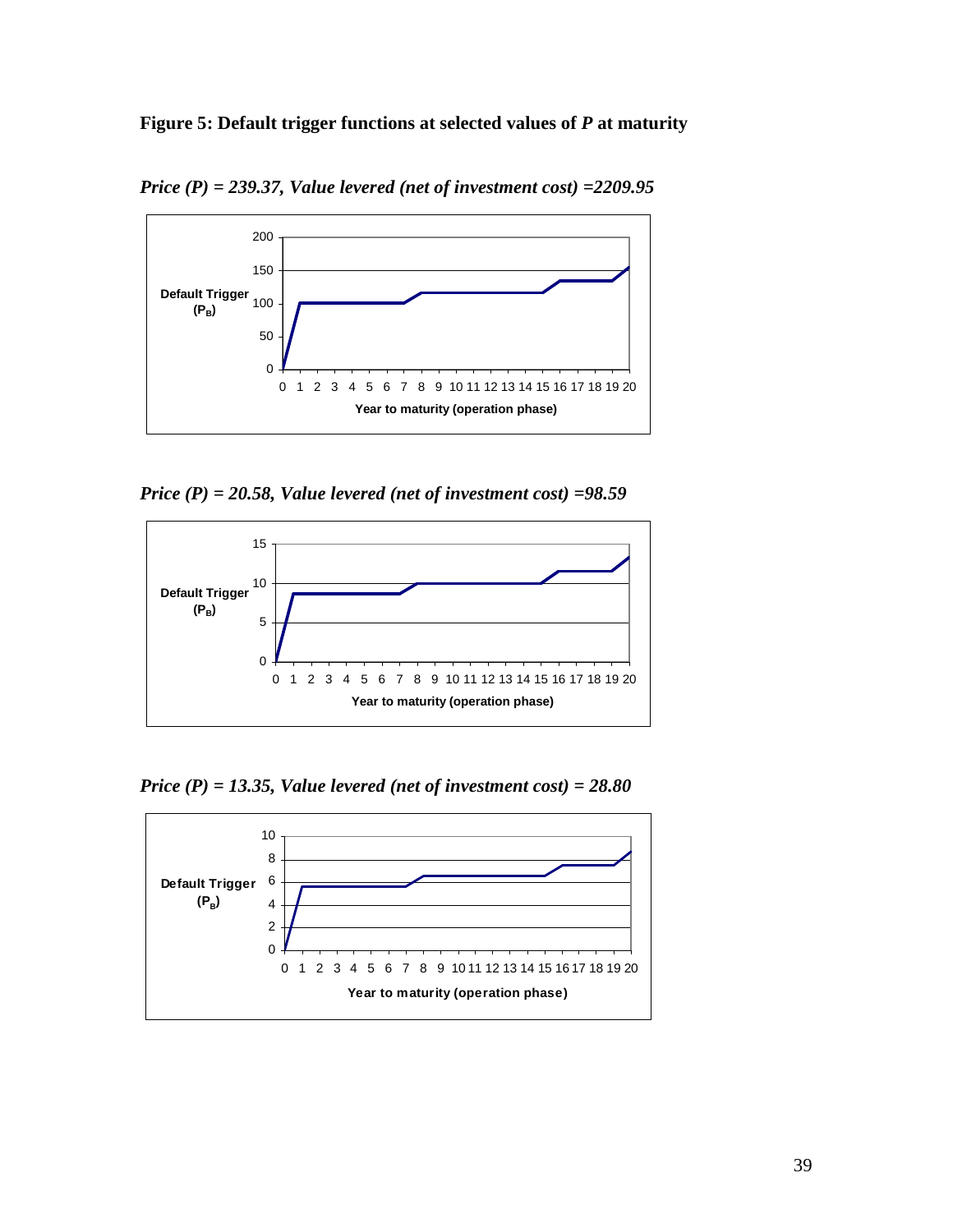

*Price (P) = 239.37, Value levered (net of investment cost) =2209.95* 



*Price (P) = 20.58, Value levered (net of investment cost) =98.59* 



*Price (P) = 13.35, Value levered (net of investment cost) = 28.80* 

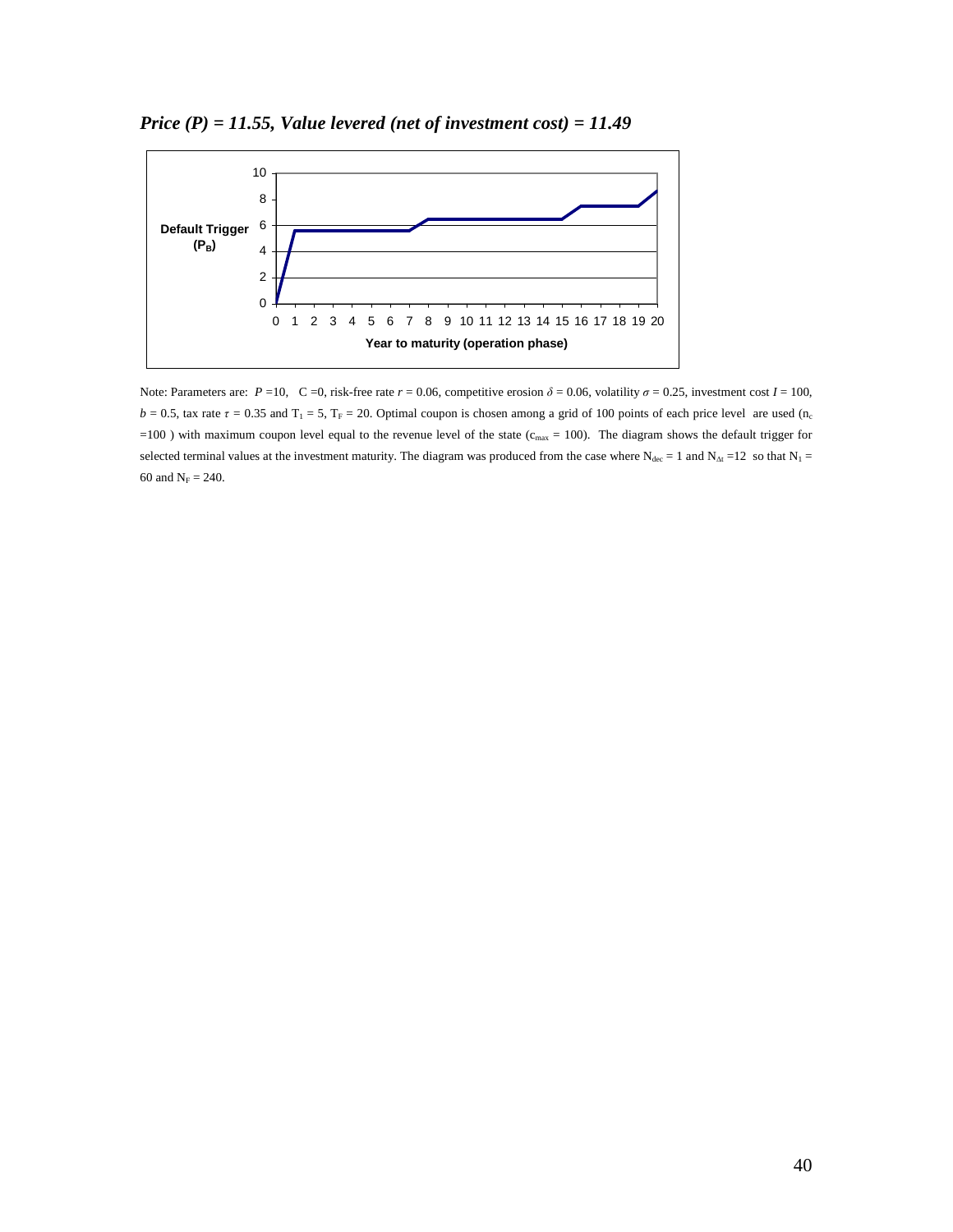

*Price (P) = 11.55, Value levered (net of investment cost) = 11.49* 

Note: Parameters are:  $P = 10$ ,  $C = 0$ , risk-free rate  $r = 0.06$ , competitive erosion  $\delta = 0.06$ , volatility  $\sigma = 0.25$ , investment cost  $I = 100$ ,  $b = 0.5$ , tax rate  $\tau = 0.35$  and  $T_1 = 5$ ,  $T_F = 20$ . Optimal coupon is chosen among a grid of 100 points of each price level are used (n<sub>c</sub>  $=100$  ) with maximum coupon level equal to the revenue level of the state ( $c_{\text{max}} = 100$ ). The diagram shows the default trigger for selected terminal values at the investment maturity. The diagram was produced from the case where  $N_{\text{dec}} = 1$  and  $N_{\text{At}} = 12$  so that  $N_1 = 12$ 60 and  $N_F = 240$ .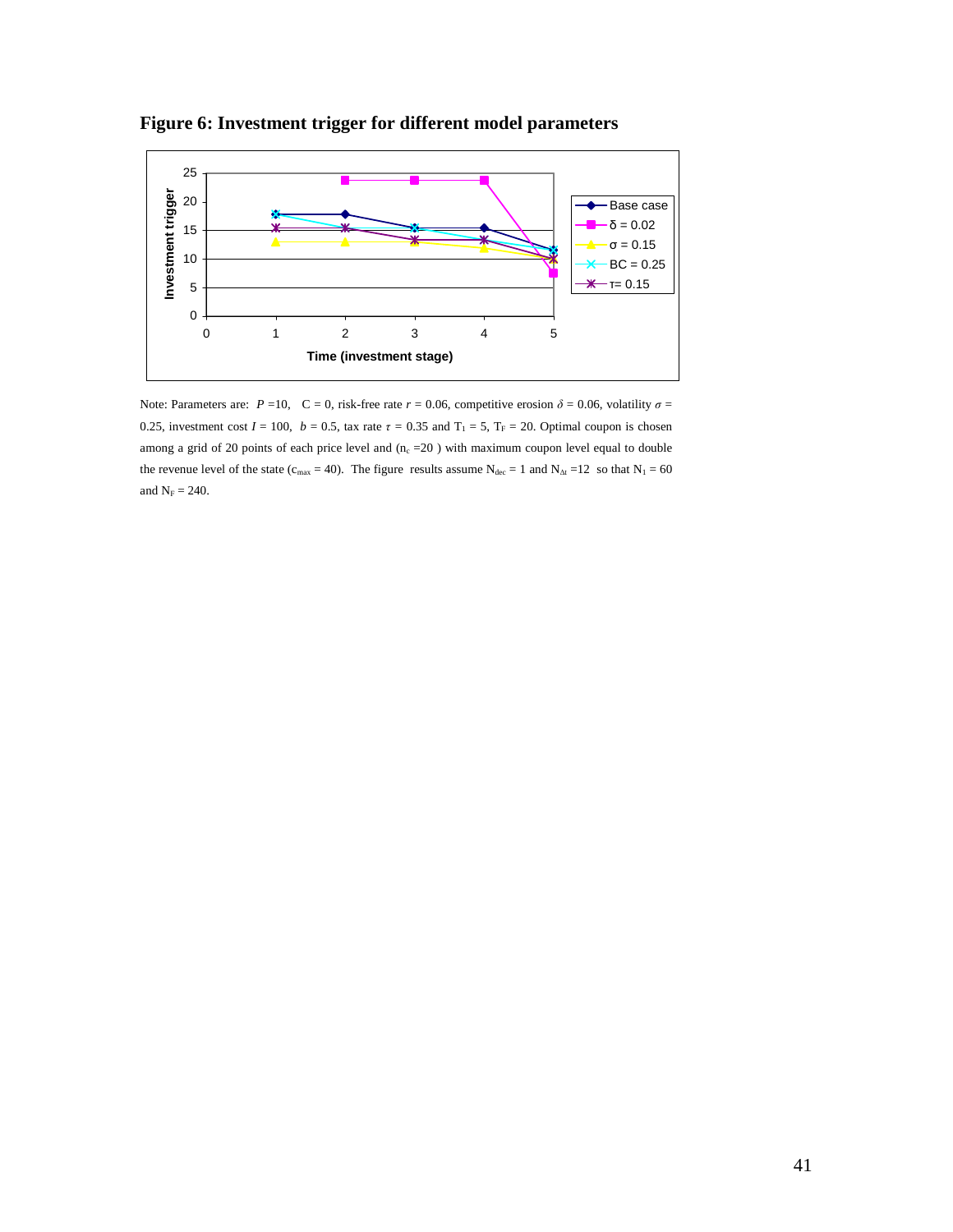

**Figure 6: Investment trigger for different model parameters** 

Note: Parameters are:  $P = 10$ ,  $C = 0$ , risk-free rate  $r = 0.06$ , competitive erosion  $\delta = 0.06$ , volatility  $\sigma =$ 0.25, investment cost  $I = 100$ ,  $b = 0.5$ , tax rate  $\tau = 0.35$  and  $T_1 = 5$ ,  $T_F = 20$ . Optimal coupon is chosen among a grid of 20 points of each price level and  $(n_c = 20)$  with maximum coupon level equal to double the revenue level of the state ( $c_{\text{max}}$  = 40). The figure results assume  $N_{\text{dec}}$  = 1 and  $N_{\Delta t}$  = 12 so that  $N_1$  = 60 and  $N_F = 240$ .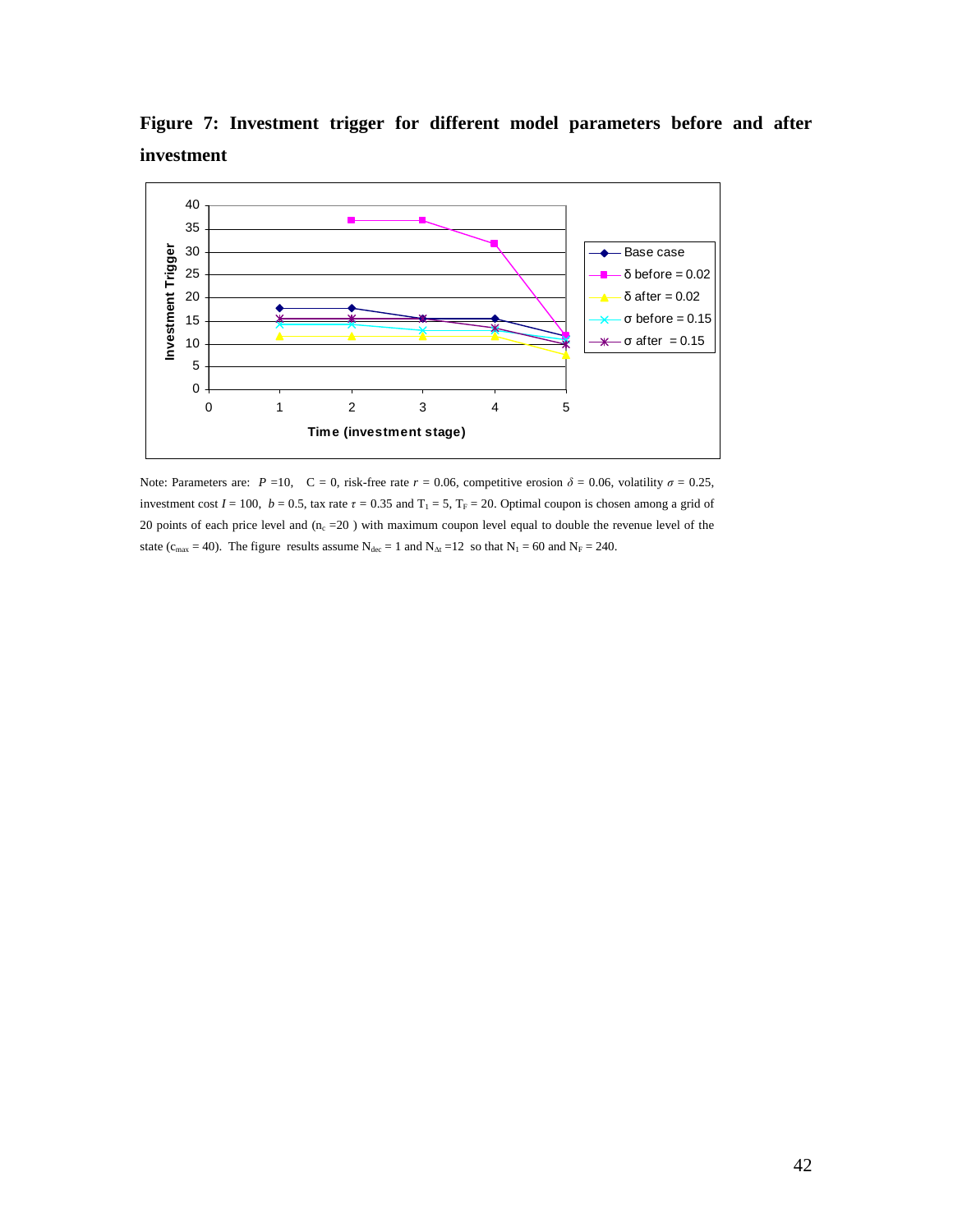40  $\blacksquare$ 35 30 Investment Trigger - Base case **Investment Trigger** 25 δ before = 0.02 20 δ after = 0.02 σ before = 0.15 15 σ after = 0.15 10 5 0 0 1 2 3 4 5 **Time (investment stage)**

**Figure 7: Investment trigger for different model parameters before and after investment** 

Note: Parameters are:  $P = 10$ ,  $C = 0$ , risk-free rate  $r = 0.06$ , competitive erosion  $\delta = 0.06$ , volatility  $\sigma = 0.25$ , investment cost  $I = 100$ ,  $b = 0.5$ , tax rate  $\tau = 0.35$  and  $T_1 = 5$ ,  $T_F = 20$ . Optimal coupon is chosen among a grid of 20 points of each price level and  $(n_c = 20)$  with maximum coupon level equal to double the revenue level of the state ( $c_{\text{max}} = 40$ ). The figure results assume  $N_{\text{dec}} = 1$  and  $N_{\text{At}} = 12$  so that  $N_1 = 60$  and  $N_F = 240$ .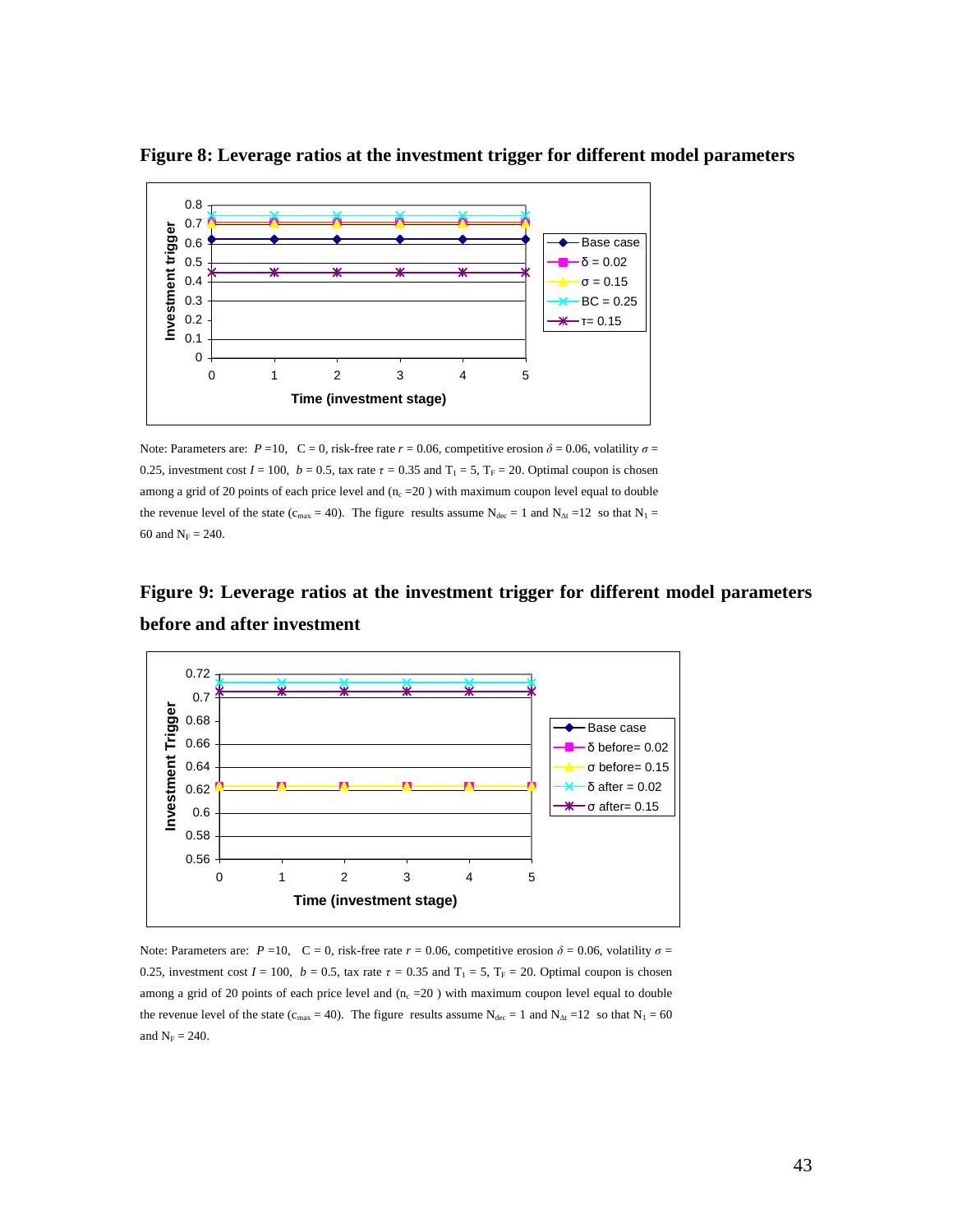

**Figure 8: Leverage ratios at the investment trigger for different model parameters** 

Note: Parameters are:  $P = 10$ ,  $C = 0$ , risk-free rate  $r = 0.06$ , competitive erosion  $\delta = 0.06$ , volatility  $\sigma =$ 0.25, investment cost  $I = 100$ ,  $b = 0.5$ , tax rate  $\tau = 0.35$  and  $T_1 = 5$ ,  $T_F = 20$ . Optimal coupon is chosen among a grid of 20 points of each price level and  $(n_c = 20)$  with maximum coupon level equal to double the revenue level of the state (c<sub>max</sub> = 40). The figure results assume N<sub>dec</sub> = 1 and N<sub>∆t</sub> = 12 so that N<sub>1</sub> = 60 and  $N_F = 240$ .



**Figure 9: Leverage ratios at the investment trigger for different model parameters** 



Note: Parameters are:  $P = 10$ ,  $C = 0$ , risk-free rate  $r = 0.06$ , competitive erosion  $\delta = 0.06$ , volatility  $\sigma =$ 0.25, investment cost  $I = 100$ ,  $b = 0.5$ , tax rate  $\tau = 0.35$  and  $T_1 = 5$ ,  $T_F = 20$ . Optimal coupon is chosen among a grid of 20 points of each price level and  $(n_c = 20)$  with maximum coupon level equal to double the revenue level of the state ( $c_{\text{max}}$  = 40). The figure results assume  $N_{\text{dec}}$  = 1 and  $N_{\text{At}}$  = 12 so that  $N_1$  = 60 and  $N_F = 240$ .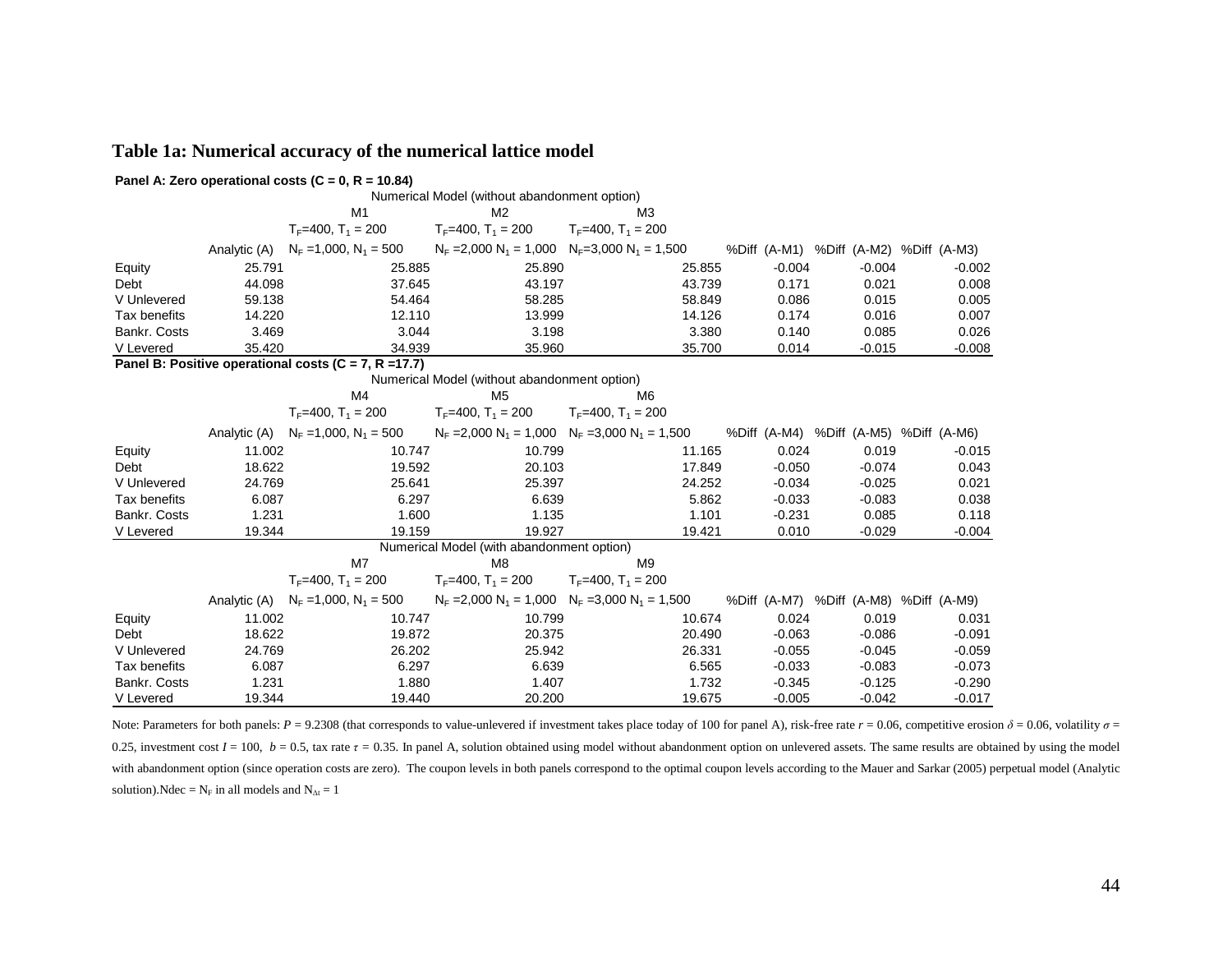# **Table 1a: Numerical accuracy of the numerical lattice model**

|                                                           |        | Panel A: Zero operational costs (C = 0, R = 10.84) |                                                   |                           |        |          |          |                                        |  |
|-----------------------------------------------------------|--------|----------------------------------------------------|---------------------------------------------------|---------------------------|--------|----------|----------|----------------------------------------|--|
|                                                           |        |                                                    | Numerical Model (without abandonment option)      |                           |        |          |          |                                        |  |
|                                                           |        | M <sub>1</sub>                                     | M <sub>2</sub>                                    | M <sub>3</sub>            |        |          |          |                                        |  |
|                                                           |        | $T_F = 400$ , $T_1 = 200$                          | $T_F = 400$ , $T_1 = 200$                         | $T_F = 400$ , $T_1 = 200$ |        |          |          |                                        |  |
|                                                           |        | Analytic (A) $N_F = 1,000$ , $N_1 = 500$           | $N_F = 2,000 N_1 = 1,000 N_F = 3,000 N_1 = 1,500$ |                           |        |          |          | %Diff (A-M1) %Diff (A-M2) %Diff (A-M3) |  |
| Equity                                                    | 25.791 | 25.885                                             | 25.890                                            |                           | 25.855 | $-0.004$ | $-0.004$ | $-0.002$                               |  |
| Debt                                                      | 44.098 | 37.645                                             | 43.197                                            |                           | 43.739 | 0.171    | 0.021    | 0.008                                  |  |
| V Unlevered                                               | 59.138 | 54.464                                             | 58.285                                            |                           | 58.849 | 0.086    | 0.015    | 0.005                                  |  |
| Tax benefits                                              | 14.220 | 12.110                                             | 13.999                                            |                           | 14.126 | 0.174    | 0.016    | 0.007                                  |  |
| Bankr. Costs                                              | 3.469  | 3.044                                              | 3.198                                             |                           | 3.380  | 0.140    | 0.085    | 0.026                                  |  |
| V Levered                                                 | 35.420 | 34.939                                             | 35.960                                            |                           | 35.700 | 0.014    | $-0.015$ | $-0.008$                               |  |
| Panel B: Positive operational costs ( $C = 7$ , R = 17.7) |        |                                                    |                                                   |                           |        |          |          |                                        |  |
| Numerical Model (without abandonment option)              |        |                                                    |                                                   |                           |        |          |          |                                        |  |
|                                                           |        | M <sub>6</sub>                                     |                                                   |                           |        |          |          |                                        |  |
|                                                           |        | $T_F = 400$ , $T_1 = 200$                          | $T_F = 400$ , $T_1 = 200$                         | $T_F=400$ , $T_1=200$     |        |          |          |                                        |  |
|                                                           |        | Analytic (A) $N_F = 1,000$ , $N_1 = 500$           | $N_F = 2,000 N_1 = 1,000 N_F = 3,000 N_1 = 1,500$ |                           |        |          |          | %Diff (A-M4) %Diff (A-M5) %Diff (A-M6) |  |
| Equity                                                    | 11.002 | 10.747                                             | 10.799                                            |                           | 11.165 | 0.024    | 0.019    | $-0.015$                               |  |
| Debt                                                      | 18.622 | 19.592                                             | 20.103                                            |                           | 17.849 | $-0.050$ | $-0.074$ | 0.043                                  |  |
| V Unlevered                                               | 24.769 | 25.641                                             | 25.397                                            |                           | 24.252 | $-0.034$ | $-0.025$ | 0.021                                  |  |
| Tax benefits                                              | 6.087  | 6.297                                              | 6.639                                             |                           | 5.862  | $-0.033$ | $-0.083$ | 0.038                                  |  |
| Bankr. Costs                                              | 1.231  | 1.600                                              | 1.135                                             |                           | 1.101  | $-0.231$ | 0.085    | 0.118                                  |  |
| V Levered                                                 | 19.344 | 19.159                                             | 19.927                                            |                           | 19.421 | 0.010    | $-0.029$ | $-0.004$                               |  |
|                                                           |        |                                                    | Numerical Model (with abandonment option)         |                           |        |          |          |                                        |  |
|                                                           |        | M7                                                 | M8                                                | M <sub>9</sub>            |        |          |          |                                        |  |
|                                                           |        | $T_F$ =400, $T_1$ = 200                            | $T_F$ =400, $T_1$ = 200                           | $T_F$ =400, $T_1$ = 200   |        |          |          |                                        |  |
|                                                           |        | Analytic (A) $N_F = 1,000, N_1 = 500$              | $N_F = 2,000 N_1 = 1,000 N_F = 3,000 N_1 = 1,500$ |                           |        |          |          | %Diff (A-M7) %Diff (A-M8) %Diff (A-M9) |  |
| Equity                                                    | 11.002 | 10.747                                             | 10.799                                            |                           | 10.674 | 0.024    | 0.019    | 0.031                                  |  |
| Debt                                                      | 18.622 | 19.872                                             | 20.375                                            |                           | 20.490 | $-0.063$ | $-0.086$ | $-0.091$                               |  |
| V Unlevered                                               | 24.769 | 26.202                                             | 25.942                                            |                           | 26.331 | $-0.055$ | $-0.045$ | $-0.059$                               |  |
| Tax benefits                                              | 6.087  | 6.297                                              | 6.639                                             |                           | 6.565  | $-0.033$ | $-0.083$ | $-0.073$                               |  |
| Bankr. Costs                                              | 1.231  | 1.880                                              | 1.407                                             |                           | 1.732  | $-0.345$ | $-0.125$ | $-0.290$                               |  |
| V Levered                                                 | 19.344 | 19.440                                             | 20.200                                            |                           | 19.675 | $-0.005$ | $-0.042$ | $-0.017$                               |  |

Note: Parameters for both panels:  $P = 9.2308$  (that corresponds to value-unlevered if investment takes place today of 100 for panel A), risk-free rate  $r = 0.06$ , competitive erosion  $\delta = 0.06$ , volatility  $\sigma =$ 0.25, investment cost  $I = 100$ ,  $b = 0.5$ , tax rate  $\tau = 0.35$ . In panel A, solution obtained using model without abandonment option on unlevered assets. The same results are obtained by using the model with abandonment option (since operation costs are zero). The coupon levels in both panels correspond to the optimal coupon levels according to the Mauer and Sarkar (2005) perpetual model (Analytic solution).Ndec =  $N_F$  in all models and  $N_{\Delta t} = 1$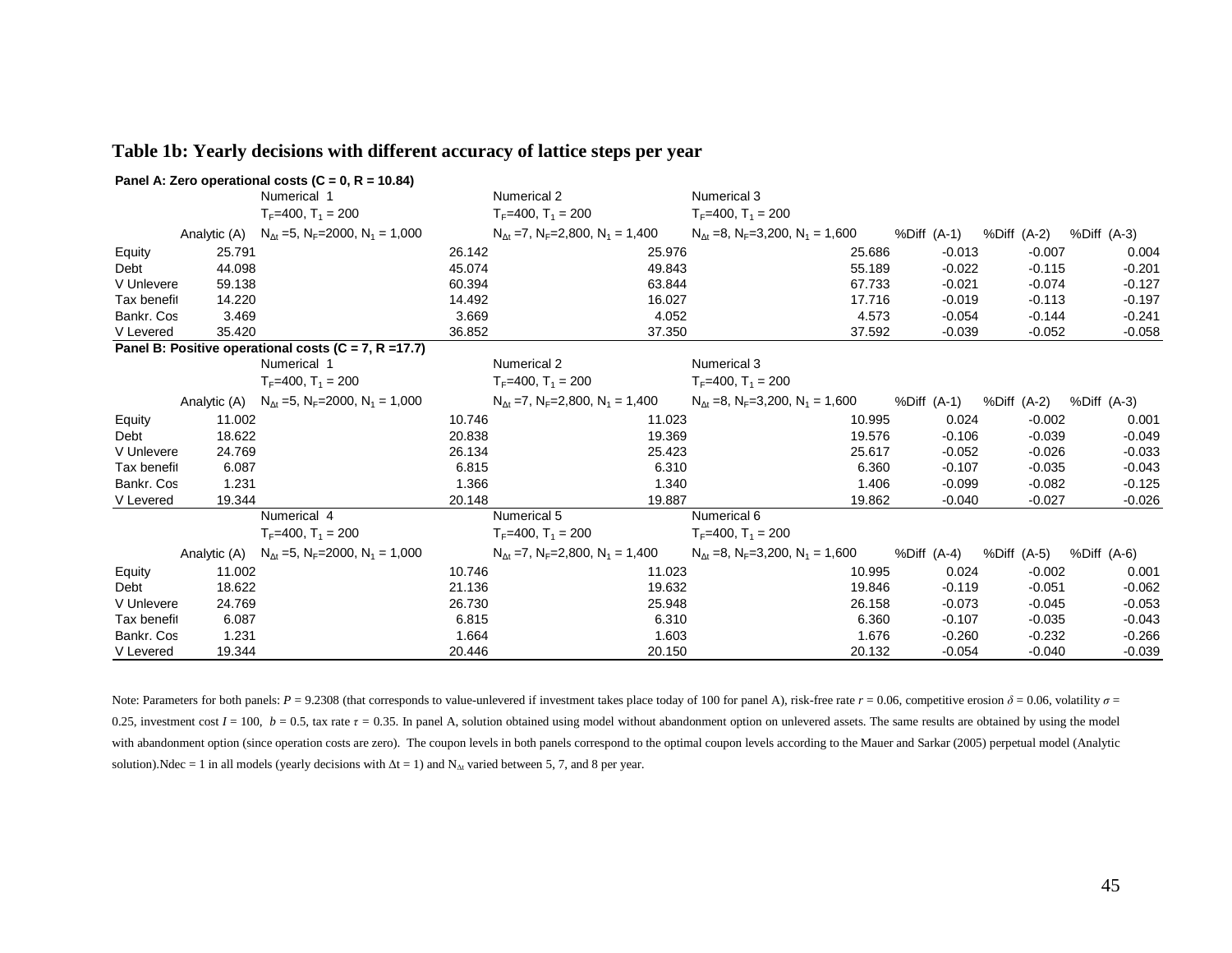|             |        | Panel A: Zero operational costs (C = 0, R = 10.84)                             |        |                                                                   |        |                                                                  |        |             |                         |             |
|-------------|--------|--------------------------------------------------------------------------------|--------|-------------------------------------------------------------------|--------|------------------------------------------------------------------|--------|-------------|-------------------------|-------------|
|             |        | Numerical 1                                                                    |        | Numerical 2                                                       |        | Numerical 3                                                      |        |             |                         |             |
|             |        | $T_F = 400$ , $T_1 = 200$                                                      |        | $T_F$ =400, $T_1$ = 200                                           |        | $T_F = 400$ , $T_1 = 200$                                        |        |             |                         |             |
|             |        | Analytic (A) $N_{\Delta t} = 5$ , N <sub>F</sub> =2000, N <sub>1</sub> = 1,000 |        | $N_{\text{At}} = 7$ , $N_{\text{F}} = 2,800$ , $N_1 = 1,400$      |        | $N_{\Delta t}$ =8, $N_F$ =3,200, $N_1$ = 1,600                   |        | %Diff (A-1) | %Diff (A-2) %Diff (A-3) |             |
| Equity      | 25.791 |                                                                                | 26.142 |                                                                   | 25.976 |                                                                  | 25.686 | $-0.013$    | $-0.007$                | 0.004       |
| Debt        | 44.098 |                                                                                | 45.074 |                                                                   | 49.843 |                                                                  | 55.189 | $-0.022$    | $-0.115$                | $-0.201$    |
| V Unlevere  | 59.138 |                                                                                | 60.394 |                                                                   | 63.844 |                                                                  | 67.733 | $-0.021$    | $-0.074$                | $-0.127$    |
| Tax benefit | 14.220 |                                                                                | 14.492 |                                                                   | 16.027 |                                                                  | 17.716 | $-0.019$    | $-0.113$                | $-0.197$    |
| Bankr. Cos  | 3.469  |                                                                                | 3.669  |                                                                   | 4.052  |                                                                  | 4.573  | $-0.054$    | $-0.144$                | $-0.241$    |
| V Levered   | 35.420 |                                                                                | 36.852 |                                                                   | 37.350 |                                                                  | 37.592 | $-0.039$    | $-0.052$                | $-0.058$    |
|             |        | Panel B: Positive operational costs ( $C = 7$ , R = 17.7)                      |        |                                                                   |        |                                                                  |        |             |                         |             |
|             |        | Numerical 1                                                                    |        | Numerical 2                                                       |        | Numerical 3                                                      |        |             |                         |             |
|             |        | $T_F = 400$ , $T_1 = 200$                                                      |        | $T_F = 400$ , $T_1 = 200$                                         |        | $T_F = 400$ , $T_1 = 200$                                        |        |             |                         |             |
|             |        | Analytic (A) $N_{\Delta t} = 5$ , N <sub>F</sub> =2000, N <sub>1</sub> = 1,000 |        | $N_{\text{At}} = 7$ , $N_{\text{F}} = 2,800$ , $N_1 = 1,400$      |        | $N_{\text{At}} = 8$ , $N_{\text{F}} = 3,200$ , $N_1 = 1,600$     |        | %Diff (A-1) | %Diff (A-2)             | %Diff (A-3) |
| Equity      | 11.002 |                                                                                | 10.746 |                                                                   | 11.023 |                                                                  | 10.995 | 0.024       | $-0.002$                | 0.001       |
| Debt        | 18.622 |                                                                                | 20.838 |                                                                   | 19.369 |                                                                  | 19.576 | $-0.106$    | $-0.039$                | $-0.049$    |
| V Unlevere  | 24.769 |                                                                                | 26.134 |                                                                   | 25.423 |                                                                  | 25.617 | $-0.052$    | $-0.026$                | $-0.033$    |
| Tax benefit | 6.087  |                                                                                | 6.815  |                                                                   | 6.310  |                                                                  | 6.360  | $-0.107$    | $-0.035$                | $-0.043$    |
| Bankr. Cos  | 1.231  |                                                                                | 1.366  |                                                                   | 1.340  |                                                                  | 1.406  | $-0.099$    | $-0.082$                | $-0.125$    |
| V Levered   | 19.344 |                                                                                | 20.148 |                                                                   | 19.887 |                                                                  | 19.862 | $-0.040$    | $-0.027$                | $-0.026$    |
|             |        | Numerical 4                                                                    |        | Numerical 5                                                       |        | Numerical 6                                                      |        |             |                         |             |
|             |        | $T_F = 400$ , $T_1 = 200$                                                      |        | $T_F$ =400, $T_1$ = 200                                           |        | $T_F = 400$ , $T_1 = 200$                                        |        |             |                         |             |
|             |        | Analytic (A) $N_{\Delta t} = 5$ , N <sub>F</sub> =2000, N <sub>1</sub> = 1,000 |        | $N_{\text{At}}$ =7, N <sub>F</sub> =2,800, N <sub>1</sub> = 1,400 |        | $N_{\Delta t}$ =8, N <sub>F</sub> =3,200, N <sub>1</sub> = 1,600 |        | %Diff (A-4) | %Diff (A-5)             | %Diff (A-6) |
| Equity      | 11.002 |                                                                                | 10.746 |                                                                   | 11.023 |                                                                  | 10.995 | 0.024       | $-0.002$                | 0.001       |
| Debt        | 18.622 |                                                                                | 21.136 |                                                                   | 19.632 |                                                                  | 19.846 | $-0.119$    | $-0.051$                | $-0.062$    |
| V Unlevere  | 24.769 |                                                                                | 26.730 |                                                                   | 25.948 |                                                                  | 26.158 | $-0.073$    | $-0.045$                | $-0.053$    |
| Tax benefit | 6.087  |                                                                                | 6.815  |                                                                   | 6.310  |                                                                  | 6.360  | $-0.107$    | $-0.035$                | $-0.043$    |
| Bankr. Cos  | 1.231  |                                                                                | 1.664  |                                                                   | 1.603  |                                                                  | 1.676  | $-0.260$    | $-0.232$                | $-0.266$    |
| V Levered   | 19.344 |                                                                                | 20.446 |                                                                   | 20.150 |                                                                  | 20.132 | $-0.054$    | $-0.040$                | $-0.039$    |

#### **Table 1b: Yearly decisions with different accuracy of lattice steps per year**

Note: Parameters for both panels:  $P = 9.2308$  (that corresponds to value-unlevered if investment takes place today of 100 for panel A), risk-free rate  $r = 0.06$ , competitive erosion  $\delta = 0.06$ , volatility  $\sigma =$ 0.25, investment cost  $I = 100$ ,  $b = 0.5$ , tax rate  $\tau = 0.35$ . In panel A, solution obtained using model without abandonment option on unlevered assets. The same results are obtained by using the model with abandonment option (since operation costs are zero). The coupon levels in both panels correspond to the optimal coupon levels according to the Mauer and Sarkar (2005) perpetual model (Analytic solution).Ndec = 1 in all models (yearly decisions with  $\Delta t = 1$ ) and N<sub>∆t</sub> varied between 5, 7, and 8 per year.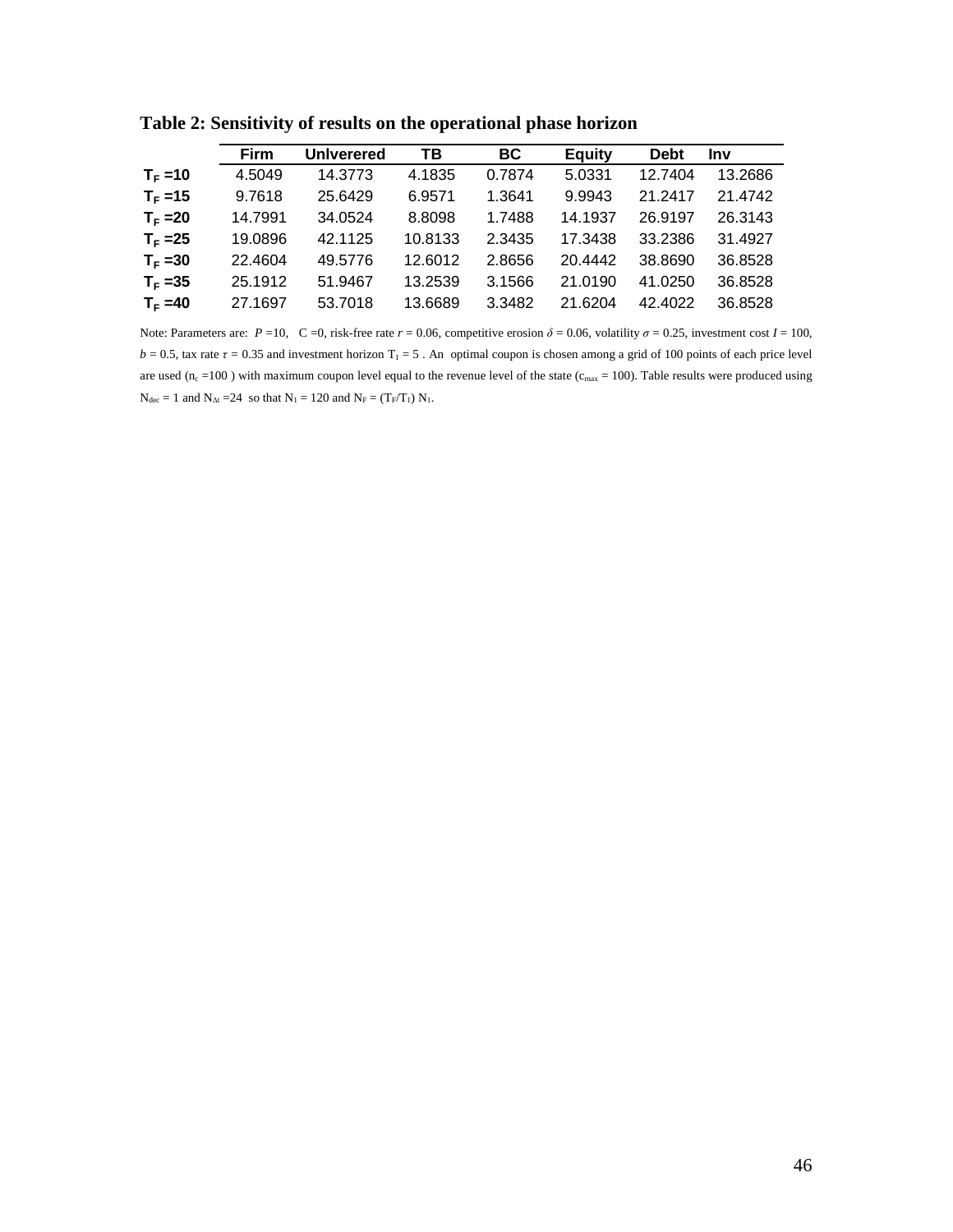|            | Firm    | <b>Univerered</b> | TВ      | <b>BC</b> | <b>Equity</b> | <b>Debt</b> | <b>Inv</b> |
|------------|---------|-------------------|---------|-----------|---------------|-------------|------------|
| $T_F = 10$ | 4.5049  | 14.3773           | 4.1835  | 0.7874    | 5.0331        | 12.7404     | 13.2686    |
| $T_F = 15$ | 9.7618  | 25.6429           | 6.9571  | 1.3641    | 9.9943        | 21.2417     | 21.4742    |
| $T_F = 20$ | 14.7991 | 34.0524           | 8.8098  | 1.7488    | 14.1937       | 26.9197     | 26.3143    |
| $T_F = 25$ | 19.0896 | 42.1125           | 10.8133 | 2.3435    | 17.3438       | 33.2386     | 31.4927    |
| $T_F = 30$ | 22.4604 | 49.5776           | 12.6012 | 2.8656    | 20.4442       | 38.8690     | 36.8528    |
| $T_F = 35$ | 25.1912 | 51.9467           | 13.2539 | 3.1566    | 21.0190       | 41.0250     | 36.8528    |
| $T_F = 40$ | 27.1697 | 53.7018           | 13.6689 | 3.3482    | 21.6204       | 42.4022     | 36.8528    |

**Table 2: Sensitivity of results on the operational phase horizon** 

Note: Parameters are:  $P = 10$ ,  $C = 0$ , risk-free rate  $r = 0.06$ , competitive erosion  $\delta = 0.06$ , volatility  $\sigma = 0.25$ , investment cost  $I = 100$ ,  $b = 0.5$ , tax rate  $\tau = 0.35$  and investment horizon T<sub>1</sub> = 5. An optimal coupon is chosen among a grid of 100 points of each price level are used ( $n_c$  =100) with maximum coupon level equal to the revenue level of the state ( $c_{\text{max}}$  = 100). Table results were produced using  $N_{dec} = 1$  and  $N_{\Delta t} = 24$  so that  $N_1 = 120$  and  $N_F = (T_F/T_1) N_1$ .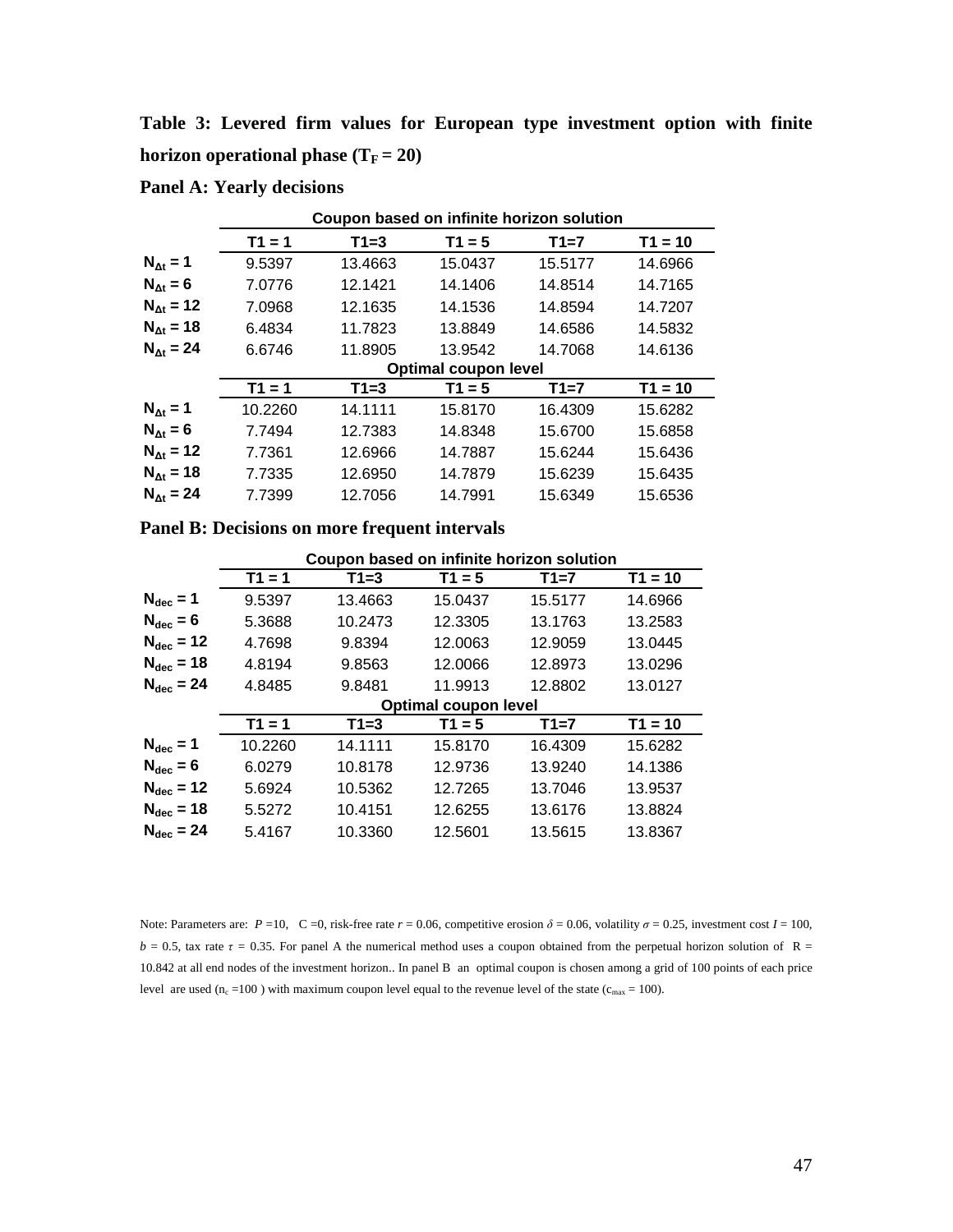**Table 3: Levered firm values for European type investment option with finite horizon operational phase (** $T_F = 20$ **)** 

|                      | Coupon based on infinite horizon solution |         |          |         |           |  |  |  |  |  |
|----------------------|-------------------------------------------|---------|----------|---------|-----------|--|--|--|--|--|
|                      | $T1 = 1$                                  | $T1=3$  | $T1 = 5$ | $T1=7$  | $T1 = 10$ |  |  |  |  |  |
| $N_{\text{At}} = 1$  | 9.5397                                    | 13.4663 | 15.0437  | 15.5177 | 14.6966   |  |  |  |  |  |
| $N_{\text{At}} = 6$  | 7.0776                                    | 12.1421 | 14.1406  | 14.8514 | 14.7165   |  |  |  |  |  |
| $N_{\text{At}} = 12$ | 7.0968                                    | 12.1635 | 14.1536  | 14.8594 | 14.7207   |  |  |  |  |  |
| $N_{\text{At}} = 18$ | 6.4834                                    | 11.7823 | 13.8849  | 14.6586 | 14.5832   |  |  |  |  |  |
| $N_{\text{At}} = 24$ | 6.6746                                    | 11.8905 | 13.9542  | 14.7068 | 14.6136   |  |  |  |  |  |
|                      | <b>Optimal coupon level</b>               |         |          |         |           |  |  |  |  |  |
|                      | $T1 = 1$                                  | $T1=3$  | $T1 = 5$ | $T1=7$  | $T1 = 10$ |  |  |  |  |  |
| $N_{\text{At}} = 1$  | 10.2260                                   | 14.1111 | 15.8170  | 16.4309 | 15.6282   |  |  |  |  |  |
| $N_{\text{At}} = 6$  | 7.7494                                    | 12.7383 | 14.8348  | 15.6700 | 15.6858   |  |  |  |  |  |
| $N_{\text{At}} = 12$ | 7.7361                                    | 12.6966 | 14.7887  | 15.6244 | 15.6436   |  |  |  |  |  |
| $N_{\text{At}} = 18$ | 7.7335                                    | 12.6950 | 14.7879  | 15.6239 | 15.6435   |  |  |  |  |  |
| $N_{\text{At}} = 24$ | 7.7399                                    | 12.7056 | 14.7991  | 15.6349 | 15.6536   |  |  |  |  |  |

**Panel A: Yearly decisions** 

|                       | Coupon based on infinite horizon solution |         |          |         |           |  |  |  |  |  |  |
|-----------------------|-------------------------------------------|---------|----------|---------|-----------|--|--|--|--|--|--|
|                       | $T1 = 1$                                  | $T1=3$  | $T1 = 5$ | $T1=7$  | $T1 = 10$ |  |  |  |  |  |  |
| $N_{\text{dec}} = 1$  | 9.5397                                    | 13.4663 | 15.0437  | 15.5177 | 14.6966   |  |  |  |  |  |  |
| $N_{\text{dec}} = 6$  | 5.3688                                    | 10.2473 | 12.3305  | 13.1763 | 13.2583   |  |  |  |  |  |  |
| $N_{\text{dec}} = 12$ | 4.7698                                    | 9.8394  | 12.0063  | 12.9059 | 13.0445   |  |  |  |  |  |  |
| $N_{\text{dec}} = 18$ | 4.8194                                    | 9.8563  | 12.0066  | 12.8973 | 13.0296   |  |  |  |  |  |  |
| $N_{\text{dec}} = 24$ | 4.8485                                    | 9.8481  | 11.9913  | 12.8802 | 13.0127   |  |  |  |  |  |  |
|                       | Optimal coupon level                      |         |          |         |           |  |  |  |  |  |  |
|                       | $T1 = 1$                                  | $T1=3$  | $T1 = 5$ | $T1=7$  | $T1 = 10$ |  |  |  |  |  |  |
| $N_{\text{dec}} = 1$  | 10.2260                                   | 14.1111 | 15.8170  | 16.4309 | 15.6282   |  |  |  |  |  |  |
| $N_{\text{dec}} = 6$  | 6.0279                                    | 10.8178 | 12.9736  | 13.9240 | 14.1386   |  |  |  |  |  |  |
| $N_{\text{dec}} = 12$ | 5.6924                                    | 10.5362 | 12.7265  | 13.7046 | 13.9537   |  |  |  |  |  |  |
| $N_{\text{dec}} = 18$ | 5.5272                                    | 10.4151 | 12.6255  | 13.6176 | 13.8824   |  |  |  |  |  |  |
| $N_{\text{dec}} = 24$ | 5.4167                                    | 10.3360 | 12.5601  | 13.5615 | 13.8367   |  |  |  |  |  |  |

Note: Parameters are:  $P = 10$ , C =0, risk-free rate  $r = 0.06$ , competitive erosion  $\delta = 0.06$ , volatility  $\sigma = 0.25$ , investment cost  $I = 100$ ,  $b = 0.5$ , tax rate  $\tau = 0.35$ . For panel A the numerical method uses a coupon obtained from the perpetual horizon solution of R = 10.842 at all end nodes of the investment horizon.. In panel B an optimal coupon is chosen among a grid of 100 points of each price level are used ( $n_c =100$ ) with maximum coupon level equal to the revenue level of the state ( $c_{\text{max}} = 100$ ).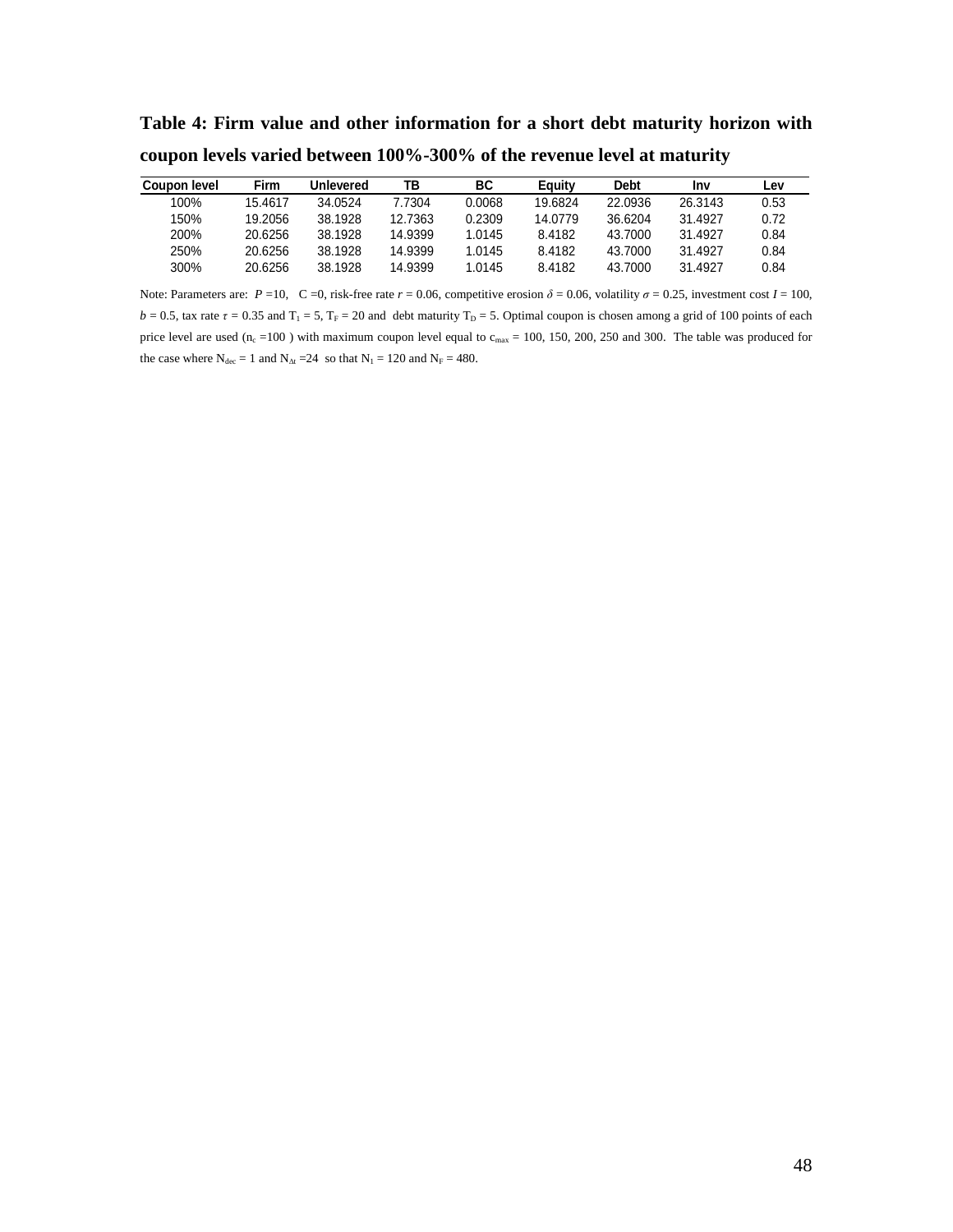**Table 4: Firm value and other information for a short debt maturity horizon with coupon levels varied between 100%-300% of the revenue level at maturity** 

| <b>Coupon level</b> | Firm    | <b>Unlevered</b> | TB      | ВC     | Eauity  | <b>Debt</b> | Inv     | Lev  |
|---------------------|---------|------------------|---------|--------|---------|-------------|---------|------|
| 100%                | 15.4617 | 34.0524          | 7.7304  | 0.0068 | 19.6824 | 22.0936     | 26.3143 | 0.53 |
| 150%                | 19.2056 | 38.1928          | 12.7363 | 0.2309 | 14.0779 | 36.6204     | 31.4927 | 0.72 |
| 200%                | 20.6256 | 38.1928          | 14.9399 | 1.0145 | 8.4182  | 43.7000     | 31.4927 | 0.84 |
| 250%                | 20.6256 | 38.1928          | 14.9399 | 1.0145 | 8.4182  | 43.7000     | 31.4927 | 0.84 |
| 300%                | 20.6256 | 38.1928          | 14.9399 | 1.0145 | 8.4182  | 43.7000     | 31.4927 | 0.84 |

Note: Parameters are:  $P = 10$ ,  $C = 0$ , risk-free rate  $r = 0.06$ , competitive erosion  $\delta = 0.06$ , volatility  $\sigma = 0.25$ , investment cost  $I = 100$ ,  $b = 0.5$ , tax rate  $\tau = 0.35$  and  $T_1 = 5$ ,  $T_F = 20$  and debt maturity  $T_D = 5$ . Optimal coupon is chosen among a grid of 100 points of each price level are used ( $n_c = 100$  ) with maximum coupon level equal to  $c_{max} = 100$ , 150, 200, 250 and 300. The table was produced for the case where  $N_{\text{dec}} = 1$  and  $N_{\text{At}} = 24$  so that  $N_1 = 120$  and  $N_F = 480$ .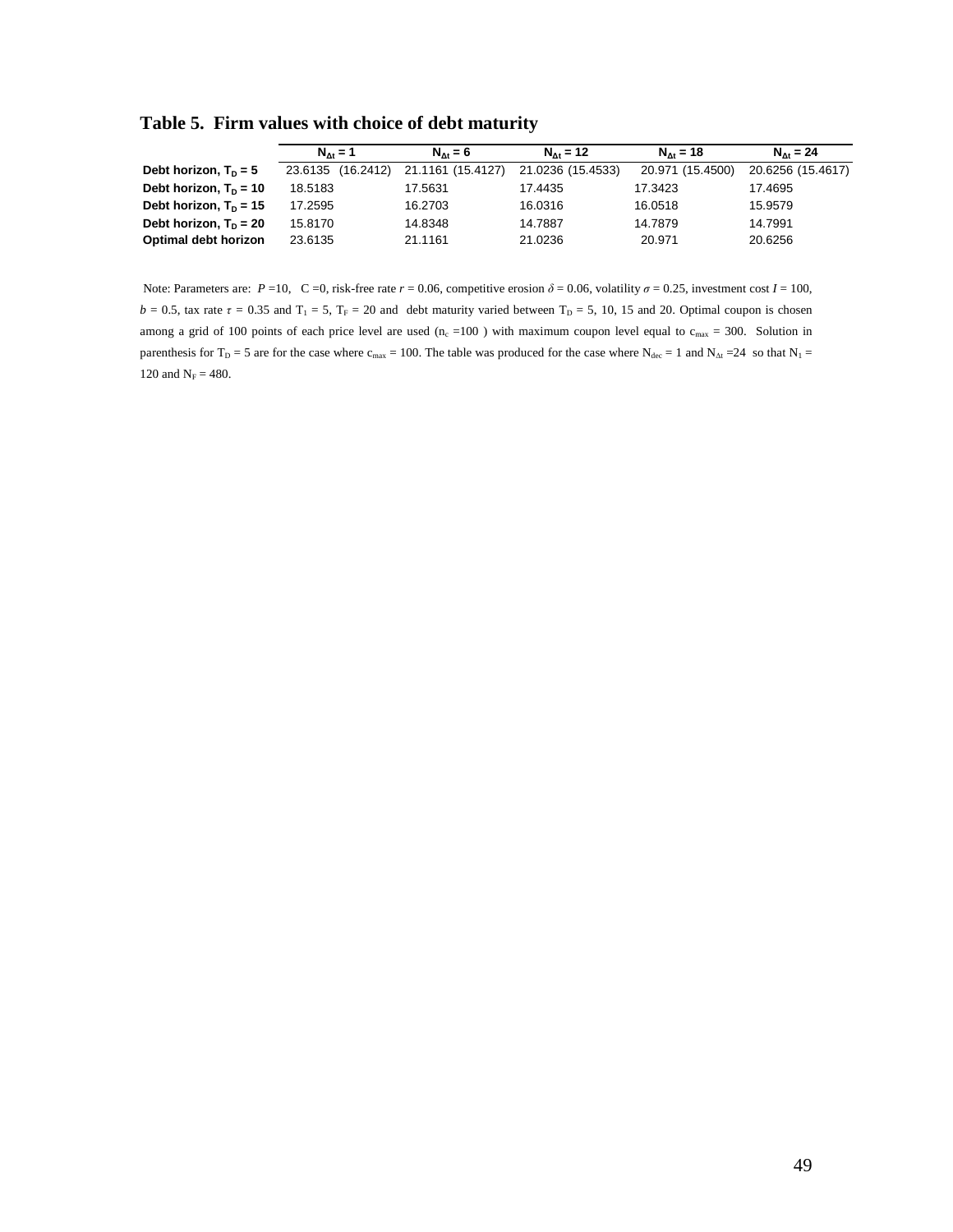**Table 5. Firm values with choice of debt maturity** 

|                          | $N_{A} = 1$          | $N_{A} = 6$       | $N_{A} = 12$      | $N_{A} = 18$     | $N_{A} = 24$      |  |
|--------------------------|----------------------|-------------------|-------------------|------------------|-------------------|--|
| Debt horizon, $T_p = 5$  | (16.2412)<br>23.6135 | 21.1161 (15.4127) | 21.0236 (15.4533) | 20.971 (15.4500) | 20.6256 (15.4617) |  |
| Debt horizon, $T_p = 10$ | 18.5183              | 17.5631           | 17.4435           | 17.3423          | 17.4695           |  |
| Debt horizon, $T_p = 15$ | 17.2595              | 16.2703           | 16.0316           | 16.0518          | 15.9579           |  |
| Debt horizon, $T_p = 20$ | 15.8170              | 14.8348           | 14.7887           | 14.7879          | 14.7991           |  |
| Optimal debt horizon     | 23.6135              | 21.1161           | 21.0236           | 20.971           | 20.6256           |  |

Note: Parameters are:  $P = 10$ ,  $C = 0$ , risk-free rate  $r = 0.06$ , competitive erosion  $\delta = 0.06$ , volatility  $\sigma = 0.25$ , investment cost  $I = 100$ ,  $b = 0.5$ , tax rate  $\tau = 0.35$  and  $T_1 = 5$ ,  $T_F = 20$  and debt maturity varied between  $T_D = 5$ , 10, 15 and 20. Optimal coupon is chosen among a grid of 100 points of each price level are used (n<sub>c</sub> =100) with maximum coupon level equal to  $c_{\text{max}}$  = 300. Solution in parenthesis for T<sub>D</sub> = 5 are for the case where c<sub>max</sub> = 100. The table was produced for the case where N<sub>dec</sub> = 1 and N<sub>∆t</sub> = 24 so that N<sub>1</sub> = 120 and  $N_F = 480$ .